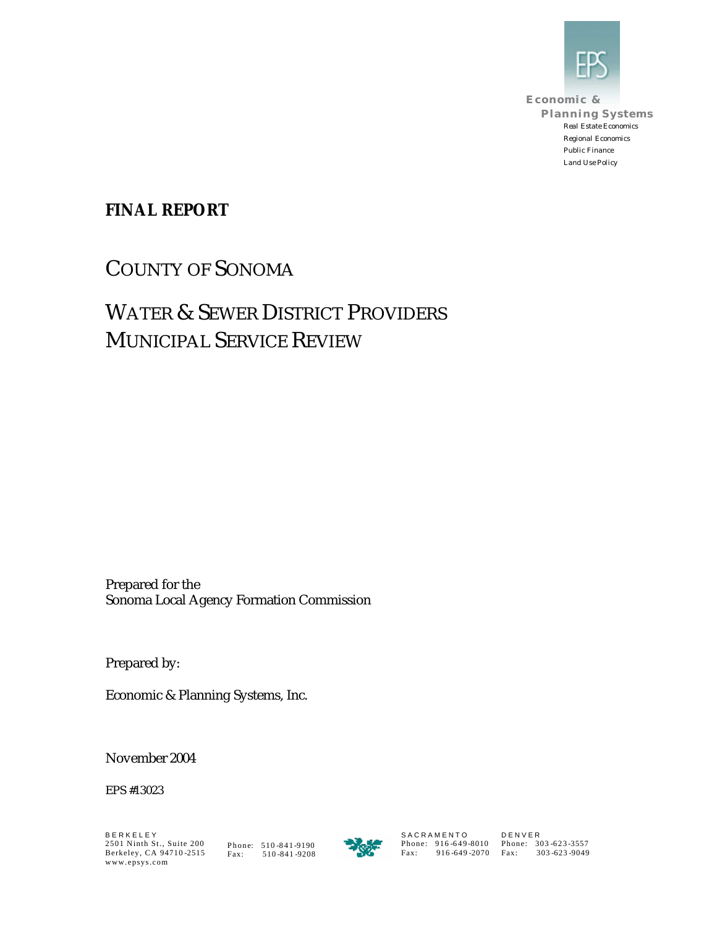

**Economic & Planning Systems** *Real Estate Economics Regional Economics Public Finance Land Use Policy*

### **FINAL REPORT**

COUNTY OF SONOMA

# WATER & SEWER DISTRICT PROVIDERS MUNICIPAL SERVICE REVIEW

Prepared for the Sonoma Local Agency Formation Commission

Prepared by:

Economic & Planning Systems, Inc.

November 2004

EPS #13023



S A C R A M E N T O Phone: 916 -649 -8010 Fax: 916 -649 -2070 D E N V E R Phone: 303 -623 -3557 Fax: 303 -623 -9049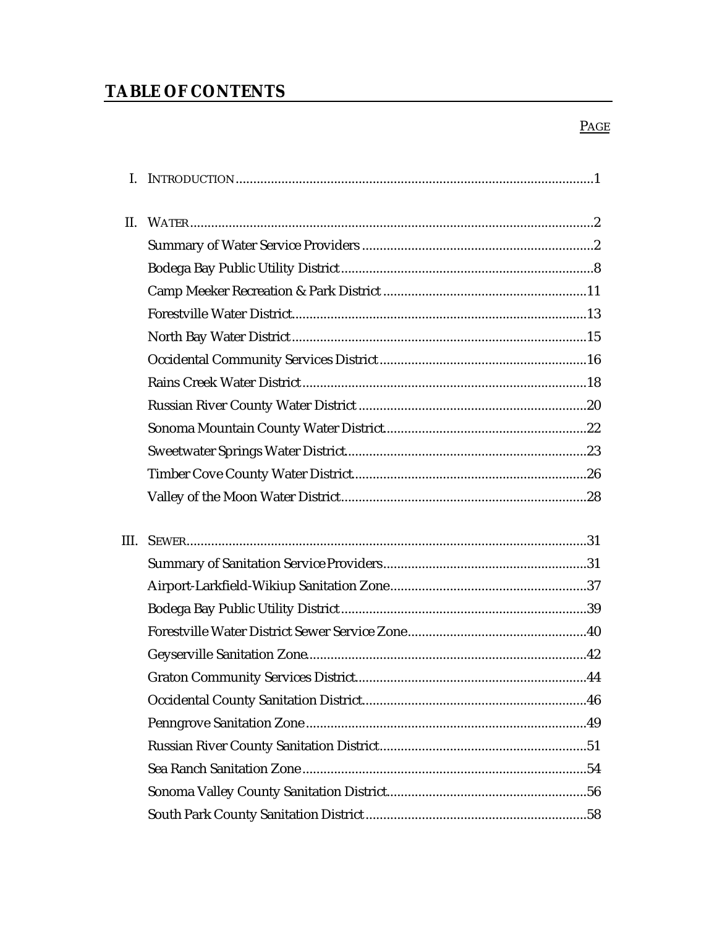# **TABLE OF CONTENTS**

#### $PAGE$

| L.   |  |
|------|--|
| II.  |  |
|      |  |
|      |  |
|      |  |
|      |  |
|      |  |
|      |  |
|      |  |
|      |  |
|      |  |
|      |  |
|      |  |
|      |  |
|      |  |
| III. |  |
|      |  |
|      |  |
|      |  |
|      |  |
|      |  |
|      |  |
|      |  |
|      |  |
|      |  |
|      |  |
|      |  |
|      |  |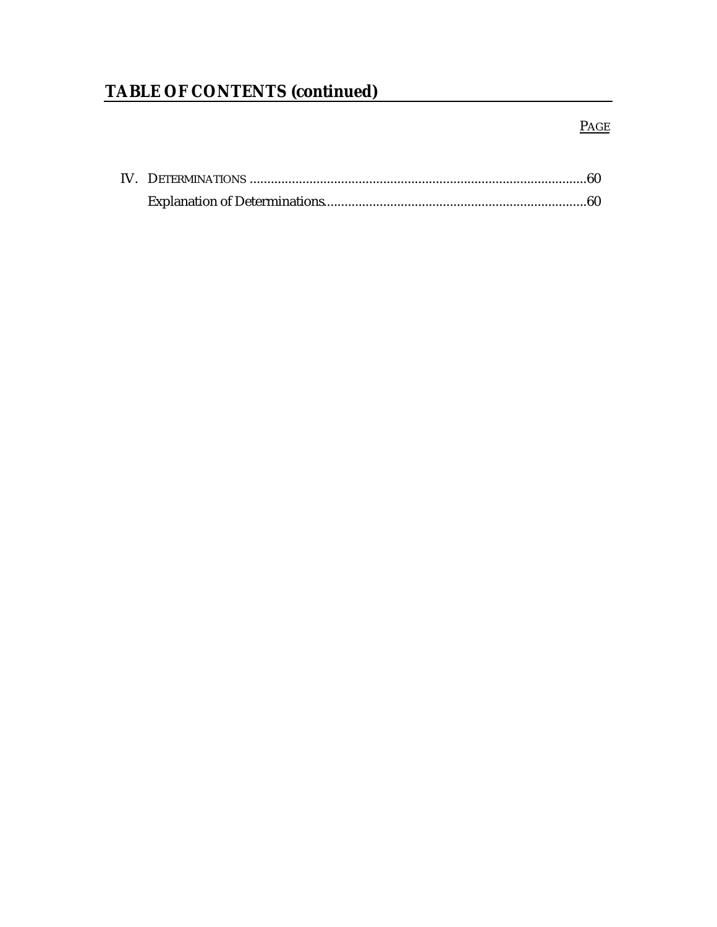# **TABLE OF CONTENTS (continued)**

### **PAGE**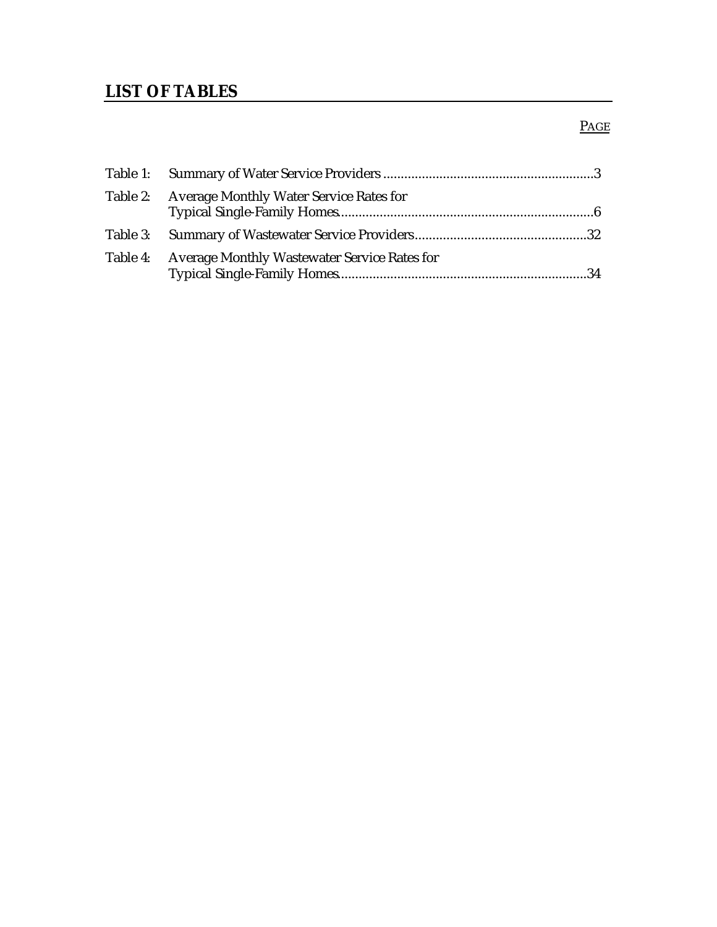## **LIST OF TABLES**

### **PAGE**

| Table 2: Average Monthly Water Service Rates for      |  |
|-------------------------------------------------------|--|
|                                                       |  |
| Table 4: Average Monthly Wastewater Service Rates for |  |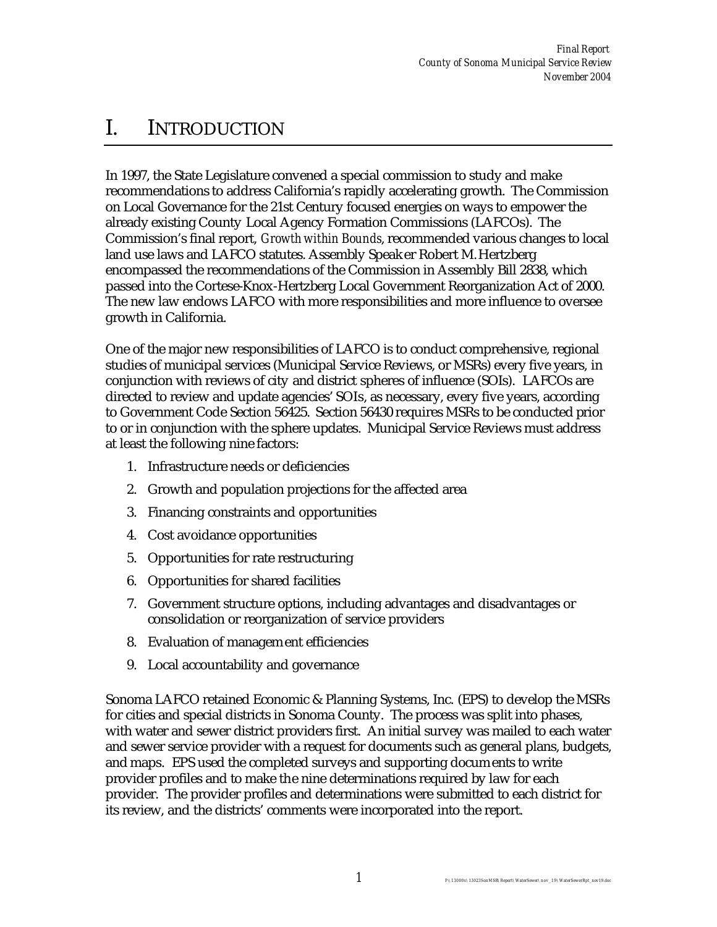# I. INTRODUCTION

In 1997, the State Legislature convened a special commission to study and make recommendations to address California's rapidly accelerating growth. The Commission on Local Governance for the 21st Century focused energies on ways to empower the already existing County Local Agency Formation Commissions (LAFCOs). The Commission's final report, *Growth within Bounds*, recommended various changes to local land use laws and LAFCO statutes. Assembly Speaker Robert M. Hertzberg encompassed the recommendations of the Commission in Assembly Bill 2838, which passed into the Cortese-Knox-Hertzberg Local Government Reorganization Act of 2000. The new law endows LAFCO with more responsibilities and more influence to oversee growth in California.

One of the major new responsibilities of LAFCO is to conduct comprehensive, regional studies of municipal services (Municipal Service Reviews, or MSRs) every five years, in conjunction with reviews of city and district spheres of influence (SOIs). LAFCOs are directed to review and update agencies' SOIs, as necessary, every five years, according to Government Code Section 56425. Section 56430 requires MSRs to be conducted prior to or in conjunction with the sphere updates. Municipal Service Reviews must address at least the following nine factors:

- 1. Infrastructure needs or deficiencies
- 2. Growth and population projections for the affected area
- 3. Financing constraints and opportunities
- 4. Cost avoidance opportunities
- 5. Opportunities for rate restructuring
- 6. Opportunities for shared facilities
- 7. Government structure options, including advantages and disadvantages or consolidation or reorganization of service providers
- 8. Evaluation of management efficiencies
- 9. Local accountability and governance

Sonoma LAFCO retained Economic & Planning Systems, Inc. (EPS) to develop the MSRs for cities and special districts in Sonoma County. The process was split into phases, with water and sewer district providers first. An initial survey was mailed to each water and sewer service provider with a request for documents such as general plans, budgets, and maps. EPS used the completed surveys and supporting documents to write provider profiles and to make the nine determinations required by law for each provider. The provider profiles and determinations were submitted to each district for its review, and the districts' comments were incorporated into the report.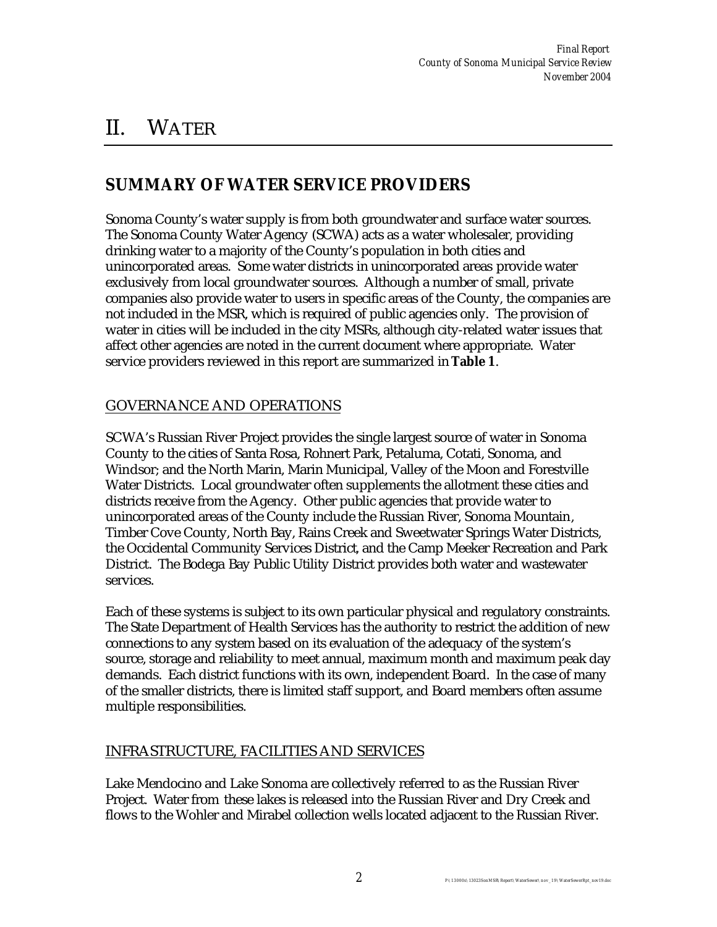# II. WATER

### **SUMMARY OF WATER SERVICE PROVIDERS**

Sonoma County's water supply is from both groundwater and surface water sources. The Sonoma County Water Agency (SCWA) acts as a water wholesaler, providing drinking water to a majority of the County's population in both cities and unincorporated areas. Some water districts in unincorporated areas provide water exclusively from local groundwater sources. Although a number of small, private companies also provide water to users in specific areas of the County, the companies are not included in the MSR, which is required of public agencies only. The provision of water in cities will be included in the city MSRs, although city-related water issues that affect other agencies are noted in the current document where appropriate. Water service providers reviewed in this report are summarized in **Table 1**.

### GOVERNANCE AND OPERATIONS

SCWA's Russian River Project provides the single largest source of water in Sonoma County to the cities of Santa Rosa, Rohnert Park, Petaluma, Cotati, Sonoma, and Windsor; and the North Marin, Marin Municipal, Valley of the Moon and Forestville Water Districts. Local groundwater often supplements the allotment these cities and districts receive from the Agency. Other public agencies that provide water to unincorporated areas of the County include the Russian River, Sonoma Mountain, Timber Cove County, North Bay, Rains Creek and Sweetwater Springs Water Districts, the Occidental Community Services District, and the Camp Meeker Recreation and Park District. The Bodega Bay Public Utility District provides both water and wastewater services.

Each of these systems is subject to its own particular physical and regulatory constraints. The State Department of Health Services has the authority to restrict the addition of new connections to any system based on its evaluation of the adequacy of the system's source, storage and reliability to meet annual, maximum month and maximum peak day demands. Each district functions with its own, independent Board. In the case of many of the smaller districts, there is limited staff support, and Board members often assume multiple responsibilities.

### INFRASTRUCTURE, FACILITIES AND SERVICES

Lake Mendocino and Lake Sonoma are collectively referred to as the Russian River Project. Water from these lakes is released into the Russian River and Dry Creek and flows to the Wohler and Mirabel collection wells located adjacent to the Russian River.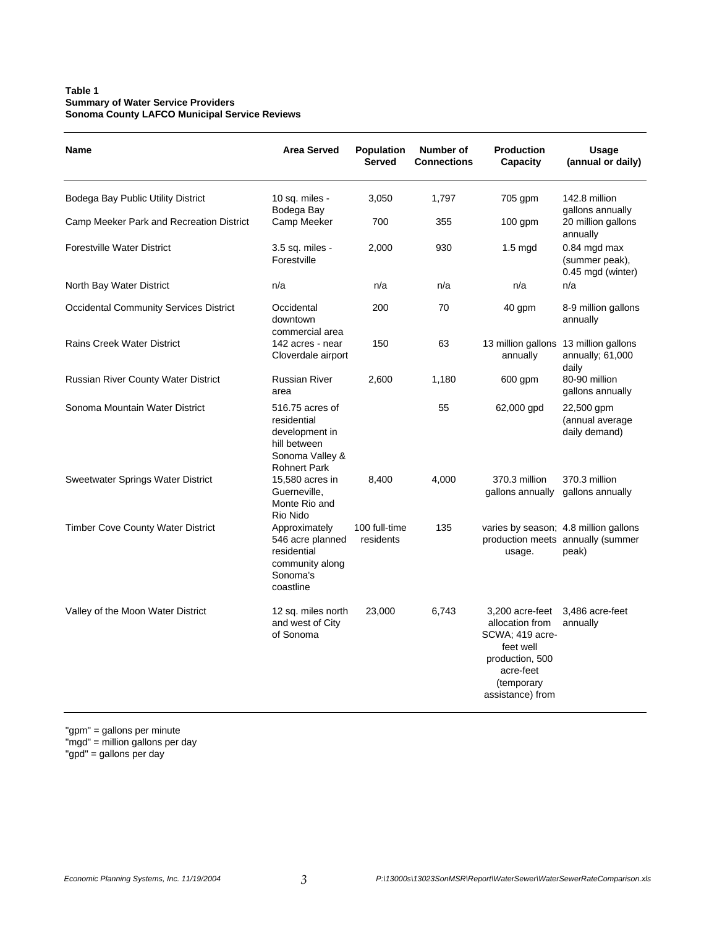#### **Table 1 Summary of Water Service Providers Sonoma County LAFCO Municipal Service Reviews**

| <b>Name</b>                                   | <b>Area Served</b>                                                                                         | Population<br><b>Served</b> | Number of<br><b>Connections</b> | <b>Production</b><br>Capacity                                                                                                        | Usage<br>(annual or daily)                                                          |
|-----------------------------------------------|------------------------------------------------------------------------------------------------------------|-----------------------------|---------------------------------|--------------------------------------------------------------------------------------------------------------------------------------|-------------------------------------------------------------------------------------|
| Bodega Bay Public Utility District            | 10 sq. miles -<br>Bodega Bay                                                                               | 3,050                       | 1.797                           | 705 gpm                                                                                                                              | 142.8 million<br>gallons annually                                                   |
| Camp Meeker Park and Recreation District      | Camp Meeker                                                                                                | 700                         | 355                             | $100$ gpm                                                                                                                            | 20 million gallons<br>annually                                                      |
| <b>Forestville Water District</b>             | 3.5 sq. miles -<br>Forestville                                                                             | 2,000                       | 930                             | $1.5 \text{ mgd}$                                                                                                                    | 0.84 mgd max<br>(summer peak),<br>0.45 mgd (winter)                                 |
| North Bay Water District                      | n/a                                                                                                        | n/a                         | n/a                             | n/a                                                                                                                                  | n/a                                                                                 |
| <b>Occidental Community Services District</b> | Occidental<br>downtown<br>commercial area                                                                  | 200                         | 70                              | 40 gpm                                                                                                                               | 8-9 million gallons<br>annually                                                     |
| <b>Rains Creek Water District</b>             | 142 acres - near<br>Cloverdale airport                                                                     | 150                         | 63                              | 13 million gallons<br>annually                                                                                                       | 13 million gallons<br>annually; $61,000$<br>daily                                   |
| Russian River County Water District           | <b>Russian River</b><br>area                                                                               | 2,600                       | 1,180                           | 600 gpm                                                                                                                              | 80-90 million<br>gallons annually                                                   |
| Sonoma Mountain Water District                | 516.75 acres of<br>residential<br>development in<br>hill between<br>Sonoma Valley &<br><b>Rohnert Park</b> |                             | 55                              | 62,000 gpd                                                                                                                           | 22,500 gpm<br>(annual average<br>daily demand)                                      |
| Sweetwater Springs Water District             | 15,580 acres in<br>Guerneville.<br>Monte Rio and<br>Rio Nido                                               | 8,400                       | 4,000                           | 370.3 million<br>gallons annually                                                                                                    | 370.3 million<br>gallons annually                                                   |
| <b>Timber Cove County Water District</b>      | Approximately<br>546 acre planned<br>residential<br>community along<br>Sonoma's<br>coastline               | 100 full-time<br>residents  | 135                             | usage.                                                                                                                               | varies by season; 4.8 million gallons<br>production meets annually (summer<br>peak) |
| Valley of the Moon Water District             | 12 sq. miles north<br>and west of City<br>of Sonoma                                                        | 23,000                      | 6,743                           | 3.200 acre-feet<br>allocation from<br>SCWA; 419 acre-<br>feet well<br>production, 500<br>acre-feet<br>(temporary<br>assistance) from | 3,486 acre-feet<br>annually                                                         |

"gpm" = gallons per minute

"mgd" = million gallons per day

"gpd" = gallons per day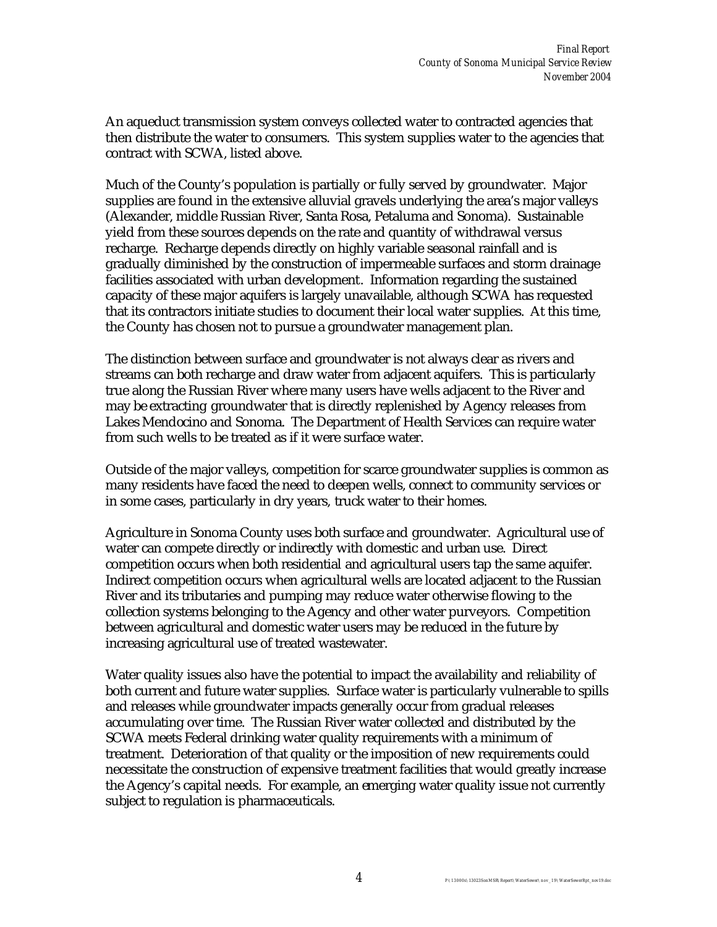An aqueduct transmission system conveys collected water to contracted agencies that then distribute the water to consumers. This system supplies water to the agencies that contract with SCWA, listed above.

Much of the County's population is partially or fully served by groundwater. Major supplies are found in the extensive alluvial gravels underlying the area's major valleys (Alexander, middle Russian River, Santa Rosa, Petaluma and Sonoma). Sustainable yield from these sources depends on the rate and quantity of withdrawal versus recharge. Recharge depends directly on highly variable seasonal rainfall and is gradually diminished by the construction of impermeable surfaces and storm drainage facilities associated with urban development. Information regarding the sustained capacity of these major aquifers is largely unavailable, although SCWA has requested that its contractors initiate studies to document their local water supplies. At this time, the County has chosen not to pursue a groundwater management plan.

The distinction between surface and groundwater is not always clear as rivers and streams can both recharge and draw water from adjacent aquifers. This is particularly true along the Russian River where many users have wells adjacent to the River and may be extracting groundwater that is directly replenished by Agency releases from Lakes Mendocino and Sonoma. The Department of Health Services can require water from such wells to be treated as if it were surface water.

Outside of the major valleys, competition for scarce groundwater supplies is common as many residents have faced the need to deepen wells, connect to community services or in some cases, particularly in dry years, truck water to their homes.

Agriculture in Sonoma County uses both surface and groundwater. Agricultural use of water can compete directly or indirectly with domestic and urban use. Direct competition occurs when both residential and agricultural users tap the same aquifer. Indirect competition occurs when agricultural wells are located adjacent to the Russian River and its tributaries and pumping may reduce water otherwise flowing to the collection systems belonging to the Agency and other water purveyors. Competition between agricultural and domestic water users may be reduced in the future by increasing agricultural use of treated wastewater.

Water quality issues also have the potential to impact the availability and reliability of both current and future water supplies. Surface water is particularly vulnerable to spills and releases while groundwater impacts generally occur from gradual releases accumulating over time. The Russian River water collected and distributed by the SCWA meets Federal drinking water quality requirements with a minimum of treatment. Deterioration of that quality or the imposition of new requirements could necessitate the construction of expensive treatment facilities that would greatly increase the Agency's capital needs. For example, an emerging water quality issue not currently subject to regulation is pharmaceuticals.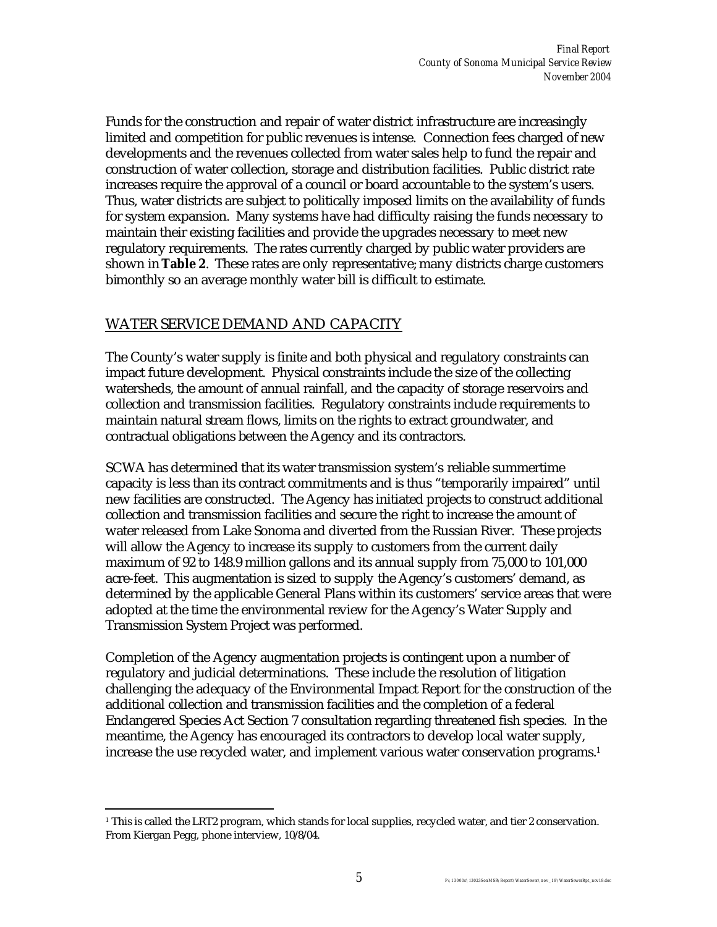Funds for the construction and repair of water district infrastructure are increasingly limited and competition for public revenues is intense. Connection fees charged of new developments and the revenues collected from water sales help to fund the repair and construction of water collection, storage and distribution facilities. Public district rate increases require the approval of a council or board accountable to the system's users. Thus, water districts are subject to politically imposed limits on the availability of funds for system expansion. Many systems have had difficulty raising the funds necessary to maintain their existing facilities and provide the upgrades necessary to meet new regulatory requirements. The rates currently charged by public water providers are shown in **Table 2**. These rates are only representative; many districts charge customers bimonthly so an average monthly water bill is difficult to estimate.

#### WATER SERVICE DEMAND AND CAPACITY

 $\overline{a}$ 

The County's water supply is finite and both physical and regulatory constraints can impact future development. Physical constraints include the size of the collecting watersheds, the amount of annual rainfall, and the capacity of storage reservoirs and collection and transmission facilities. Regulatory constraints include requirements to maintain natural stream flows, limits on the rights to extract groundwater, and contractual obligations between the Agency and its contractors.

SCWA has determined that its water transmission system's reliable summertime capacity is less than its contract commitments and is thus "temporarily impaired" until new facilities are constructed. The Agency has initiated projects to construct additional collection and transmission facilities and secure the right to increase the amount of water released from Lake Sonoma and diverted from the Russian River. These projects will allow the Agency to increase its supply to customers from the current daily maximum of 92 to 148.9 million gallons and its annual supply from 75,000 to 101,000 acre-feet. This augmentation is sized to supply the Agency's customers' demand, as determined by the applicable General Plans within its customers' service areas that were adopted at the time the environmental review for the Agency's Water Supply and Transmission System Project was performed.

Completion of the Agency augmentation projects is contingent upon a number of regulatory and judicial determinations. These include the resolution of litigation challenging the adequacy of the Environmental Impact Report for the construction of the additional collection and transmission facilities and the completion of a federal Endangered Species Act Section 7 consultation regarding threatened fish species. In the meantime, the Agency has encouraged its contractors to develop local water supply, increase the use recycled water, and implement various water conservation programs.<sup>1</sup>

<sup>1</sup> This is called the LRT2 program, which stands for local supplies, recycled water, and tier 2 conservation. From Kiergan Pegg, phone interview, 10/8/04.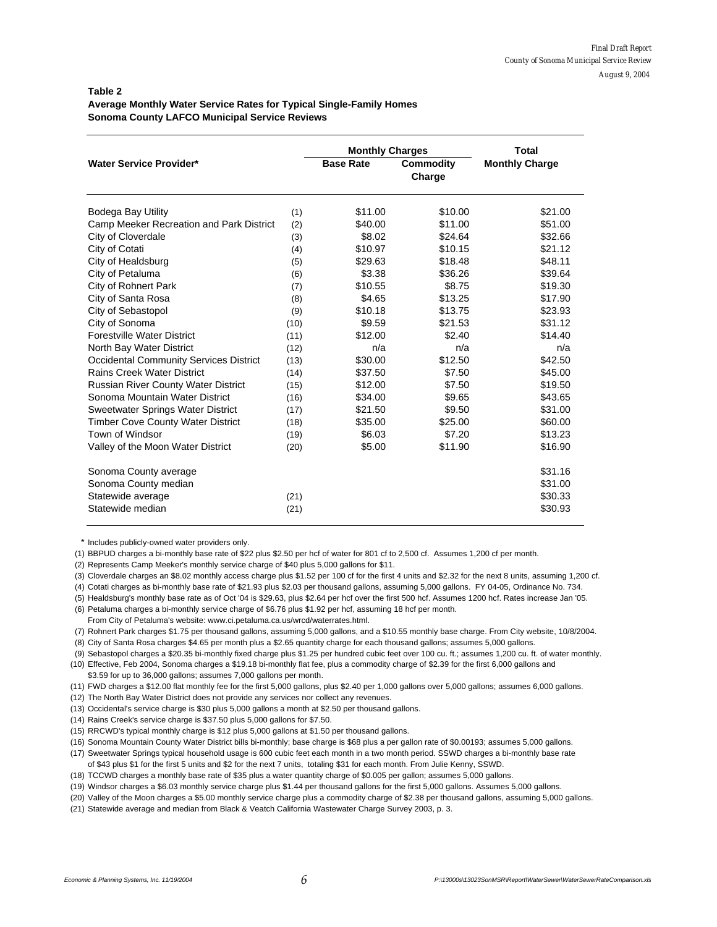#### **Table 2 Average Monthly Water Service Rates for Typical Single-Family Homes Sonoma County LAFCO Municipal Service Reviews**

|                                               | <b>Monthly Charges</b> | Total            |                            |                       |
|-----------------------------------------------|------------------------|------------------|----------------------------|-----------------------|
| <b>Water Service Provider*</b>                |                        | <b>Base Rate</b> | <b>Commodity</b><br>Charge | <b>Monthly Charge</b> |
| <b>Bodega Bay Utility</b>                     | (1)                    | \$11.00          | \$10.00                    | \$21.00               |
| Camp Meeker Recreation and Park District      | (2)                    | \$40.00          | \$11.00                    | \$51.00               |
| City of Cloverdale                            | (3)                    | \$8.02           | \$24.64                    | \$32.66               |
| City of Cotati                                | (4)                    | \$10.97          | \$10.15                    | \$21.12               |
| City of Healdsburg                            | (5)                    | \$29.63          | \$18.48                    | \$48.11               |
| City of Petaluma                              | (6)                    | \$3.38           | \$36.26                    | \$39.64               |
| City of Rohnert Park                          | (7)                    | \$10.55          | \$8.75                     | \$19.30               |
| City of Santa Rosa                            | (8)                    | \$4.65           | \$13.25                    | \$17.90               |
| City of Sebastopol                            | (9)                    | \$10.18          | \$13.75                    | \$23.93               |
| City of Sonoma                                | (10)                   | \$9.59           | \$21.53                    | \$31.12               |
| <b>Forestville Water District</b>             | (11)                   | \$12.00          | \$2.40                     | \$14.40               |
| North Bay Water District                      | (12)                   | n/a              | n/a                        | n/a                   |
| <b>Occidental Community Services District</b> | (13)                   | \$30.00          | \$12.50                    | \$42.50               |
| <b>Rains Creek Water District</b>             | (14)                   | \$37.50          | \$7.50                     | \$45.00               |
| <b>Russian River County Water District</b>    | (15)                   | \$12.00          | \$7.50                     | \$19.50               |
| Sonoma Mountain Water District                | (16)                   | \$34.00          | \$9.65                     | \$43.65               |
| Sweetwater Springs Water District             | (17)                   | \$21.50          | \$9.50                     | \$31.00               |
| <b>Timber Cove County Water District</b>      | (18)                   | \$35.00          | \$25.00                    | \$60.00               |
| Town of Windsor                               | (19)                   | \$6.03           | \$7.20                     | \$13.23               |
| Valley of the Moon Water District             | (20)                   | \$5.00           | \$11.90                    | \$16.90               |
| Sonoma County average                         |                        |                  |                            | \$31.16               |
| Sonoma County median                          |                        |                  |                            | \$31.00               |
| Statewide average                             | (21)                   |                  |                            | \$30.33               |
| Statewide median                              | (21)                   |                  |                            | \$30.93               |

\* Includes publicly-owned water providers only.

(1) BBPUD charges a bi-monthly base rate of \$22 plus \$2.50 per hcf of water for 801 cf to 2,500 cf. Assumes 1,200 cf per month.

(2) Represents Camp Meeker's monthly service charge of \$40 plus 5,000 gallons for \$11.

(3) Cloverdale charges an \$8.02 monthly access charge plus \$1.52 per 100 cf for the first 4 units and \$2.32 for the next 8 units, assuming 1,200 cf.

(4) Cotati charges as bi-monthly base rate of \$21.93 plus \$2.03 per thousand gallons, assuming 5,000 gallons. FY 04-05, Ordinance No. 734.

(5) Healdsburg's monthly base rate as of Oct '04 is \$29.63, plus \$2.64 per hcf over the first 500 hcf. Assumes 1200 hcf. Rates increase Jan '05.

(6) Petaluma charges a bi-monthly service charge of \$6.76 plus \$1.92 per hcf, assuming 18 hcf per month.

From City of Petaluma's website: www.ci.petaluma.ca.us/wrcd/waterrates.html.

(7) Rohnert Park charges \$1.75 per thousand gallons, assuming 5,000 gallons, and a \$10.55 monthly base charge. From City website, 10/8/2004.

(8) City of Santa Rosa charges \$4.65 per month plus a \$2.65 quantity charge for each thousand gallons; assumes 5,000 gallons.

 (9) Sebastopol charges a \$20.35 bi-monthly fixed charge plus \$1.25 per hundred cubic feet over 100 cu. ft.; assumes 1,200 cu. ft. of water monthly. (10) Effective, Feb 2004, Sonoma charges a \$19.18 bi-monthly flat fee, plus a commodity charge of \$2.39 for the first 6,000 gallons and

\$3.59 for up to 36,000 gallons; assumes 7,000 gallons per month.

(11) FWD charges a \$12.00 flat monthly fee for the first 5,000 gallons, plus \$2.40 per 1,000 gallons over 5,000 gallons; assumes 6,000 gallons.

(12) The North Bay Water District does not provide any services nor collect any revenues.

(13) Occidental's service charge is \$30 plus 5,000 gallons a month at \$2.50 per thousand gallons.

(14) Rains Creek's service charge is \$37.50 plus 5,000 gallons for \$7.50.

(15) RRCWD's typical monthly charge is \$12 plus 5,000 gallons at \$1.50 per thousand gallons.

(16) Sonoma Mountain County Water District bills bi-monthly; base charge is \$68 plus a per gallon rate of \$0.00193; assumes 5,000 gallons.

- (17) Sweetwater Springs typical household usage is 600 cubic feet each month in a two month period. SSWD charges a bi-monthly base rate of \$43 plus \$1 for the first 5 units and \$2 for the next 7 units, totaling \$31 for each month. From Julie Kenny, SSWD.
- (18) TCCWD charges a monthly base rate of \$35 plus a water quantity charge of \$0.005 per gallon; assumes 5,000 gallons.

(19) Windsor charges a \$6.03 monthly service charge plus \$1.44 per thousand gallons for the first 5,000 gallons. Assumes 5,000 gallons.

(20) Valley of the Moon charges a \$5.00 monthly service charge plus a commodity charge of \$2.38 per thousand gallons, assuming 5,000 gallons.

(21) Statewide average and median from Black & Veatch California Wastewater Charge Survey 2003, p. 3.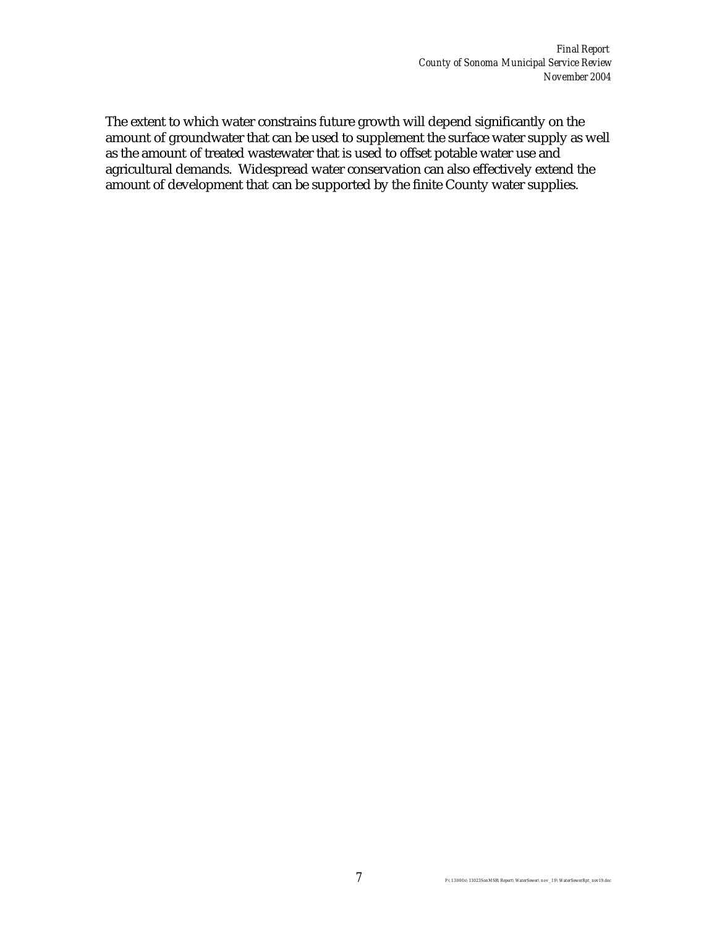The extent to which water constrains future growth will depend significantly on the amount of groundwater that can be used to supplement the surface water supply as well as the amount of treated wastewater that is used to offset potable water use and agricultural demands. Widespread water conservation can also effectively extend the amount of development that can be supported by the finite County water supplies.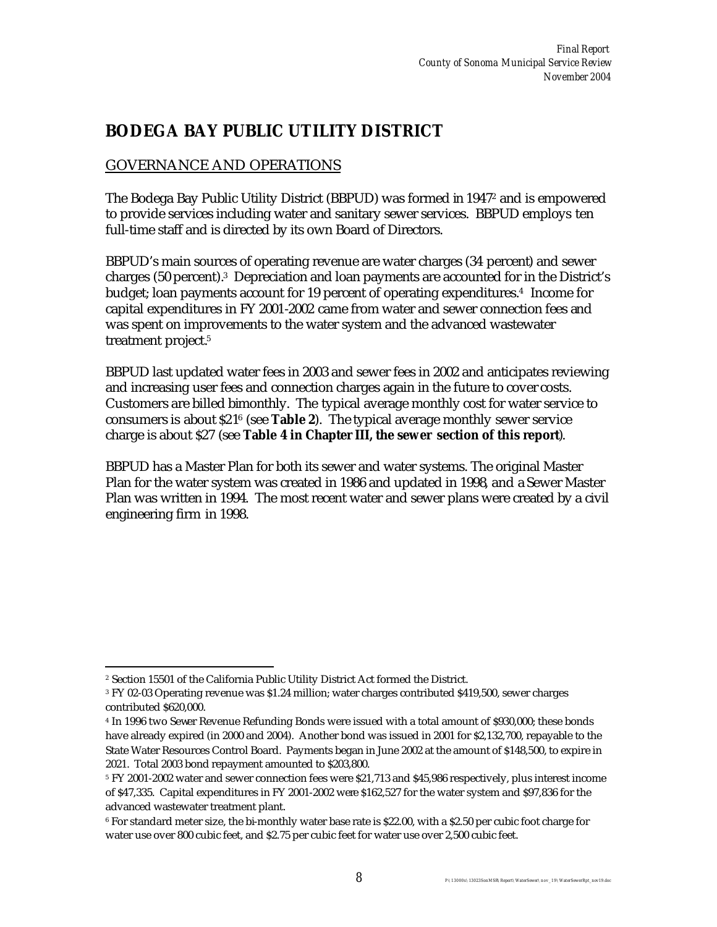## **BODEGA BAY PUBLIC UTILITY DISTRICT**

### GOVERNANCE AND OPERATIONS

The Bodega Bay Public Utility District (BBPUD) was formed in 1947<sup>2</sup> and is empowered to provide services including water and sanitary sewer services. BBPUD employs ten full-time staff and is directed by its own Board of Directors.

BBPUD's main sources of operating revenue are water charges (34 percent) and sewer charges (50 percent).<sup>3</sup> Depreciation and loan payments are accounted for in the District's budget; loan payments account for 19 percent of operating expenditures.<sup>4</sup> Income for capital expenditures in FY 2001-2002 came from water and sewer connection fees and was spent on improvements to the water system and the advanced wastewater treatment project.<sup>5</sup>

BBPUD last updated water fees in 2003 and sewer fees in 2002 and anticipates reviewing and increasing user fees and connection charges again in the future to cover costs. Customers are billed bimonthly. The typical average monthly cost for water service to consumers is about \$21<sup>6</sup> (see **Table 2**). The typical average monthly sewer service charge is about \$27 (see **Table 4 in Chapter III, the sewer section of this report**).

BBPUD has a Master Plan for both its sewer and water systems. The original Master Plan for the water system was created in 1986 and updated in 1998, and a Sewer Master Plan was written in 1994. The most recent water and sewer plans were created by a civil engineering firm in 1998.

 $\overline{a}$ 2 Section 15501 of the California Public Utility District Act formed the District.

<sup>3</sup> FY 02-03 Operating revenue was \$1.24 million; water charges contributed \$419,500, sewer charges contributed \$620,000.

<sup>4</sup> In 1996 two Sewer Revenue Refunding Bonds were issued with a total amount of \$930,000; these bonds have already expired (in 2000 and 2004). Another bond was issued in 2001 for \$2,132,700, repayable to the State Water Resources Control Board. Payments began in June 2002 at the amount of \$148,500, to expire in 2021. Total 2003 bond repayment amounted to \$203,800.

<sup>5</sup> FY 2001-2002 water and sewer connection fees were \$21,713 and \$45,986 respectively, plus interest income of \$47,335. Capital expenditures in FY 2001-2002 were \$162,527 for the water system and \$97,836 for the advanced wastewater treatment plant.

<sup>6</sup> For standard meter size, the bi-monthly water base rate is \$22.00, with a \$2.50 per cubic foot charge for water use over 800 cubic feet, and \$2.75 per cubic feet for water use over 2,500 cubic feet.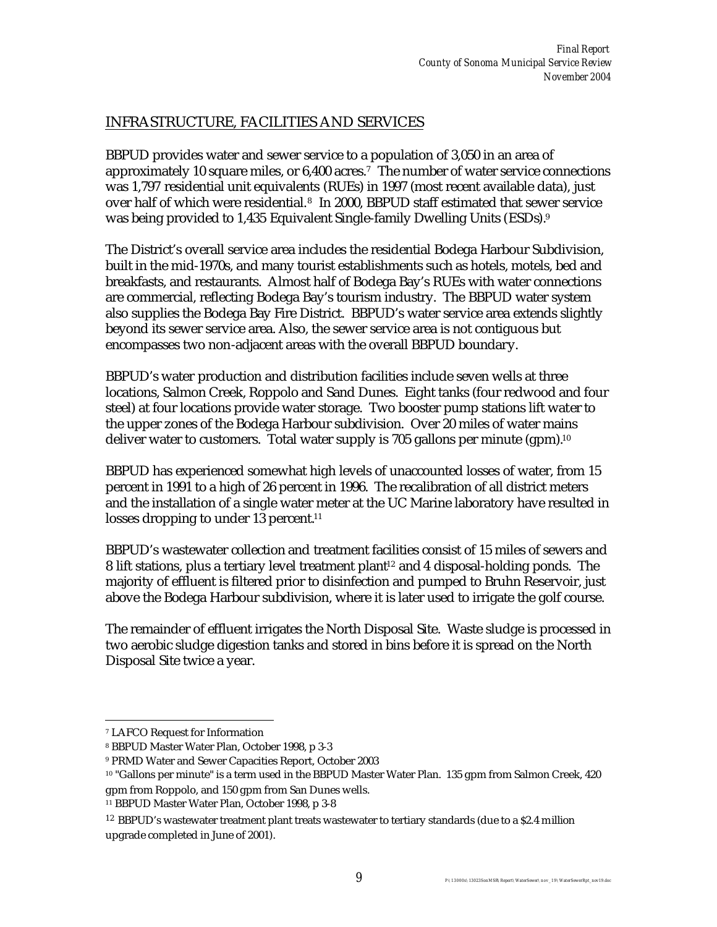### INFRASTRUCTURE, FACILITIES AND SERVICES

BBPUD provides water and sewer service to a population of 3,050 in an area of approximately 10 square miles, or 6,400 acres.<sup>7</sup> The number of water service connections was 1,797 residential unit equivalents (RUEs) in 1997 (most recent available data), just over half of which were residential.<sup>8</sup> In 2000, BBPUD staff estimated that sewer service was being provided to 1,435 Equivalent Single-family Dwelling Units (ESDs). 9

The District's overall service area includes the residential Bodega Harbour Subdivision, built in the mid-1970s, and many tourist establishments such as hotels, motels, bed and breakfasts, and restaurants. Almost half of Bodega Bay's RUEs with water connections are commercial, reflecting Bodega Bay's tourism industry. The BBPUD water system also supplies the Bodega Bay Fire District. BBPUD's water service area extends slightly beyond its sewer service area. Also, the sewer service area is not contiguous but encompasses two non-adjacent areas with the overall BBPUD boundary.

BBPUD's water production and distribution facilities include seven wells at three locations, Salmon Creek, Roppolo and Sand Dunes. Eight tanks (four redwood and four steel) at four locations provide water storage. Two booster pump stations lift water to the upper zones of the Bodega Harbour subdivision. Over 20 miles of water mains deliver water to customers. Total water supply is 705 gallons per minute (gpm).<sup>10</sup>

BBPUD has experienced somewhat high levels of unaccounted losses of water, from 15 percent in 1991 to a high of 26 percent in 1996. The recalibration of all district meters and the installation of a single water meter at the UC Marine laboratory have resulted in losses dropping to under 13 percent.<sup>11</sup>

BBPUD's wastewater collection and treatment facilities consist of 15 miles of sewers and 8 lift stations, plus a tertiary level treatment plant<sup>12</sup> and 4 disposal-holding ponds. The majority of effluent is filtered prior to disinfection and pumped to Bruhn Reservoir, just above the Bodega Harbour subdivision, where it is later used to irrigate the golf course.

The remainder of effluent irrigates the North Disposal Site. Waste sludge is processed in two aerobic sludge digestion tanks and stored in bins before it is spread on the North Disposal Site twice a year.

 $\overline{a}$ 

<sup>7</sup> LAFCO Request for Information

<sup>8</sup> BBPUD Master Water Plan, October 1998, p 3-3

<sup>9</sup> PRMD Water and Sewer Capacities Report, October 2003

<sup>10</sup> "Gallons per minute" is a term used in the BBPUD Master Water Plan. 135 gpm from Salmon Creek, 420 gpm from Roppolo, and 150 gpm from San Dunes wells.

<sup>11</sup> BBPUD Master Water Plan, October 1998, p 3-8

 $12$  BBPUD's wastewater treatment plant treats wastewater to tertiary standards (due to a \$2.4 million upgrade completed in June of 2001).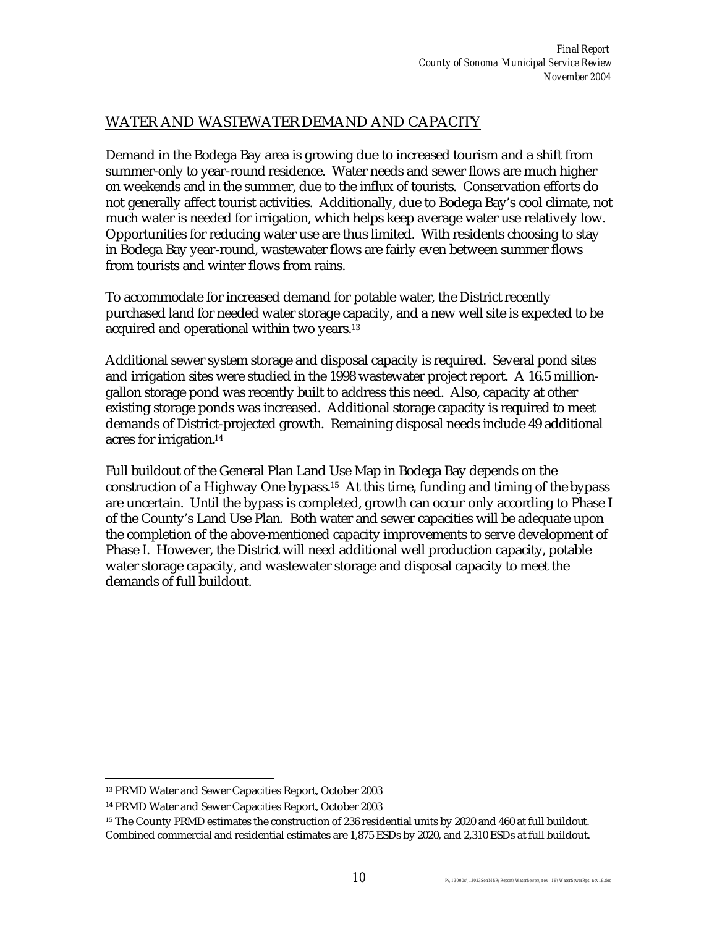### WATER AND WASTEWATER DEMAND AND CAPACITY

Demand in the Bodega Bay area is growing due to increased tourism and a shift from summer-only to year-round residence. Water needs and sewer flows are much higher on weekends and in the summer, due to the influx of tourists. Conservation efforts do not generally affect tourist activities. Additionally, due to Bodega Bay's cool climate, not much water is needed for irrigation, which helps keep average water use relatively low. Opportunities for reducing water use are thus limited. With residents choosing to stay in Bodega Bay year-round, wastewater flows are fairly even between summer flows from tourists and winter flows from rains.

To accommodate for increased demand for potable water, the District recently purchased land for needed water storage capacity, and a new well site is expected to be acquired and operational within two years.<sup>13</sup>

Additional sewer system storage and disposal capacity is required. Several pond sites and irrigation sites were studied in the 1998 wastewater project report. A 16.5 milliongallon storage pond was recently built to address this need. Also, capacity at other existing storage ponds was increased. Additional storage capacity is required to meet demands of District-projected growth. Remaining disposal needs include 49 additional acres for irrigation.<sup>14</sup>

Full buildout of the General Plan Land Use Map in Bodega Bay depends on the construction of a Highway One bypass.15 At this time, funding and timing of the bypass are uncertain. Until the bypass is completed, growth can occur only according to Phase I of the County's Land Use Plan. Both water and sewer capacities will be adequate upon the completion of the above-mentioned capacity improvements to serve development of Phase I. However, the District will need additional well production capacity, potable water storage capacity, and wastewater storage and disposal capacity to meet the demands of full buildout.

 $\overline{a}$ <sup>13</sup> PRMD Water and Sewer Capacities Report, October 2003

<sup>14</sup> PRMD Water and Sewer Capacities Report, October 2003

<sup>&</sup>lt;sup>15</sup> The County PRMD estimates the construction of 236 residential units by 2020 and 460 at full buildout. Combined commercial and residential estimates are 1,875 ESDs by 2020, and 2,310 ESDs at full buildout.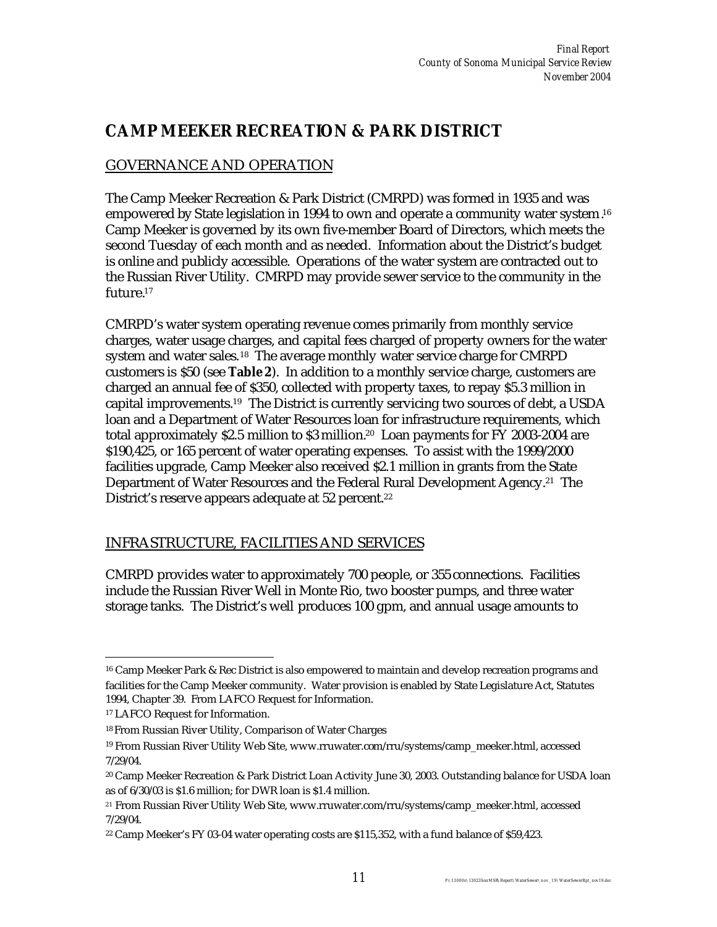### **CAMP MEEKER RECREATION & PARK DISTRICT**

### GOVERNANCE AND OPERATION

The Camp Meeker Recreation & Park District (CMRPD) was formed in 1935 and was empowered by State legislation in 1994 to own and operate a community water system. 16 Camp Meeker is governed by its own five-member Board of Directors, which meets the second Tuesday of each month and as needed. Information about the District's budget is online and publicly accessible. Operations of the water system are contracted out to the Russian River Utility. CMRPD may provide sewer service to the community in the future.<sup>17</sup>

CMRPD's water system operating revenue comes primarily from monthly service charges, water usage charges, and capital fees charged of property owners for the water system and water sales.<sup>18</sup> The average monthly water service charge for CMRPD customers is \$50 (see **Table 2**). In addition to a monthly service charge, customers are charged an annual fee of \$350, collected with property taxes, to repay \$5.3 million in capital improvements.<sup>19</sup> The District is currently servicing two sources of debt, a USDA loan and a Department of Water Resources loan for infrastructure requirements, which total approximately \$2.5 million to \$3 million.20 Loan payments for FY 2003-2004 are \$190,425, or 165 percent of water operating expenses. To assist with the 1999/2000 facilities upgrade, Camp Meeker also received \$2.1 million in grants from the State Department of Water Resources and the Federal Rural Development Agency.<sup>21</sup> The District's reserve appears adequate at 52 percent.<sup>22</sup>

### INFRASTRUCTURE, FACILITIES AND SERVICES

CMRPD provides water to approximately 700 people, or 355 connections. Facilities include the Russian River Well in Monte Rio, two booster pumps, and three water storage tanks. The District's well produces 100 gpm, and annual usage amounts to

 $\overline{a}$ 

<sup>16</sup> Camp Meeker Park & Rec District is also empowered to maintain and develop recreation programs and facilities for the Camp Meeker community. Water provision is enabled by State Legislature Act, Statutes 1994, Chapter 39. From LAFCO Request for Information.

<sup>17</sup> LAFCO Request for Information.

<sup>18</sup> From Russian River Utility, Comparison of Water Charges

<sup>19</sup> From Russian River Utility Web Site, www.rruwater.com/rru/systems/camp\_meeker.html, accessed 7/29/04.

<sup>20</sup> Camp Meeker Recreation & Park District Loan Activity June 30, 2003. Outstanding balance for USDA loan as of 6/30/03 is \$1.6 million; for DWR loan is \$1.4 million.

<sup>21</sup> From Russian River Utility Web Site, www.rruwater.com/rru/systems/camp\_meeker.html, accessed 7/29/04.

<sup>22</sup> Camp Meeker's FY 03-04 water operating costs are \$115,352, with a fund balance of \$59,423.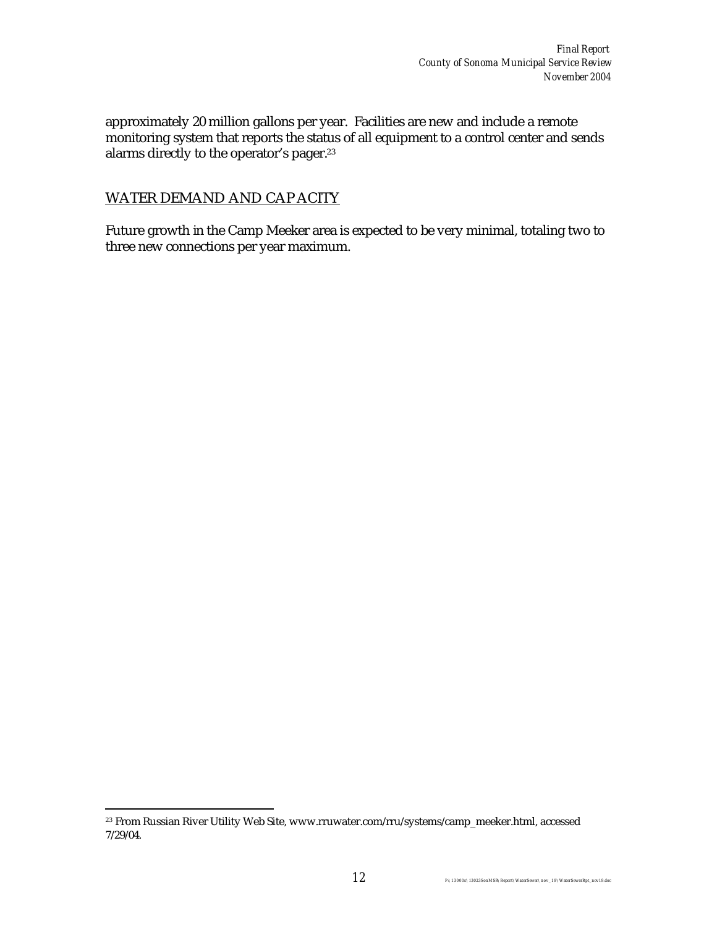approximately 20 million gallons per year. Facilities are new and include a remote monitoring system that reports the status of all equipment to a control center and sends alarms directly to the operator's pager. 23

#### WATER DEMAND AND CAP ACITY

Future growth in the Camp Meeker area is expected to be very minimal, totaling two to three new connections per year maximum.

 $\overline{a}$ <sup>23</sup> From Russian River Utility Web Site, www.rruwater.com/rru/systems/camp\_meeker.html, accessed 7/29/04.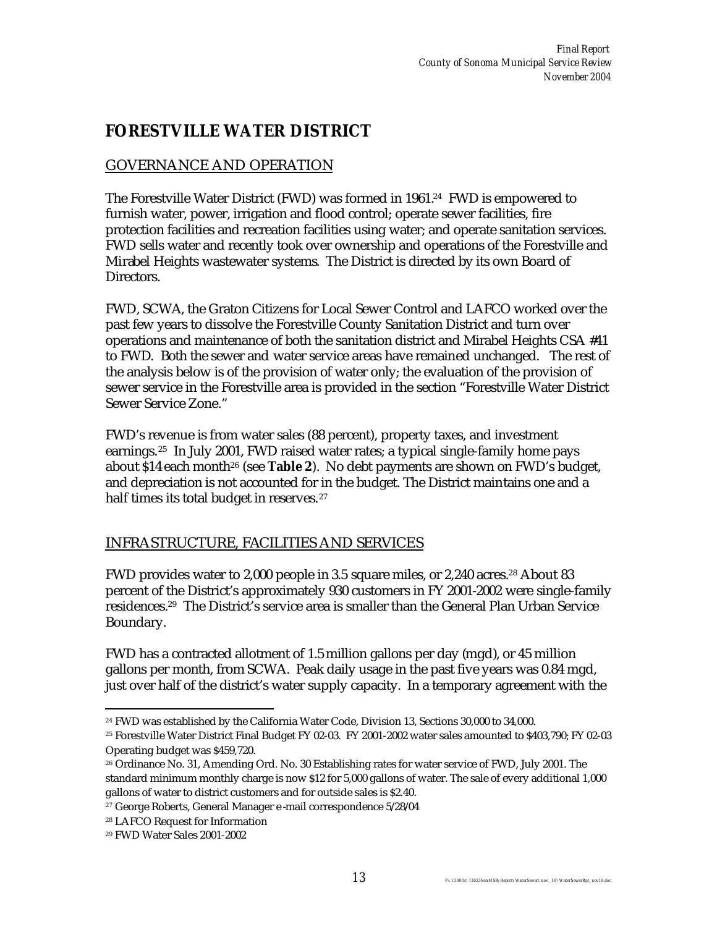## **FORESTVILLE WATER DISTRICT**

### GOVERNANCE AND OPERATION

The Forestville Water District (FWD) was formed in 1961.<sup>24</sup> FWD is empowered to furnish water, power, irrigation and flood control; operate sewer facilities, fire protection facilities and recreation facilities using water; and operate sanitation services. FWD sells water and recently took over ownership and operations of the Forestville and Mirabel Heights wastewater systems. The District is directed by its own Board of Directors.

FWD, SCWA, the Graton Citizens for Local Sewer Control and LAFCO worked over the past few years to dissolve the Forestville County Sanitation District and turn over operations and maintenance of both the sanitation district and Mirabel Heights CSA #41 to FWD. Both the sewer and water service areas have remained unchanged. The rest of the analysis below is of the provision of water only; the evaluation of the provision of sewer service in the Forestville area is provided in the section "Forestville Water District Sewer Service Zone."

FWD's revenue is from water sales (88 percent), property taxes, and investment earnings.25 In July 2001, FWD raised water rates; a typical single-family home pays about \$14 each month26 (see **Table 2**). No debt payments are shown on FWD's budget, and depreciation is not accounted for in the budget. The District maintains one and a half times its total budget in reserves.<sup>27</sup>

### INFRASTRUCTURE, FACILITIES AND SERVICES

FWD provides water to 2,000 people in 3.5 square miles, or 2,240 acres.28 About 83 percent of the District's approximately 930 customers in FY 2001-2002 were single-family residences.29 The District's service area is smaller than the General Plan Urban Service Boundary.

FWD has a contracted allotment of 1.5 million gallons per day (mgd), or 45 million gallons per month, from SCWA. Peak daily usage in the past five years was 0.84 mgd, just over half of the district's water supply capacity. In a temporary agreement with the

 $\overline{a}$ <sup>24</sup> FWD was established by the California Water Code, Division 13, Sections 30,000 to 34,000.

<sup>25</sup> Forestville Water District Final Budget FY 02-03. FY 2001-2002 water sales amounted to \$403,790; FY 02-03 Operating budget was \$459,720.

<sup>26</sup> Ordinance No. 31, Amending Ord. No. 30 Establishing rates for water service of FWD, July 2001. The standard minimum monthly charge is now \$12 for 5,000 gallons of water. The sale of every additional 1,000 gallons of water to district customers and for outside sales is \$2.40.

<sup>27</sup> George Roberts, General Manager e -mail correspondence 5/28/04

<sup>28</sup> LAFCO Request for Information

<sup>29</sup> FWD Water Sales 2001-2002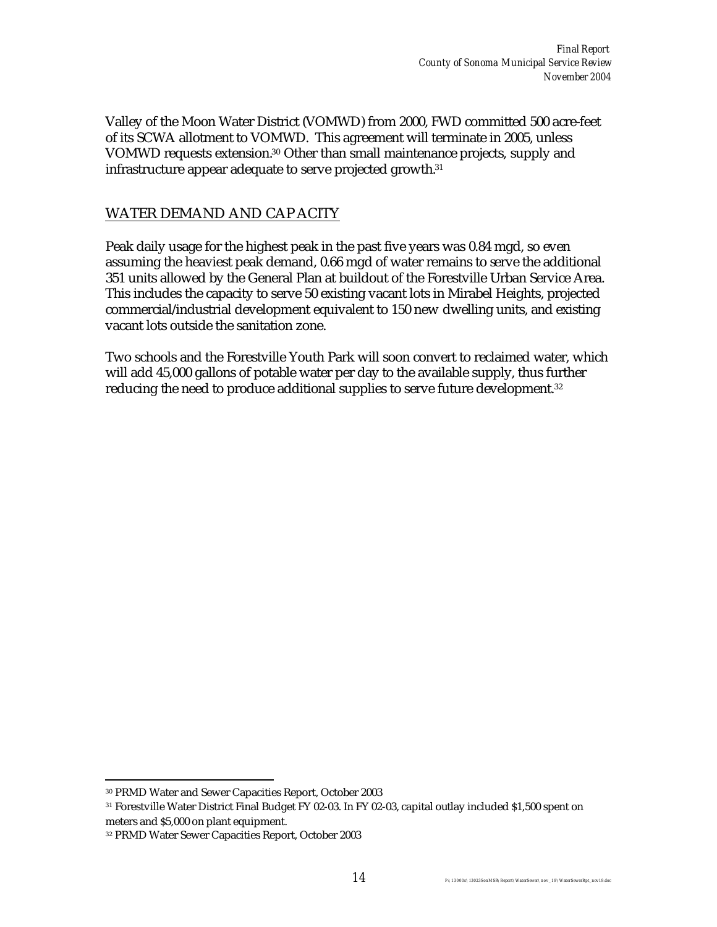Valley of the Moon Water District (VOMWD) from 2000, FWD committed 500 acre-feet of its SCWA allotment to VOMWD. This agreement will terminate in 2005, unless VOMWD requests extension.30 Other than small maintenance projects, supply and infrastructure appear adequate to serve projected growth.<sup>31</sup>

#### WATER DEMAND AND CAP ACITY

Peak daily usage for the highest peak in the past five years was 0.84 mgd, so even assuming the heaviest peak demand, 0.66 mgd of water remains to serve the additional 351 units allowed by the General Plan at buildout of the Forestville Urban Service Area. This includes the capacity to serve 50 existing vacant lots in Mirabel Heights, projected commercial/industrial development equivalent to 150 new dwelling units, and existing vacant lots outside the sanitation zone.

Two schools and the Forestville Youth Park will soon convert to reclaimed water, which will add 45,000 gallons of potable water per day to the available supply, thus further reducing the need to produce additional supplies to serve future development.<sup>32</sup>

 $\overline{a}$ <sup>30</sup> PRMD Water and Sewer Capacities Report, October 2003

<sup>31</sup> Forestville Water District Final Budget FY 02-03. In FY 02-03, capital outlay included \$1,500 spent on meters and \$5,000 on plant equipment.

<sup>32</sup> PRMD Water Sewer Capacities Report, October 2003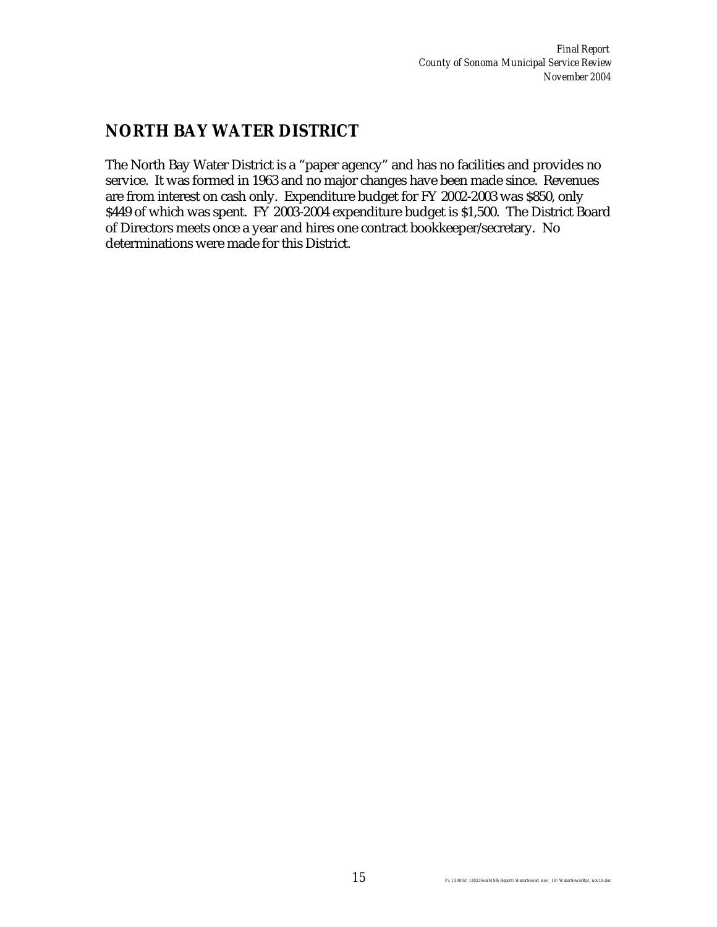### **NORTH BAY WATER DISTRICT**

The North Bay Water District is a "paper agency" and has no facilities and provides no service. It was formed in 1963 and no major changes have been made since. Revenues are from interest on cash only. Expenditure budget for FY 2002-2003 was \$850, only \$449 of which was spent. FY 2003-2004 expenditure budget is \$1,500. The District Board of Directors meets once a year and hires one contract bookkeeper/secretary. No determinations were made for this District.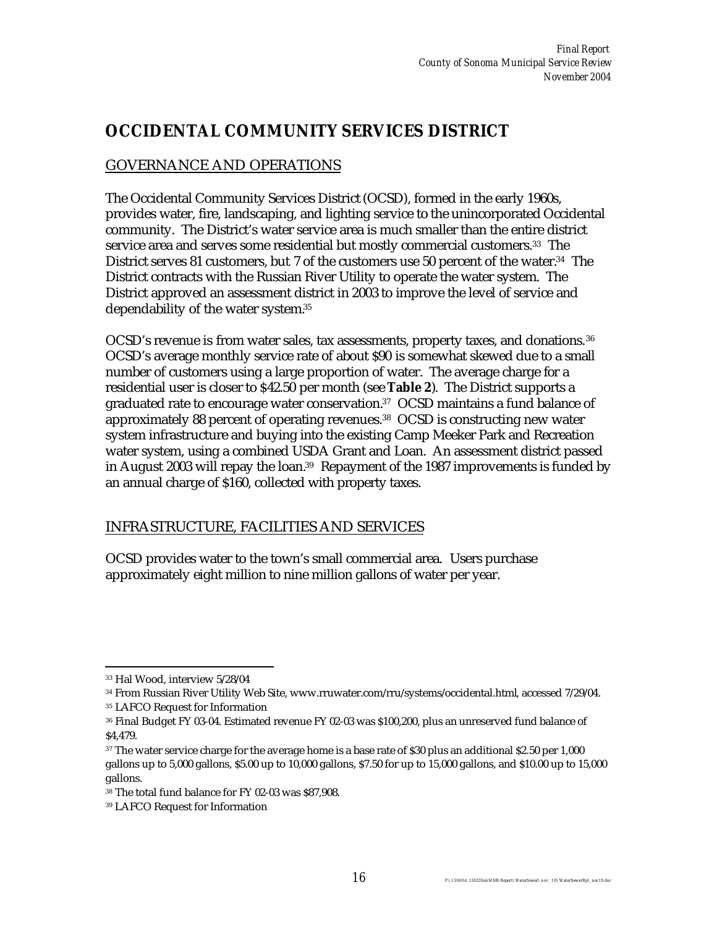## **OCCIDENTAL COMMUNITY SERVICES DISTRICT**

### GOVERNANCE AND OPERATIONS

The Occidental Community Services District (OCSD), formed in the early 1960s, provides water, fire, landscaping, and lighting service to the unincorporated Occidental community. The District's water service area is much smaller than the entire district service area and serves some residential but mostly commercial customers.<sup>33</sup> The District serves 81 customers, but 7 of the customers use 50 percent of the water.<sup>34</sup> The District contracts with the Russian River Utility to operate the water system. The District approved an assessment district in 2003 to improve the level of service and dependability of the water system.<sup>35</sup>

OCSD's revenue is from water sales, tax assessments, property taxes, and donations.<sup>36</sup> OCSD's average monthly service rate of about \$90 is somewhat skewed due to a small number of customers using a large proportion of water. The average charge for a residential user is closer to \$42.50 per month (see **Table 2**). The District supports a graduated rate to encourage water conservation.37 OCSD maintains a fund balance of approximately 88 percent of operating revenues.38 OCSD is constructing new water system infrastructure and buying into the existing Camp Meeker Park and Recreation water system, using a combined USDA Grant and Loan. An assessment district passed in August 2003 will repay the loan.<sup>39</sup> Repayment of the 1987 improvements is funded by an annual charge of \$160, collected with property taxes.

### INFRASTRUCTURE, FACILITIES AND SERVICES

OCSD provides water to the town's small commercial area. Users purchase approximately eight million to nine million gallons of water per year.

<sup>35</sup> LAFCO Request for Information

 $\overline{a}$ <sup>33</sup> Hal Wood, interview 5/28/04

<sup>34</sup> From Russian River Utility Web Site, www.rruwater.com/rru/systems/occidental.html, accessed 7/29/04.

<sup>36</sup> Final Budget FY 03-04. Estimated revenue FY 02-03 was \$100,200, plus an unreserved fund balance of \$4,479.

<sup>&</sup>lt;sup>37</sup> The water service charge for the average home is a base rate of \$30 plus an additional \$2.50 per 1,000 gallons up to 5,000 gallons, \$5.00 up to 10,000 gallons, \$7.50 for up to 15,000 gallons, and \$10.00 up to 15,000 gallons.

<sup>38</sup> The total fund balance for FY 02-03 was \$87,908.

<sup>39</sup> LAFCO Request for Information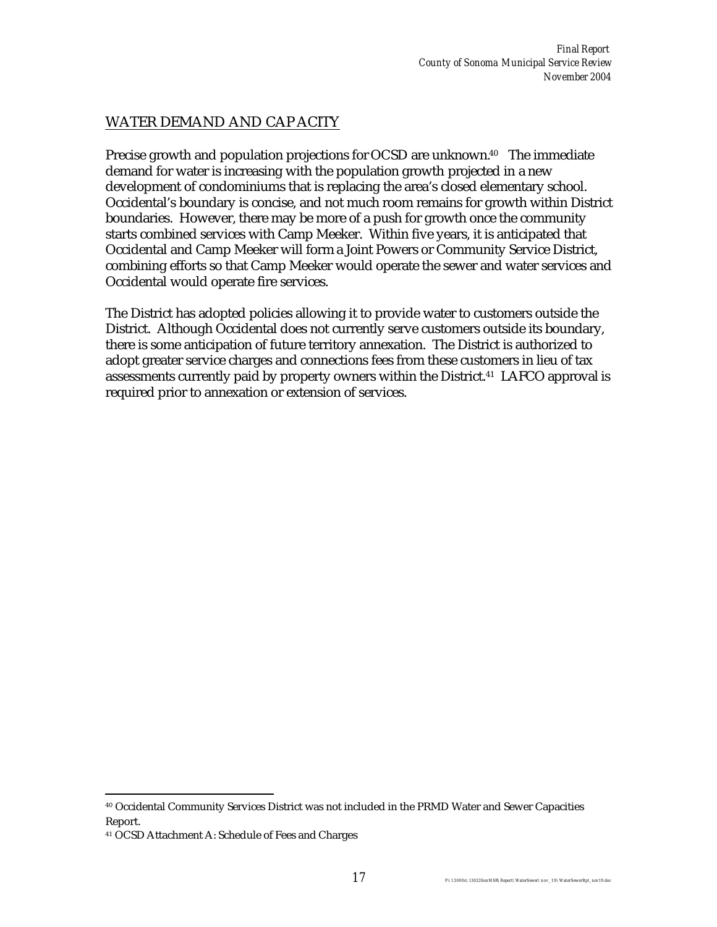### WATER DEMAND AND CAP ACITY

Precise growth and population projections for OCSD are unknown.<sup>40</sup> The immediate demand for water is increasing with the population growth projected in a new development of condominiums that is replacing the area's closed elementary school. Occidental's boundary is concise, and not much room remains for growth within District boundaries. However, there may be more of a push for growth once the community starts combined services with Camp Meeker. Within five years, it is anticipated that Occidental and Camp Meeker will form a Joint Powers or Community Service District, combining efforts so that Camp Meeker would operate the sewer and water services and Occidental would operate fire services.

The District has adopted policies allowing it to provide water to customers outside the District. Although Occidental does not currently serve customers outside its boundary, there is some anticipation of future territory annexation. The District is authorized to adopt greater service charges and connections fees from these customers in lieu of tax assessments currently paid by property owners within the District.41 LAFCO approval is required prior to annexation or extension of services.

 $\overline{a}$ 

<sup>40</sup> Occidental Community Services District was not included in the PRMD Water and Sewer Capacities Report.

<sup>41</sup> OCSD Attachment A: Schedule of Fees and Charges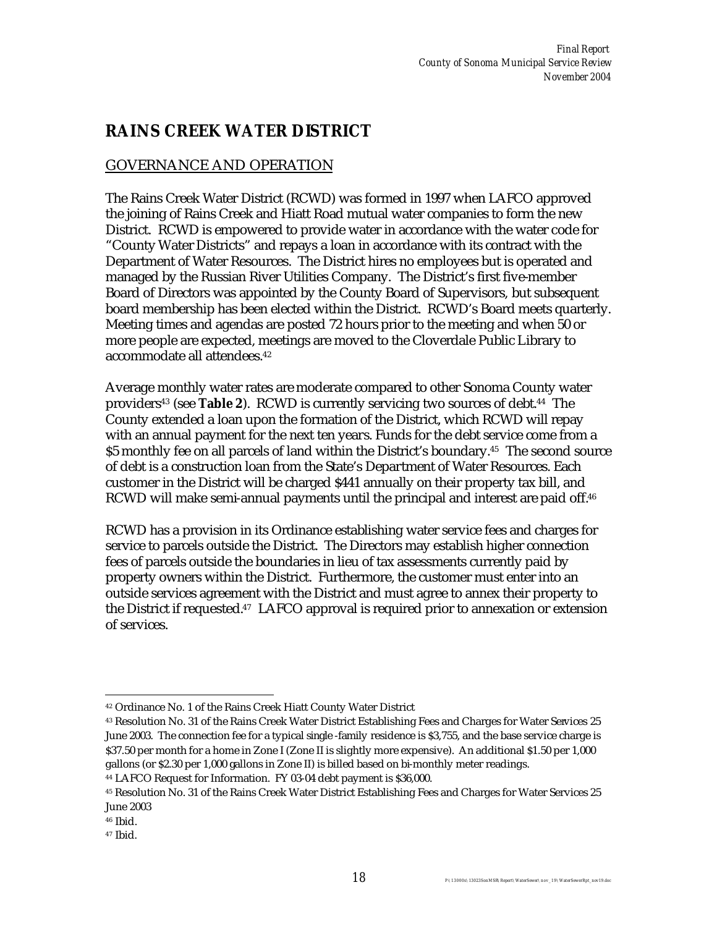## **RAINS CREEK WATER DISTRICT**

### GOVERNANCE AND OPERATION

The Rains Creek Water District (RCWD) was formed in 1997 when LAFCO approved the joining of Rains Creek and Hiatt Road mutual water companies to form the new District. RCWD is empowered to provide water in accordance with the water code for "County Water Districts" and repays a loan in accordance with its contract with the Department of Water Resources. The District hires no employees but is operated and managed by the Russian River Utilities Company. The District's first five-member Board of Directors was appointed by the County Board of Supervisors, but subsequent board membership has been elected within the District. RCWD's Board meets quarterly. Meeting times and agendas are posted 72 hours prior to the meeting and when 50 or more people are expected, meetings are moved to the Cloverdale Public Library to accommodate all attendees.<sup>42</sup>

Average monthly water rates are moderate compared to other Sonoma County water providers43 (see **Table 2**). RCWD is currently servicing two sources of debt.44 The County extended a loan upon the formation of the District, which RCWD will repay with an annual payment for the next ten years. Funds for the debt service come from a \$5 monthly fee on all parcels of land within the District's boundary.45 The second source of debt is a construction loan from the State's Department of Water Resources. Each customer in the District will be charged \$441 annually on their property tax bill, and RCWD will make semi-annual payments until the principal and interest are paid off.<sup>46</sup>

RCWD has a provision in its Ordinance establishing water service fees and charges for service to parcels outside the District. The Directors may establish higher connection fees of parcels outside the boundaries in lieu of tax assessments currently paid by property owners within the District. Furthermore, the customer must enter into an outside services agreement with the District and must agree to annex their property to the District if requested.47 LAFCO approval is required prior to annexation or extension of services.

 $\overline{a}$ <sup>42</sup> Ordinance No. 1 of the Rains Creek Hiatt County Water District

<sup>43</sup> Resolution No. 31 of the Rains Creek Water District Establishing Fees and Charges for Water Services 25 June 2003. The connection fee for a typical single -family residence is \$3,755, and the base service charge is \$37.50 per month for a home in Zone I (Zone II is slightly more expensive). An additional \$1.50 per 1,000 gallons (or \$2.30 per 1,000 gallons in Zone II) is billed based on bi-monthly meter readings.

<sup>44</sup> LAFCO Request for Information. FY 03-04 debt payment is \$36,000.

<sup>45</sup> Resolution No. 31 of the Rains Creek Water District Establishing Fees and Charges for Water Services 25 June 2003

<sup>46</sup> Ibid.

<sup>47</sup> Ibid.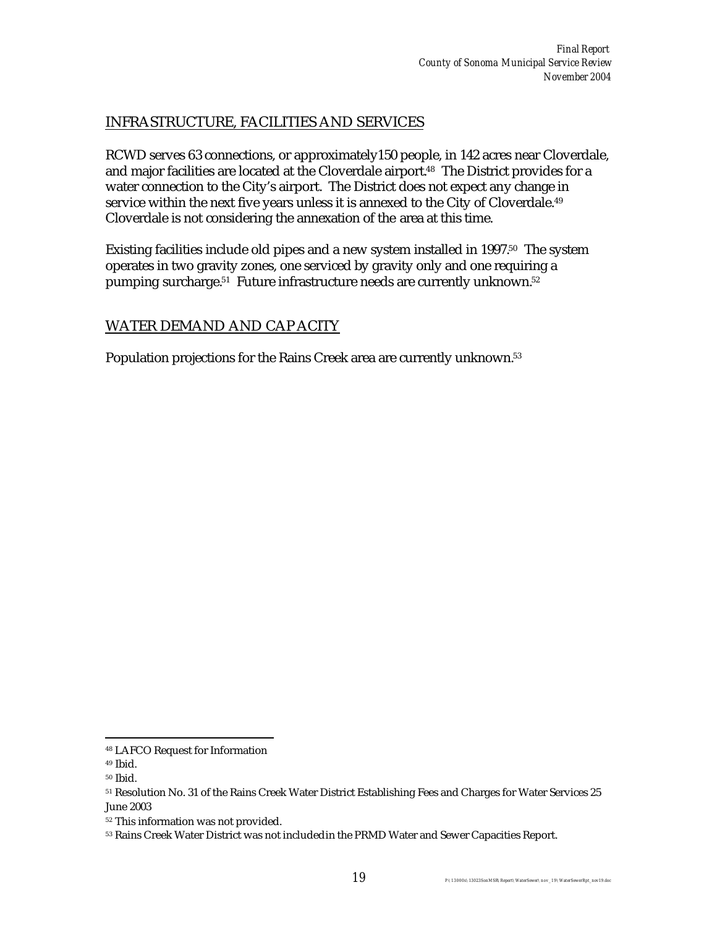### INFRASTRUCTURE, FACILITIES AND SERVICES

RCWD serves 63 connections, or approximately150 people, in 142 acres near Cloverdale, and major facilities are located at the Cloverdale airport.<sup>48</sup> The District provides for a water connection to the City's airport. The District does not expect any change in service within the next five years unless it is annexed to the City of Cloverdale.<sup>49</sup> Cloverdale is not considering the annexation of the area at this time.

Existing facilities include old pipes and a new system installed in 1997.<sup>50</sup> The system operates in two gravity zones, one serviced by gravity only and one requiring a pumping surcharge.<sup>51</sup> Future infrastructure needs are currently unknown.<sup>52</sup>

#### WATER DEMAND AND CAP ACITY

Population projections for the Rains Creek area are currently unknown.<sup>53</sup>

 $\overline{a}$ 

<sup>48</sup> LAFCO Request for Information

<sup>49</sup> Ibid.

<sup>50</sup> Ibid.

<sup>51</sup> Resolution No. 31 of the Rains Creek Water District Establishing Fees and Charges for Water Services 25 June 2003

<sup>52</sup> This information was not provided.

<sup>53</sup> Rains Creek Water District was not included in the PRMD Water and Sewer Capacities Report.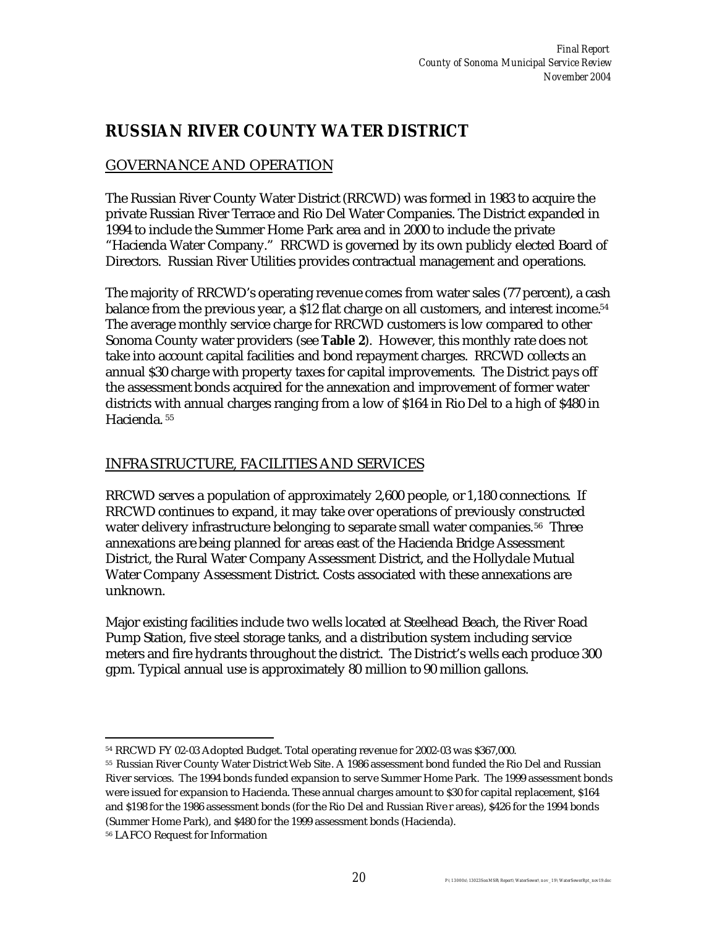### **RUSSIAN RIVER COUNTY WATER DISTRICT**

### GOVERNANCE AND OPERATION

The Russian River County Water District (RRCWD) was formed in 1983 to acquire the private Russian River Terrace and Rio Del Water Companies. The District expanded in 1994 to include the Summer Home Park area and in 2000 to include the private "Hacienda Water Company." RRCWD is governed by its own publicly elected Board of Directors. Russian River Utilities provides contractual management and operations.

The majority of RRCWD's operating revenue comes from water sales (77 percent), a cash balance from the previous year, a \$12 flat charge on all customers, and interest income.<sup>54</sup> The average monthly service charge for RRCWD customers is low compared to other Sonoma County water providers (see **Table 2**). However, this monthly rate does not take into account capital facilities and bond repayment charges. RRCWD collects an annual \$30 charge with property taxes for capital improvements. The District pays off the assessment bonds acquired for the annexation and improvement of former water districts with annual charges ranging from a low of \$164 in Rio Del to a high of \$480 in Hacienda. <sup>55</sup>

#### INFRASTRUCTURE, FACILITIES AND SERVICES

RRCWD serves a population of approximately 2,600 people, or 1,180 connections. If RRCWD continues to expand, it may take over operations of previously constructed water delivery infrastructure belonging to separate small water companies.<sup>56</sup> Three annexations are being planned for areas east of the Hacienda Bridge Assessment District, the Rural Water Company Assessment District, and the Hollydale Mutual Water Company Assessment District. Costs associated with these annexations are unknown.

Major existing facilities include two wells located at Steelhead Beach, the River Road Pump Station, five steel storage tanks, and a distribution system including service meters and fire hydrants throughout the district. The District's wells each produce 300 gpm. Typical annual use is approximately 80 million to 90 million gallons.

 $\overline{a}$ <sup>54</sup> RRCWD FY 02-03 Adopted Budget. Total operating revenue for 2002-03 was \$367,000.

<sup>55</sup> Russian River County Water District Web Site. A 1986 assessment bond funded the Rio Del and Russian River services. The 1994 bonds funded expansion to serve Summer Home Park. The 1999 assessment bonds were issued for expansion to Hacienda. These annual charges amount to \$30 for capital replacement, \$164 and \$198 for the 1986 assessment bonds (for the Rio Del and Russian Rive r areas), \$426 for the 1994 bonds (Summer Home Park), and \$480 for the 1999 assessment bonds (Hacienda).

<sup>56</sup> LAFCO Request for Information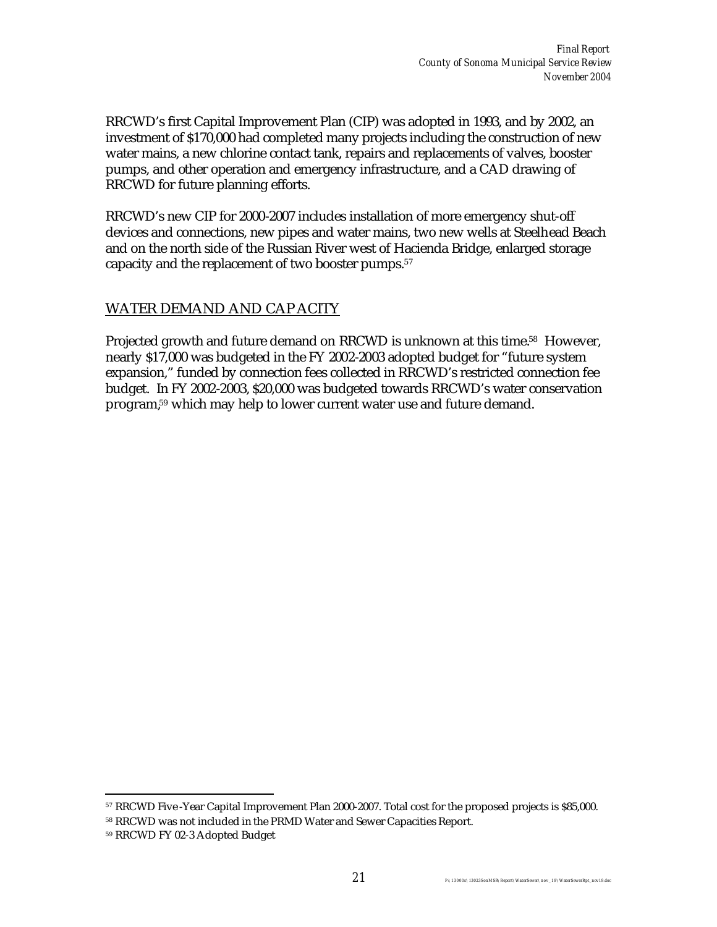RRCWD's first Capital Improvement Plan (CIP) was adopted in 1993, and by 2002, an investment of \$170,000 had completed many projects including the construction of new water mains, a new chlorine contact tank, repairs and replacements of valves, booster pumps, and other operation and emergency infrastructure, and a CAD drawing of RRCWD for future planning efforts.

RRCWD's new CIP for 2000-2007 includes installation of more emergency shut-off devices and connections, new pipes and water mains, two new wells at Steelhead Beach and on the north side of the Russian River west of Hacienda Bridge, enlarged storage capacity and the replacement of two booster pumps.<sup>57</sup>

#### WATER DEMAND AND CAP ACITY

Projected growth and future demand on RRCWD is unknown at this time.<sup>58</sup> However, nearly \$17,000 was budgeted in the FY 2002-2003 adopted budget for "future system expansion," funded by connection fees collected in RRCWD's restricted connection fee budget. In FY 2002-2003, \$20,000 was budgeted towards RRCWD's water conservation program,59 which may help to lower current water use and future demand.

 $\overline{a}$ 

<sup>57</sup> RRCWD Five -Year Capital Improvement Plan 2000-2007. Total cost for the proposed projects is \$85,000.

<sup>58</sup> RRCWD was not included in the PRMD Water and Sewer Capacities Report.

<sup>59</sup> RRCWD FY 02-3 Adopted Budget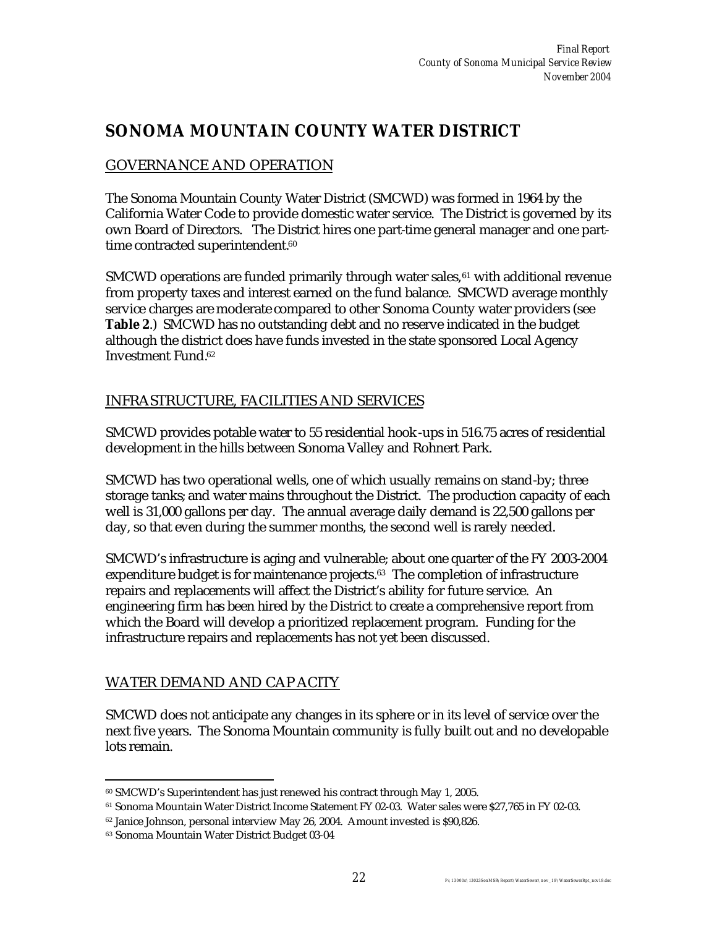### **SONOMA MOUNTAIN COUNTY WATER DISTRICT**

### GOVERNANCE AND OPERATION

The Sonoma Mountain County Water District (SMCWD) was formed in 1964 by the California Water Code to provide domestic water service. The District is governed by its own Board of Directors. The District hires one part-time general manager and one parttime contracted superintendent.<sup>60</sup>

 $SMCWD$  operations are funded primarily through water sales,  $61$  with additional revenue from property taxes and interest earned on the fund balance. SMCWD average monthly service charges are moderate compared to other Sonoma County water providers (see **Table 2**.) SMCWD has no outstanding debt and no reserve indicated in the budget although the district does have funds invested in the state sponsored Local Agency Investment Fund.<sup>62</sup>

#### INFRASTRUCTURE, FACILITIES AND SERVICES

SMCWD provides potable water to 55 residential hook-ups in 516.75 acres of residential development in the hills between Sonoma Valley and Rohnert Park.

SMCWD has two operational wells, one of which usually remains on stand-by; three storage tanks; and water mains throughout the District. The production capacity of each well is 31,000 gallons per day. The annual average daily demand is 22,500 gallons per day, so that even during the summer months, the second well is rarely needed.

SMCWD's infrastructure is aging and vulnerable; about one quarter of the FY 2003-2004 expenditure budget is for maintenance projects.<sup>63</sup> The completion of infrastructure repairs and replacements will affect the District's ability for future service. An engineering firm has been hired by the District to create a comprehensive report from which the Board will develop a prioritized replacement program. Funding for the infrastructure repairs and replacements has not yet been discussed.

### WATER DEMAND AND CAP ACITY

SMCWD does not anticipate any changes in its sphere or in its level of service over the next five years. The Sonoma Mountain community is fully built out and no developable lots remain.

 $\overline{a}$ <sup>60</sup> SMCWD's Superintendent has just renewed his contract through May 1, 2005.

<sup>61</sup> Sonoma Mountain Water District Income Statement FY 02-03. Water sales were \$27,765 in FY 02-03.

<sup>62</sup> Janice Johnson, personal interview May 26, 2004. Amount invested is \$90,826.

<sup>63</sup> Sonoma Mountain Water District Budget 03-04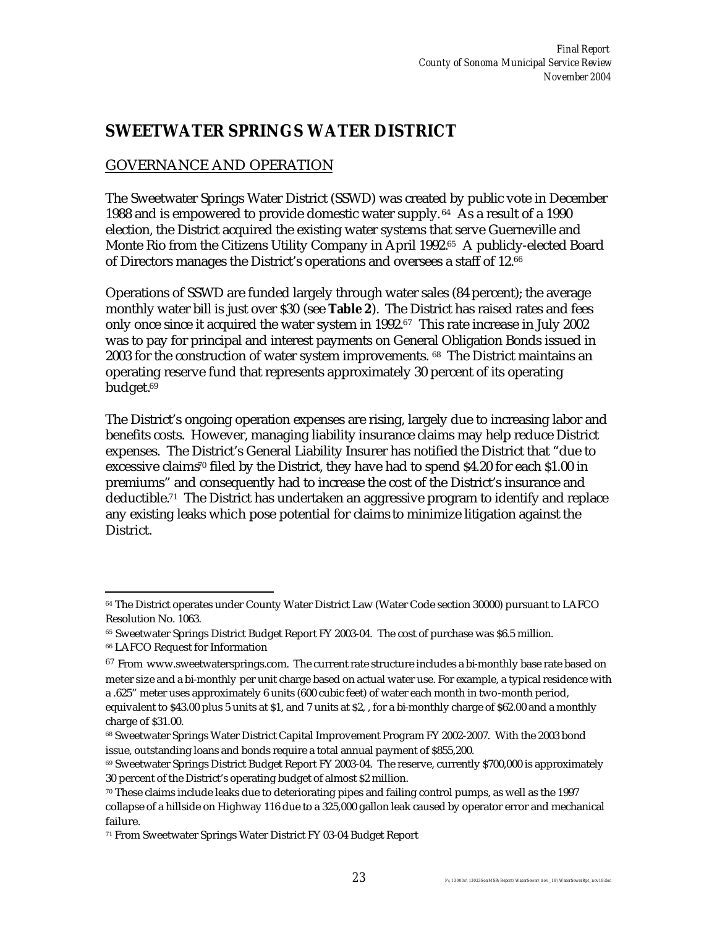### **SWEETWATER SPRINGS WATER DISTRICT**

### GOVERNANCE AND OPERATION

The Sweetwater Springs Water District (SSWD) was created by public vote in December 1988 and is empowered to provide domestic water supply. <sup>64</sup> As a result of a 1990 election, the District acquired the existing water systems that serve Guerneville and Monte Rio from the Citizens Utility Company in April 1992.65 A publicly-elected Board of Directors manages the District's operations and oversees a staff of 12.<sup>66</sup>

Operations of SSWD are funded largely through water sales (84 percent); the average monthly water bill is just over \$30 (see **Table 2**). The District has raised rates and fees only once since it acquired the water system in 1992.<sup>67</sup> This rate increase in July 2002 was to pay for principal and interest payments on General Obligation Bonds issued in 2003 for the construction of water system improvements. 68 The District maintains an operating reserve fund that represents approximately 30 percent of its operating budget.<sup>69</sup>

The District's ongoing operation expenses are rising, largely due to increasing labor and benefits costs. However, managing liability insurance claims may help reduce District expenses. The District's General Liability Insurer has notified the District that "due to excessive claims<sup>70</sup> filed by the District, they have had to spend \$4.20 for each \$1.00 in premiums" and consequently had to increase the cost of the District's insurance and deductible.71 The District has undertaken an aggressive program to identify and replace any existing leaks which pose potential for claims to minimize litigation against the District.

 $\overline{a}$ <sup>64</sup> The District operates under County Water District Law (Water Code section 30000) pursuant to LAFCO Resolution No. 1063.

<sup>65</sup> Sweetwater Springs District Budget Report FY 2003-04. The cost of purchase was \$6.5 million.

<sup>66</sup> LAFCO Request for Information

 $67$  From www.sweetwatersprings.com. The current rate structure includes a bi-monthly base rate based on meter size and a bi-monthly per unit charge based on actual water use. For example, a typical residence with a .625" meter uses approximately 6 units (600 cubic feet) of water each month in two-month period, equivalent to \$43.00 plus 5 units at \$1, and 7 units at \$2, , for a bi-monthly charge of \$62.00 and a monthly charge of \$31.00.

<sup>68</sup> Sweetwater Springs Water District Capital Improvement Program FY 2002-2007. With the 2003 bond issue, outstanding loans and bonds require a total annual payment of \$855,200.

<sup>69</sup> Sweetwater Springs District Budget Report FY 2003-04. The reserve, currently \$700,000 is approximately 30 percent of the District's operating budget of almost \$2 million.

<sup>70</sup> These claims include leaks due to deteriorating pipes and failing control pumps, as well as the 1997 collapse of a hillside on Highway 116 due to a 325,000 gallon leak caused by operator error and mechanical failure.

<sup>71</sup> From Sweetwater Springs Water District FY 03-04 Budget Report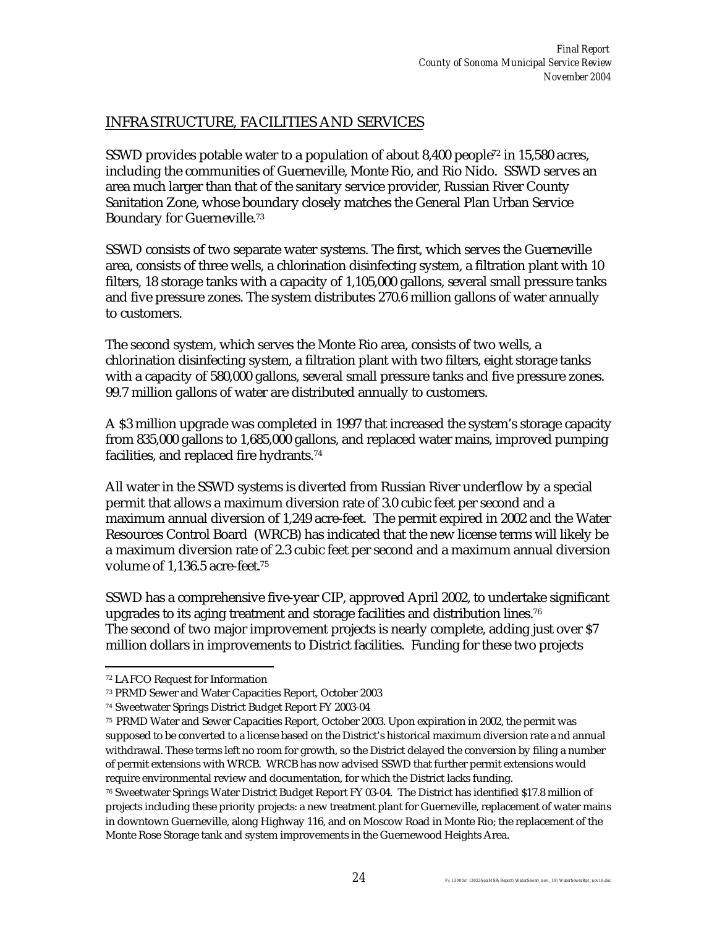### INFRASTRUCTURE, FACILITIES AND SERVICES

SSWD provides potable water to a population of about 8,400 people<sup> $72$ </sup> in 15,580 acres, including the communities of Guerneville, Monte Rio, and Rio Nido. SSWD serves an area much larger than that of the sanitary service provider, Russian River County Sanitation Zone, whose boundary closely matches the General Plan Urban Service Boundary for Guerneville.<sup>73</sup>

SSWD consists of two separate water systems. The first, which serves the Guerneville area, consists of three wells, a chlorination disinfecting system, a filtration plant with 10 filters, 18 storage tanks with a capacity of 1,105,000 gallons, several small pressure tanks and five pressure zones. The system distributes 270.6 million gallons of water annually to customers.

The second system, which serves the Monte Rio area, consists of two wells, a chlorination disinfecting system, a filtration plant with two filters, eight storage tanks with a capacity of 580,000 gallons, several small pressure tanks and five pressure zones. 99.7 million gallons of water are distributed annually to customers.

A \$3 million upgrade was completed in 1997 that increased the system's storage capacity from 835,000 gallons to 1,685,000 gallons, and replaced water mains, improved pumping facilities, and replaced fire hydrants.<sup>74</sup>

All water in the SSWD systems is diverted from Russian River underflow by a special permit that allows a maximum diversion rate of 3.0 cubic feet per second and a maximum annual diversion of 1,249 acre-feet. The permit expired in 2002 and the Water Resources Control Board (WRCB) has indicated that the new license terms will likely be a maximum diversion rate of 2.3 cubic feet per second and a maximum annual diversion volume of 1,136.5 acre-feet.<sup>75</sup>

SSWD has a comprehensive five-year CIP, approved April 2002, to undertake significant upgrades to its aging treatment and storage facilities and distribution lines. $76$ The second of two major improvement projects is nearly complete, adding just over \$7 million dollars in improvements to District facilities. Funding for these two projects

 $\overline{a}$ <sup>72</sup> LAFCO Request for Information

<sup>73</sup> PRMD Sewer and Water Capacities Report, October 2003

<sup>74</sup> Sweetwater Springs District Budget Report FY 2003-04

<sup>75</sup> PRMD Water and Sewer Capacities Report, October 2003. Upon expiration in 2002, the permit was supposed to be converted to a license based on the District's historical maximum diversion rate a nd annual withdrawal. These terms left no room for growth, so the District delayed the conversion by filing a number of permit extensions with WRCB. WRCB has now advised SSWD that further permit extensions would require environmental review and documentation, for which the District lacks funding.

<sup>76</sup> Sweetwater Springs Water District Budget Report FY 03-04. The District has identified \$17.8 million of projects including these priority projects: a new treatment plant for Guerneville, replacement of water mains in downtown Guerneville, along Highway 116, and on Moscow Road in Monte Rio; the replacement of the Monte Rose Storage tank and system improvements in the Guernewood Heights Area.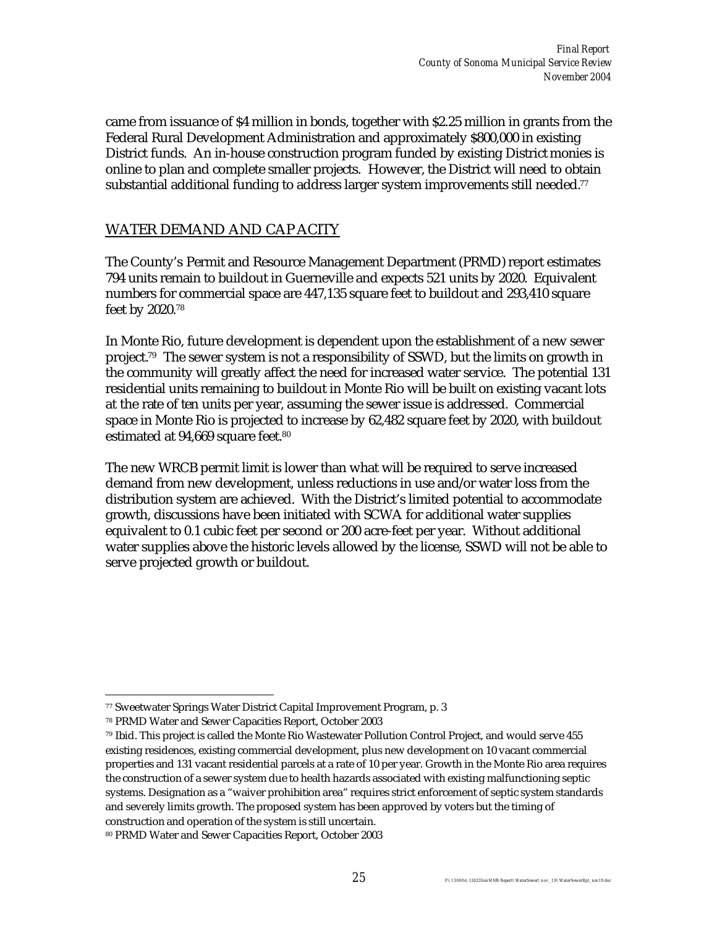came from issuance of \$4 million in bonds, together with \$2.25 million in grants from the Federal Rural Development Administration and approximately \$800,000 in existing District funds. An in-house construction program funded by existing District monies is online to plan and complete smaller projects. However, the District will need to obtain substantial additional funding to address larger system improvements still needed. $77$ 

#### WATER DEMAND AND CAP ACITY

The County's Permit and Resource Management Department (PRMD) report estimates 794 units remain to buildout in Guerneville and expects 521 units by 2020. Equivalent numbers for commercial space are 447,135 square feet to buildout and 293,410 square feet by 2020.<sup>78</sup>

In Monte Rio, future development is dependent upon the establishment of a new sewer project.79 The sewer system is not a responsibility of SSWD, but the limits on growth in the community will greatly affect the need for increased water service. The potential 131 residential units remaining to buildout in Monte Rio will be built on existing vacant lots at the rate of ten units per year, assuming the sewer issue is addressed. Commercial space in Monte Rio is projected to increase by 62,482 square feet by 2020, with buildout estimated at 94,669 square feet.<sup>80</sup>

The new WRCB permit limit is lower than what will be required to serve increased demand from new development, unless reductions in use and/or water loss from the distribution system are achieved. With the District's limited potential to accommodate growth, discussions have been initiated with SCWA for additional water supplies equivalent to 0.1 cubic feet per second or 200 acre-feet per year. Without additional water supplies above the historic levels allowed by the license, SSWD will not be able to serve projected growth or buildout.

 $\overline{a}$ <sup>77</sup> Sweetwater Springs Water District Capital Improvement Program, p. 3

<sup>78</sup> PRMD Water and Sewer Capacities Report, October 2003

<sup>79</sup> Ibid. This project is called the Monte Rio Wastewater Pollution Control Project, and would serve 455 existing residences, existing commercial development, plus new development on 10 vacant commercial properties and 131 vacant residential parcels at a rate of 10 per year. Growth in the Monte Rio area requires the construction of a sewer system due to health hazards associated with existing malfunctioning septic systems. Designation as a "waiver prohibition area" requires strict enforcement of septic system standards and severely limits growth. The proposed system has been approved by voters but the timing of construction and operation of the system is still uncertain.

<sup>80</sup> PRMD Water and Sewer Capacities Report, October 2003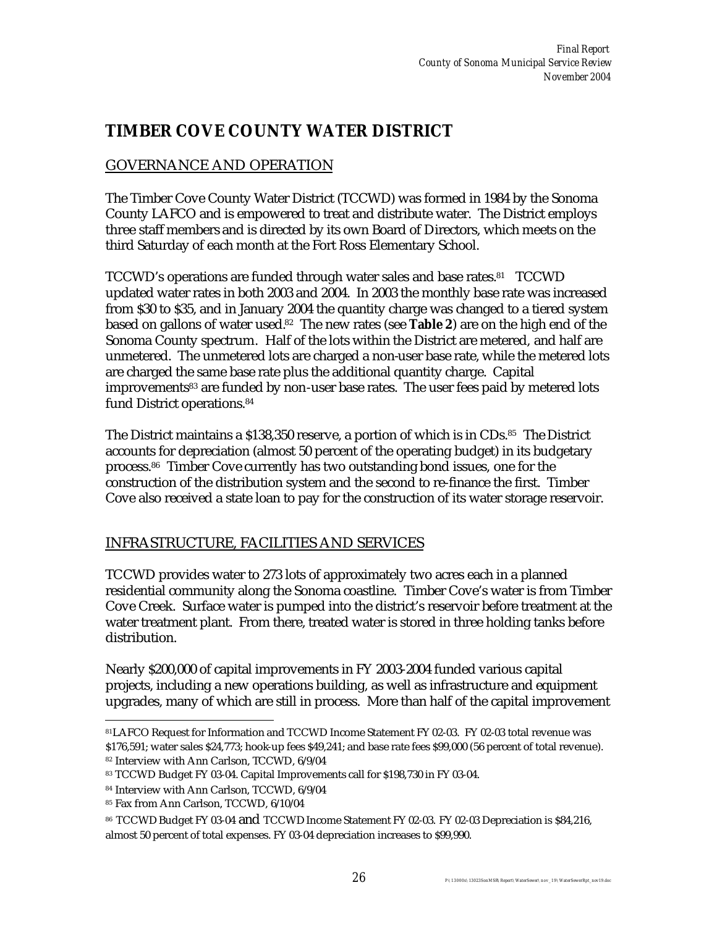### **TIMBER COVE COUNTY WATER DISTRICT**

### GOVERNANCE AND OPERATION

The Timber Cove County Water District (TCCWD) was formed in 1984 by the Sonoma County LAFCO and is empowered to treat and distribute water. The District employs three staff members and is directed by its own Board of Directors, which meets on the third Saturday of each month at the Fort Ross Elementary School.

TCCWD's operations are funded through water sales and base rates.<sup>81</sup> TCCWD updated water rates in both 2003 and 2004. In 2003 the monthly base rate was increased from \$30 to \$35, and in January 2004 the quantity charge was changed to a tiered system based on gallons of water used.82 The new rates (see **Table 2**) are on the high end of the Sonoma County spectrum. Half of the lots within the District are metered, and half are unmetered. The unmetered lots are charged a non-user base rate, while the metered lots are charged the same base rate plus the additional quantity charge. Capital improvements83 are funded by non-user base rates. The user fees paid by metered lots fund District operations.<sup>84</sup>

The District maintains a \$138,350 reserve, a portion of which is in CDs.<sup>85</sup> The District accounts for depreciation (almost 50 percent of the operating budget) in its budgetary process.<sup>86</sup> Timber Cove currently has two outstanding bond issues, one for the construction of the distribution system and the second to re-finance the first. Timber Cove also received a state loan to pay for the construction of its water storage reservoir.

### INFRASTRUCTURE, FACILITIES AND SERVICES

TCCWD provides water to 273 lots of approximately two acres each in a planned residential community along the Sonoma coastline. Timber Cove's water is from Timber Cove Creek. Surface water is pumped into the district's reservoir before treatment at the water treatment plant. From there, treated water is stored in three holding tanks before distribution.

Nearly \$200,000 of capital improvements in FY 2003-2004 funded various capital projects, including a new operations building, as well as infrastructure and equipment upgrades, many of which are still in process. More than half of the capital improvement

 $\overline{a}$ <sup>81</sup>LAFCO Request for Information and TCCWD Income Statement FY 02-03. FY 02-03 total revenue was \$176,591; water sales \$24,773; hook-up fees \$49,241; and base rate fees \$99,000 (56 percent of total revenue).

<sup>82</sup> Interview with Ann Carlson, TCCWD, 6/9/04

<sup>83</sup> TCCWD Budget FY 03-04. Capital Improvements call for \$198,730 in FY 03-04.

<sup>84</sup> Interview with Ann Carlson, TCCWD, 6/9/04

<sup>85</sup> Fax from Ann Carlson, TCCWD, 6/10/04

<sup>86</sup> TCCWD Budget FY 03-04 and TCCWD Income Statement FY 02-03. FY 02-03 Depreciation is \$84,216, almost 50 percent of total expenses. FY 03-04 depreciation increases to \$99,990.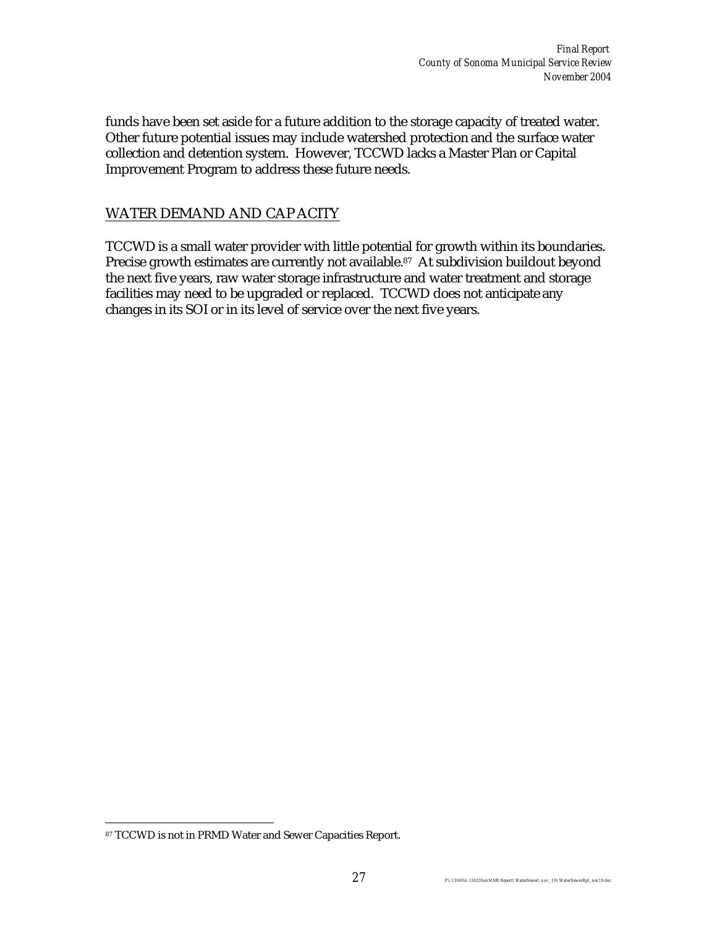funds have been set aside for a future addition to the storage capacity of treated water. Other future potential issues may include watershed protection and the surface water collection and detention system. However, TCCWD lacks a Master Plan or Capital Improvement Program to address these future needs.

#### WATER DEMAND AND CAP ACITY

TCCWD is a small water provider with little potential for growth within its boundaries. Precise growth estimates are currently not available.<sup>87</sup> At subdivision buildout beyond the next five years, raw water storage infrastructure and water treatment and storage facilities may need to be upgraded or replaced. TCCWD does not anticipate any changes in its SOI or in its level of service over the next five years.

 $\overline{a}$ 

<sup>87</sup> TCCWD is not in PRMD Water and Sewer Capacities Report.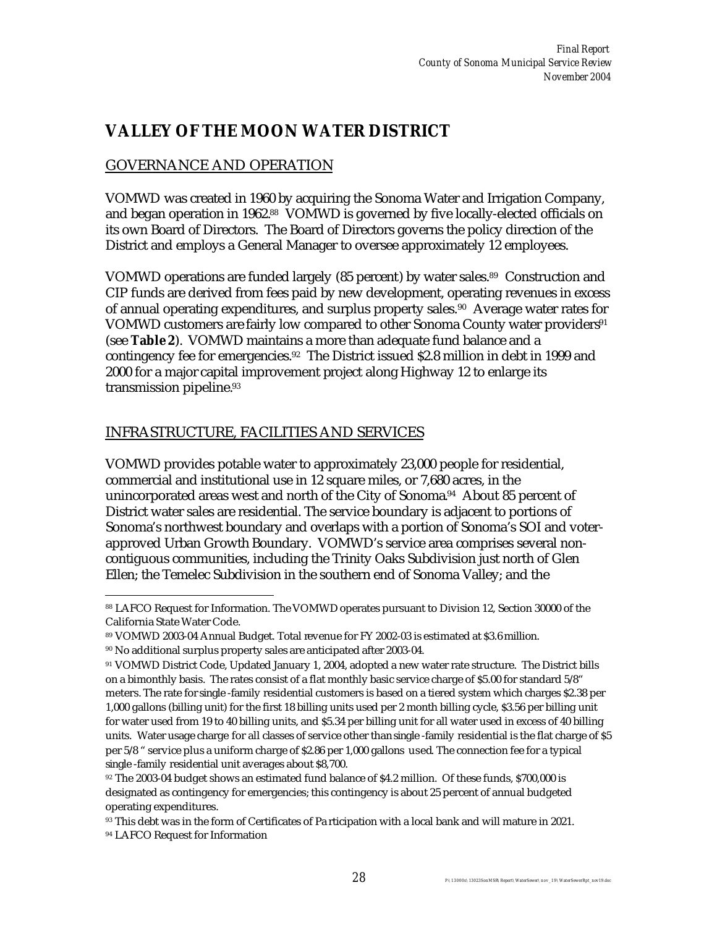### **VALLEY OF THE MOON WATER DISTRICT**

### GOVERNANCE AND OPERATION

VOMWD was created in 1960 by acquiring the Sonoma Water and Irrigation Company, and began operation in 1962.88 VOMWD is governed by five locally-elected officials on its own Board of Directors. The Board of Directors governs the policy direction of the District and employs a General Manager to oversee approximately 12 employees.

VOMWD operations are funded largely (85 percent) by water sales.<sup>89</sup> Construction and CIP funds are derived from fees paid by new development, operating revenues in excess of annual operating expenditures, and surplus property sales. <sup>90</sup> Average water rates for VOMWD customers are fairly low compared to other Sonoma County water providers<sup>91</sup> (see **Table 2**). VOMWD maintains a more than adequate fund balance and a contingency fee for emergencies.92 The District issued \$2.8 million in debt in 1999 and 2000 for a major capital improvement project along Highway 12 to enlarge its transmission pipeline.<sup>93</sup>

#### INFRASTRUCTURE, FACILITIES AND SERVICES

VOMWD provides potable water to approximately 23,000 people for residential, commercial and institutional use in 12 square miles, or 7,680 acres, in the unincorporated areas west and north of the City of Sonoma.<sup>94</sup> About 85 percent of District water sales are residential. The service boundary is adjacent to portions of Sonoma's northwest boundary and overlaps with a portion of Sonoma's SOI and voterapproved Urban Growth Boundary. VOMWD's service area comprises several noncontiguous communities, including the Trinity Oaks Subdivision just north of Glen Ellen; the Temelec Subdivision in the southern end of Sonoma Valley; and the

 $\overline{a}$ <sup>88</sup> LAFCO Request for Information. The VOMWD operates pursuant to Division 12, Section 30000 of the California State Water Code.

<sup>89</sup> VOMWD 2003-04 Annual Budget. Total revenue for FY 2002-03 is estimated at \$3.6 million.

<sup>90</sup> No additional surplus property sales are anticipated after 2003-04.

<sup>91</sup> VOMWD District Code, Updated January 1, 2004, adopted a new water rate structure. The District bills on a bimonthly basis. The rates consist of a flat monthly basic service charge of \$5.00 for standard 5/8" meters. The rate for single -family residential customers is based on a tiered system which charges \$2.38 per 1,000 gallons (billing unit) for the first 18 billing units used per 2 month billing cycle, \$3.56 per billing unit for water used from 19 to 40 billing units, and \$5.34 per billing unit for all water used in excess of 40 billing units. Water usage charge for all classes of service other than single -family residential is the flat charge of \$5 per 5/8 " service plus a uniform charge of \$2.86 per 1,000 gallons used. The connection fee for a typical single -family residential unit averages about \$8,700.

<sup>92</sup> The 2003-04 budget shows an estimated fund balance of \$4.2 million. Of these funds, \$700,000 is designated as contingency for emergencies; this contingency is about 25 percent of annual budgeted operating expenditures.

<sup>&</sup>lt;sup>93</sup> This debt was in the form of Certificates of Pa rticipation with a local bank and will mature in 2021.

<sup>94</sup> LAFCO Request for Information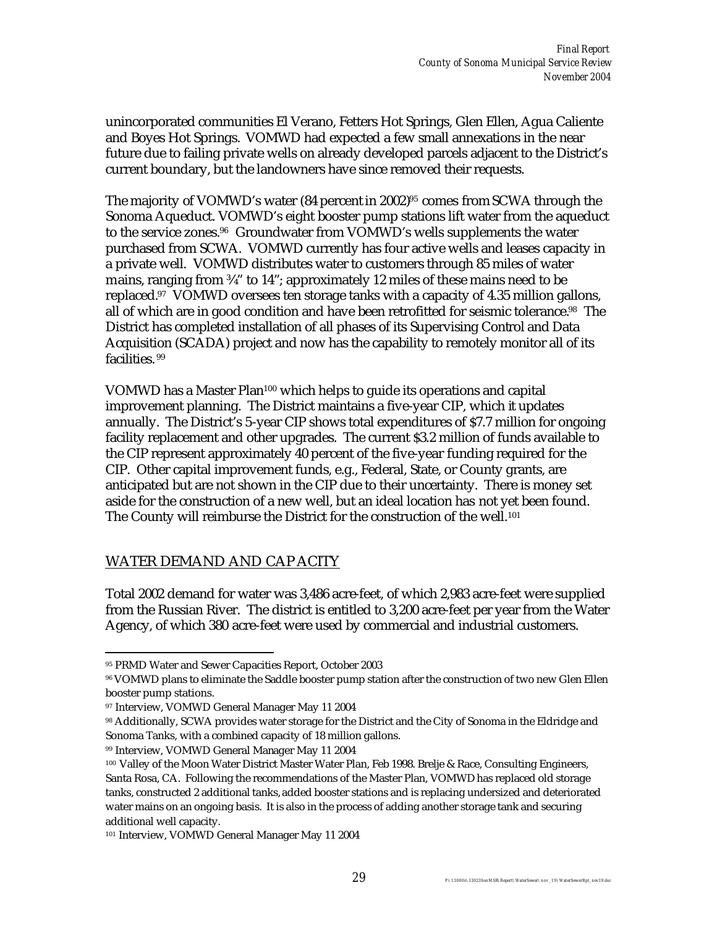unincorporated communities El Verano, Fetters Hot Springs, Glen Ellen, Agua Caliente and Boyes Hot Springs. VOMWD had expected a few small annexations in the near future due to failing private wells on already developed parcels adjacent to the District's current boundary, but the landowners have since removed their requests.

The majority of VOMWD's water  $(84$  percent in  $2002)^{95}$  comes from SCWA through the Sonoma Aqueduct. VOMWD's eight booster pump stations lift water from the aqueduct to the service zones.96 Groundwater from VOMWD's wells supplements the water purchased from SCWA. VOMWD currently has four active wells and leases capacity in a private well. VOMWD distributes water to customers through 85 miles of water mains, ranging from ¾" to 14"; approximately 12 miles of these mains need to be replaced.97 VOMWD oversees ten storage tanks with a capacity of 4.35 million gallons, all of which are in good condition and have been retrofitted for seismic tolerance.<sup>98</sup> The District has completed installation of all phases of its Supervising Control and Data Acquisition (SCADA) project and now has the capability to remotely monitor all of its facilities. <sup>99</sup>

VOMWD has a Master Plan<sup>100</sup> which helps to guide its operations and capital improvement planning. The District maintains a five-year CIP, which it updates annually. The District's 5-year CIP shows total expenditures of \$7.7 million for ongoing facility replacement and other upgrades. The current \$3.2 million of funds available to the CIP represent approximately 40 percent of the five-year funding required for the CIP. Other capital improvement funds, e.g., Federal, State, or County grants, are anticipated but are not shown in the CIP due to their uncertainty. There is money set aside for the construction of a new well, but an ideal location has not yet been found. The County will reimburse the District for the construction of the well. 101

#### WATER DEMAND AND CAP ACITY

Total 2002 demand for water was 3,486 acre-feet, of which 2,983 acre-feet were supplied from the Russian River. The district is entitled to 3,200 acre-feet per year from the Water Agency, of which 380 acre-feet were used by commercial and industrial customers.

<sup>99</sup> Interview, VOMWD General Manager May 11 2004

 $\overline{a}$ <sup>95</sup> PRMD Water and Sewer Capacities Report, October 2003

<sup>96</sup> VOMWD plans to eliminate the Saddle booster pump station after the construction of two new Glen Ellen booster pump stations.

<sup>97</sup> Interview, VOMWD General Manager May 11 2004

<sup>98</sup> Additionally, SCWA provides water storage for the District and the City of Sonoma in the Eldridge and Sonoma Tanks, with a combined capacity of 18 million gallons.

<sup>100</sup> Valley of the Moon Water District Master Water Plan, Feb 1998. Brelje & Race, Consulting Engineers, Santa Rosa, CA. Following the recommendations of the Master Plan, VOMWD has replaced old storage tanks, constructed 2 additional tanks, added booster stations and is replacing undersized and deteriorated water mains on an ongoing basis. It is also in the process of adding another storage tank and securing additional well capacity.

<sup>101</sup> Interview, VOMWD General Manager May 11 2004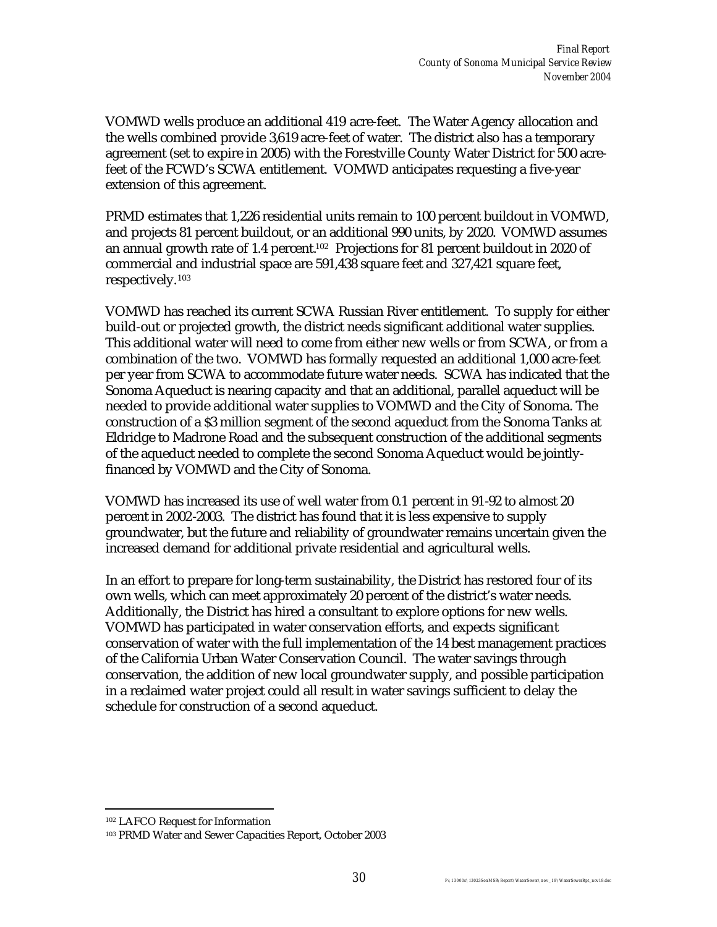VOMWD wells produce an additional 419 acre-feet. The Water Agency allocation and the wells combined provide 3,619 acre-feet of water. The district also has a temporary agreement (set to expire in 2005) with the Forestville County Water District for 500 acrefeet of the FCWD's SCWA entitlement. VOMWD anticipates requesting a five-year extension of this agreement.

PRMD estimates that 1,226 residential units remain to 100 percent buildout in VOMWD, and projects 81 percent buildout, or an additional 990 units, by 2020. VOMWD assumes an annual growth rate of 1.4 percent.102 Projections for 81 percent buildout in 2020 of commercial and industrial space are 591,438 square feet and 327,421 square feet, respectively.<sup>103</sup>

VOMWD has reached its current SCWA Russian River entitlement. To supply for either build-out or projected growth, the district needs significant additional water supplies. This additional water will need to come from either new wells or from SCWA, or from a combination of the two. VOMWD has formally requested an additional 1,000 acre-feet per year from SCWA to accommodate future water needs. SCWA has indicated that the Sonoma Aqueduct is nearing capacity and that an additional, parallel aqueduct will be needed to provide additional water supplies to VOMWD and the City of Sonoma. The construction of a \$3 million segment of the second aqueduct from the Sonoma Tanks at Eldridge to Madrone Road and the subsequent construction of the additional segments of the aqueduct needed to complete the second Sonoma Aqueduct would be jointlyfinanced by VOMWD and the City of Sonoma.

VOMWD has increased its use of well water from 0.1 percent in 91-92 to almost 20 percent in 2002-2003. The district has found that it is less expensive to supply groundwater, but the future and reliability of groundwater remains uncertain given the increased demand for additional private residential and agricultural wells.

In an effort to prepare for long-term sustainability, the District has restored four of its own wells, which can meet approximately 20 percent of the district's water needs. Additionally, the District has hired a consultant to explore options for new wells. VOMWD has participated in water conservation efforts, and expects significant conservation of water with the full implementation of the 14 best management practices of the California Urban Water Conservation Council. The water savings through conservation, the addition of new local groundwater supply, and possible participation in a reclaimed water project could all result in water savings sufficient to delay the schedule for construction of a second aqueduct.

 $\overline{a}$ 

<sup>102</sup> LAFCO Request for Information

<sup>103</sup> PRMD Water and Sewer Capacities Report, October 2003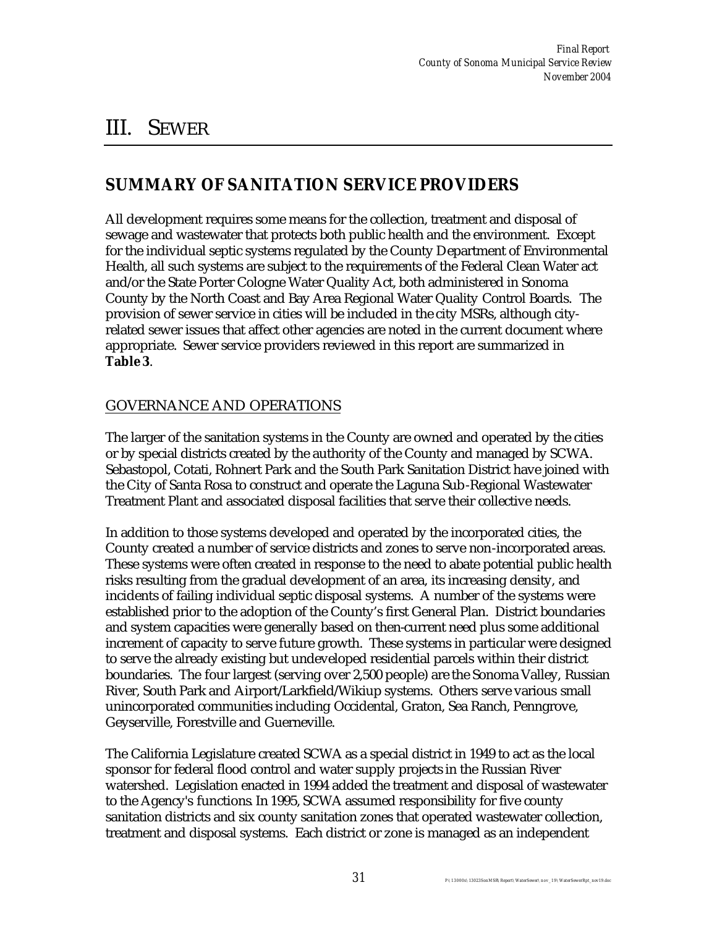# III. SEWER

### **SUMMARY OF SANITATION SERVICE PROVIDERS**

All development requires some means for the collection, treatment and disposal of sewage and wastewater that protects both public health and the environment. Except for the individual septic systems regulated by the County Department of Environmental Health, all such systems are subject to the requirements of the Federal Clean Water act and/or the State Porter Cologne Water Quality Act, both administered in Sonoma County by the North Coast and Bay Area Regional Water Quality Control Boards. The provision of sewer service in cities will be included in the city MSRs, although cityrelated sewer issues that affect other agencies are noted in the current document where appropriate. Sewer service providers reviewed in this report are summarized in **Table 3**.

### GOVERNANCE AND OPERATIONS

The larger of the sanitation systems in the County are owned and operated by the cities or by special districts created by the authority of the County and managed by SCWA. Sebastopol, Cotati, Rohnert Park and the South Park Sanitation District have joined with the City of Santa Rosa to construct and operate the Laguna Sub-Regional Wastewater Treatment Plant and associated disposal facilities that serve their collective needs.

In addition to those systems developed and operated by the incorporated cities, the County created a number of service districts and zones to serve non-incorporated areas. These systems were often created in response to the need to abate potential public health risks resulting from the gradual development of an area, its increasing density, and incidents of failing individual septic disposal systems. A number of the systems were established prior to the adoption of the County's first General Plan. District boundaries and system capacities were generally based on then-current need plus some additional increment of capacity to serve future growth. These systems in particular were designed to serve the already existing but undeveloped residential parcels within their district boundaries. The four largest (serving over 2,500 people) are the Sonoma Valley, Russian River, South Park and Airport/Larkfield/Wikiup systems. Others serve various small unincorporated communities including Occidental, Graton, Sea Ranch, Penngrove, Geyserville, Forestville and Guerneville.

The California Legislature created SCWA as a special district in 1949 to act as the local sponsor for federal flood control and water supply projects in the Russian River watershed. Legislation enacted in 1994 added the treatment and disposal of wastewater to the Agency's functions. In 1995, SCWA assumed responsibility for five county sanitation districts and six county sanitation zones that operated wastewater collection, treatment and disposal systems. Each district or zone is managed as an independent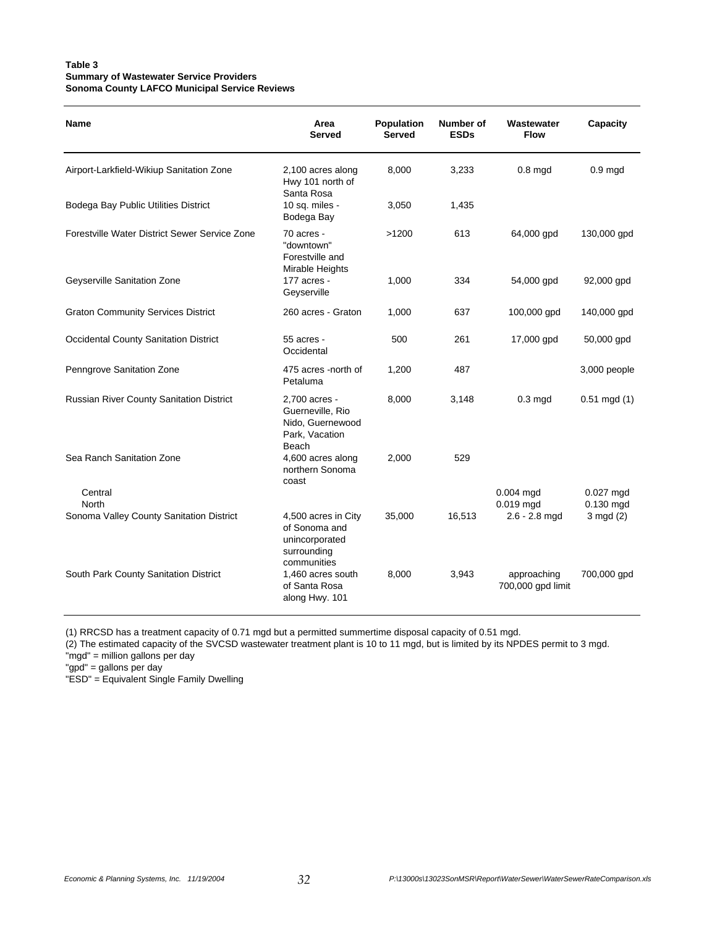#### **Table 3 Summary of Wastewater Service Providers Sonoma County LAFCO Municipal Service Reviews**

| <b>Name</b>                                     | Area<br>Served                                                                       | <b>Population</b><br><b>Served</b> | Number of<br><b>ESDs</b> | Wastewater<br><b>Flow</b>        | Capacity                 |
|-------------------------------------------------|--------------------------------------------------------------------------------------|------------------------------------|--------------------------|----------------------------------|--------------------------|
| Airport-Larkfield-Wikiup Sanitation Zone        | 2,100 acres along<br>Hwy 101 north of<br>Santa Rosa                                  | 8,000                              | 3,233                    | $0.8$ mgd                        | $0.9 \text{ mgd}$        |
| Bodega Bay Public Utilities District            | 10 sq. miles -<br>Bodega Bay                                                         | 3,050                              | 1,435                    |                                  |                          |
| Forestville Water District Sewer Service Zone   | 70 acres -<br>"downtown"<br>Forestville and<br>Mirable Heights                       | >1200                              | 613                      | 64,000 gpd                       | 130,000 gpd              |
| Geyserville Sanitation Zone                     | $177$ acres -<br>Geyserville                                                         | 1,000                              | 334                      | 54,000 gpd                       | 92,000 gpd               |
| <b>Graton Community Services District</b>       | 260 acres - Graton                                                                   | 1,000                              | 637                      | 100,000 gpd                      | 140,000 gpd              |
| <b>Occidental County Sanitation District</b>    | 55 acres -<br>Occidental                                                             | 500                                | 261                      | 17,000 gpd                       | 50,000 gpd               |
| Penngrove Sanitation Zone                       | 475 acres -north of<br>Petaluma                                                      | 1,200                              | 487                      |                                  | 3,000 people             |
| <b>Russian River County Sanitation District</b> | 2,700 acres -<br>Guerneville, Rio<br>Nido, Guernewood<br>Park, Vacation<br>Beach     | 8,000                              | 3,148                    | $0.3 \text{ mgd}$                | $0.51 \text{ mgd} (1)$   |
| Sea Ranch Sanitation Zone                       | 4,600 acres along<br>northern Sonoma<br>coast                                        | 2,000                              | 529                      |                                  |                          |
| Central<br><b>North</b>                         |                                                                                      |                                    |                          | $0.004$ mgd<br>0.019 mgd         | $0.027$ mgd<br>0.130 mgd |
| Sonoma Valley County Sanitation District        | 4,500 acres in City<br>of Sonoma and<br>unincorporated<br>surrounding<br>communities | 35,000                             | 16,513                   | $2.6 - 2.8$ mgd                  | $3 \text{ mgd} (2)$      |
| South Park County Sanitation District           | 1,460 acres south<br>of Santa Rosa<br>along Hwy. 101                                 | 8,000                              | 3,943                    | approaching<br>700,000 gpd limit | 700,000 gpd              |

(1) RRCSD has a treatment capacity of 0.71 mgd but a permitted summertime disposal capacity of 0.51 mgd.

(2) The estimated capacity of the SVCSD wastewater treatment plant is 10 to 11 mgd, but is limited by its NPDES permit to 3 mgd.

"mgd" = million gallons per day

"gpd" = gallons per day

"ESD" = Equivalent Single Family Dwelling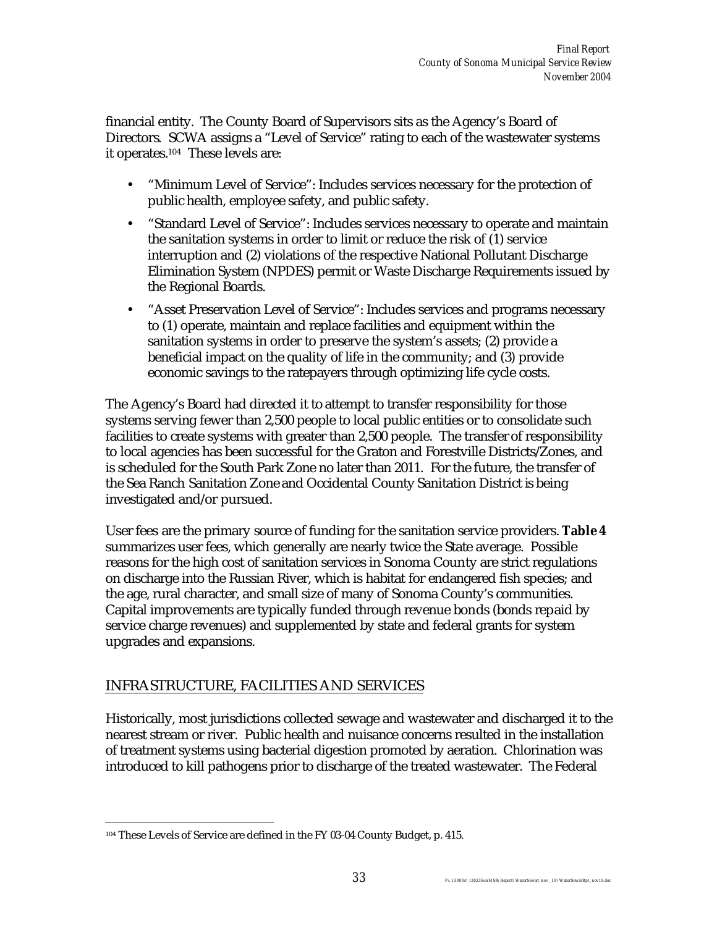financial entity. The County Board of Supervisors sits as the Agency's Board of Directors. SCWA assigns a "Level of Service" rating to each of the wastewater systems it operates.104 These levels are:

- "Minimum Level of Service": Includes services necessary for the protection of public health, employee safety, and public safety.
- "Standard Level of Service": Includes services necessary to operate and maintain the sanitation systems in order to limit or reduce the risk of (1) service interruption and (2) violations of the respective National Pollutant Discharge Elimination System (NPDES) permit or Waste Discharge Requirements issued by the Regional Boards.
- "Asset Preservation Level of Service": Includes services and programs necessary to (1) operate, maintain and replace facilities and equipment within the sanitation systems in order to preserve the system's assets; (2) provide a beneficial impact on the quality of life in the community; and (3) provide economic savings to the ratepayers through optimizing life cycle costs.

The Agency's Board had directed it to attempt to transfer responsibility for those systems serving fewer than 2,500 people to local public entities or to consolidate such facilities to create systems with greater than 2,500 people. The transfer of responsibility to local agencies has been successful for the Graton and Forestville Districts/Zones, and is scheduled for the South Park Zone no later than 2011. For the future, the transfer of the Sea Ranch Sanitation Zone and Occidental County Sanitation District is being investigated and/or pursued.

User fees are the primary source of funding for the sanitation service providers. **Table 4** summarizes user fees, which generally are nearly twice the State average. Possible reasons for the high cost of sanitation services in Sonoma County are strict regulations on discharge into the Russian River, which is habitat for endangered fish species; and the age, rural character, and small size of many of Sonoma County's communities. Capital improvements are typically funded through revenue bonds (bonds repaid by service charge revenues) and supplemented by state and federal grants for system upgrades and expansions.

## INFRASTRUCTURE, FACILITIES AND SERVICES

Historically, most jurisdictions collected sewage and wastewater and discharged it to the nearest stream or river. Public health and nuisance concerns resulted in the installation of treatment systems using bacterial digestion promoted by aeration. Chlorination was introduced to kill pathogens prior to discharge of the treated wastewater. The Federal

 $\overline{a}$ 104 These Levels of Service are defined in the FY 03-04 County Budget, p. 415.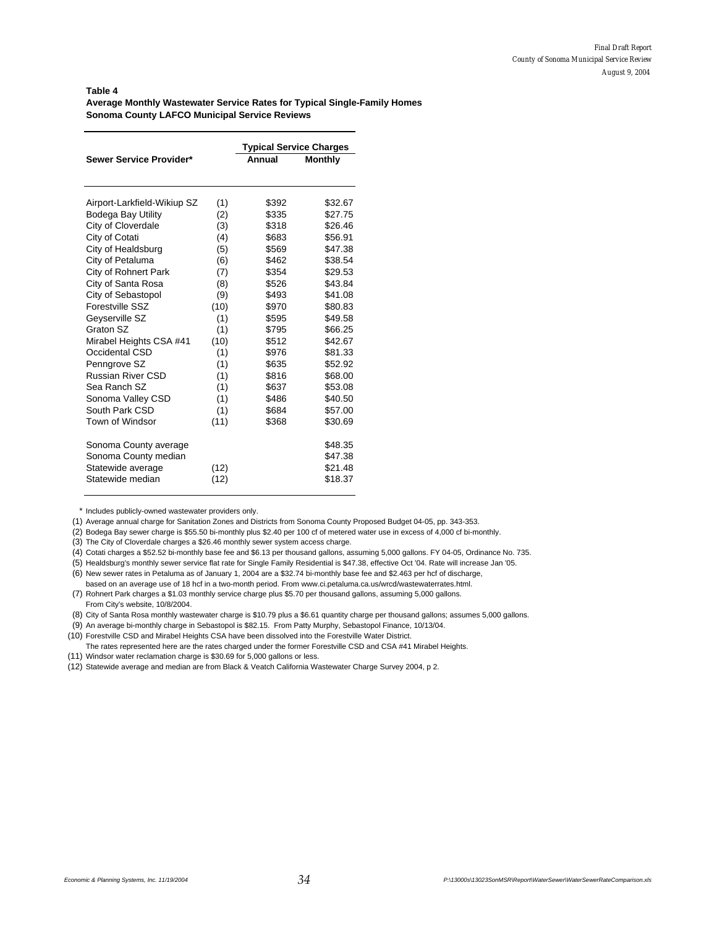#### **Table 4 Average Monthly Wastewater Service Rates for Typical Single-Family Homes Sonoma County LAFCO Municipal Service Reviews**

|                             |      | <b>Typical Service Charges</b> |                |
|-----------------------------|------|--------------------------------|----------------|
| Sewer Service Provider*     |      | Annual                         | <b>Monthly</b> |
|                             |      |                                |                |
| Airport-Larkfield-Wikiup SZ | (1)  | \$392                          | \$32.67        |
| <b>Bodega Bay Utility</b>   | (2)  | \$335                          | \$27.75        |
| City of Cloverdale          | (3)  | \$318                          | \$26.46        |
| City of Cotati              | (4)  | \$683                          | \$56.91        |
| City of Healdsburg          | (5)  | \$569                          | \$47.38        |
| City of Petaluma            | (6)  | \$462                          | \$38.54        |
| City of Rohnert Park        | (7)  | \$354                          | \$29.53        |
| City of Santa Rosa          | (8)  | \$526                          | \$43.84        |
| City of Sebastopol          | (9)  | \$493                          | \$41.08        |
| Forestville SSZ             | (10) | \$970                          | \$80.83        |
| Geyserville SZ              | (1)  | \$595                          | \$49.58        |
| Graton SZ                   | (1)  | \$795                          | \$66.25        |
| Mirabel Heights CSA #41     | (10) | \$512                          | \$42.67        |
| Occidental CSD              | (1)  | \$976                          | \$81.33        |
| Penngrove SZ                | (1)  | \$635                          | \$52.92        |
| <b>Russian River CSD</b>    | (1)  | \$816                          | \$68.00        |
| Sea Ranch SZ                | (1)  | \$637                          | \$53.08        |
| Sonoma Valley CSD           | (1)  | \$486                          | \$40.50        |
| South Park CSD              | (1)  | \$684                          | \$57.00        |
| Town of Windsor             | (11) | \$368                          | \$30.69        |
| Sonoma County average       |      |                                | \$48.35        |
| Sonoma County median        |      |                                | \$47.38        |
| Statewide average           | (12) |                                | \$21.48        |
| Statewide median            | (12) |                                | \$18.37        |

\* Includes publicly-owned wastewater providers only.

(1) Average annual charge for Sanitation Zones and Districts from Sonoma County Proposed Budget 04-05, pp. 343-353.

(2) Bodega Bay sewer charge is \$55.50 bi-monthly plus \$2.40 per 100 cf of metered water use in excess of 4,000 cf bi-monthly.

(3) The City of Cloverdale charges a \$26.46 monthly sewer system access charge.

(4) Cotati charges a \$52.52 bi-monthly base fee and \$6.13 per thousand gallons, assuming 5,000 gallons. FY 04-05, Ordinance No. 735.

(5) Healdsburg's monthly sewer service flat rate for Single Family Residential is \$47.38, effective Oct '04. Rate will increase Jan '05.

(6) New sewer rates in Petaluma as of January 1, 2004 are a \$32.74 bi-monthly base fee and \$2.463 per hcf of discharge,

based on an average use of 18 hcf in a two-month period. From www.ci.petaluma.ca.us/wrcd/wastewaterrates.html. (7) Rohnert Park charges a \$1.03 monthly service charge plus \$5.70 per thousand gallons, assuming 5,000 gallons. From City's website, 10/8/2004.

(8) City of Santa Rosa monthly wastewater charge is \$10.79 plus a \$6.61 quantity charge per thousand gallons; assumes 5,000 gallons.

(9) An average bi-monthly charge in Sebastopol is \$82.15. From Patty Murphy, Sebastopol Finance, 10/13/04.

(10) Forestville CSD and Mirabel Heights CSA have been dissolved into the Forestville Water District.

The rates represented here are the rates charged under the former Forestville CSD and CSA #41 Mirabel Heights. (11) Windsor water reclamation charge is \$30.69 for 5,000 gallons or less.

(12) Statewide average and median are from Black & Veatch California Wastewater Charge Survey 2004, p 2.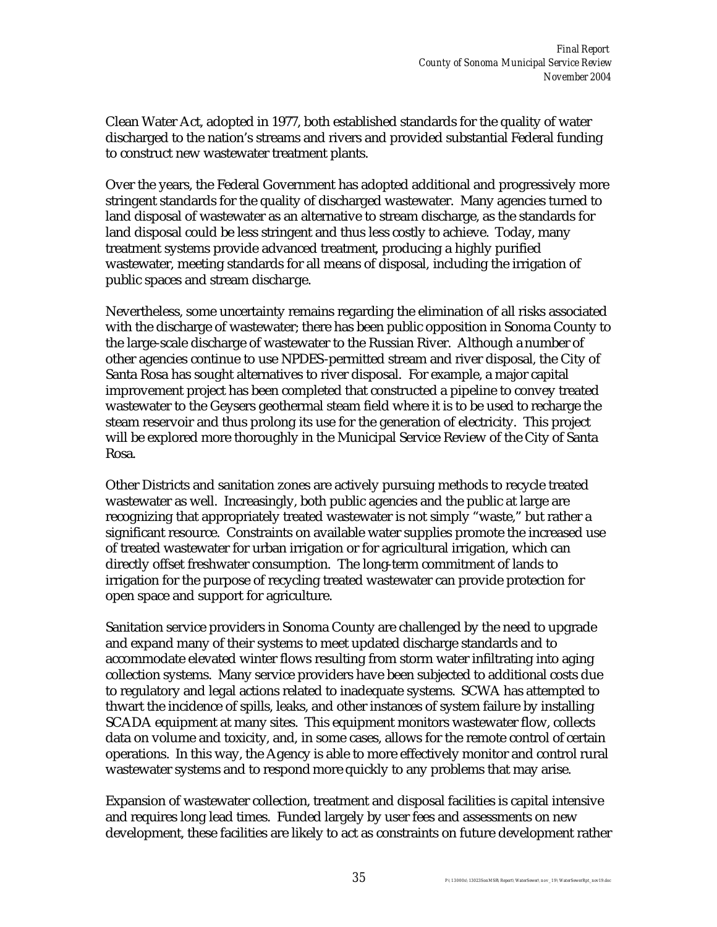Clean Water Act, adopted in 1977, both established standards for the quality of water discharged to the nation's streams and rivers and provided substantial Federal funding to construct new wastewater treatment plants.

Over the years, the Federal Government has adopted additional and progressively more stringent standards for the quality of discharged wastewater. Many agencies turned to land disposal of wastewater as an alternative to stream discharge, as the standards for land disposal could be less stringent and thus less costly to achieve. Today, many treatment systems provide advanced treatment, producing a highly purified wastewater, meeting standards for all means of disposal, including the irrigation of public spaces and stream discharge.

Nevertheless, some uncertainty remains regarding the elimination of all risks associated with the discharge of wastewater; there has been public opposition in Sonoma County to the large-scale discharge of wastewater to the Russian River. Although a number of other agencies continue to use NPDES-permitted stream and river disposal, the City of Santa Rosa has sought alternatives to river disposal. For example, a major capital improvement project has been completed that constructed a pipeline to convey treated wastewater to the Geysers geothermal steam field where it is to be used to recharge the steam reservoir and thus prolong its use for the generation of electricity. This project will be explored more thoroughly in the Municipal Service Review of the City of Santa Rosa.

Other Districts and sanitation zones are actively pursuing methods to recycle treated wastewater as well. Increasingly, both public agencies and the public at large are recognizing that appropriately treated wastewater is not simply "waste," but rather a significant resource. Constraints on available water supplies promote the increased use of treated wastewater for urban irrigation or for agricultural irrigation, which can directly offset freshwater consumption. The long-term commitment of lands to irrigation for the purpose of recycling treated wastewater can provide protection for open space and support for agriculture.

Sanitation service providers in Sonoma County are challenged by the need to upgrade and expand many of their systems to meet updated discharge standards and to accommodate elevated winter flows resulting from storm water infiltrating into aging collection systems. Many service providers have been subjected to additional costs due to regulatory and legal actions related to inadequate systems. SCWA has attempted to thwart the incidence of spills, leaks, and other instances of system failure by installing SCADA equipment at many sites. This equipment monitors wastewater flow, collects data on volume and toxicity, and, in some cases, allows for the remote control of certain operations. In this way, the Agency is able to more effectively monitor and control rural wastewater systems and to respond more quickly to any problems that may arise.

Expansion of wastewater collection, treatment and disposal facilities is capital intensive and requires long lead times. Funded largely by user fees and assessments on new development, these facilities are likely to act as constraints on future development rather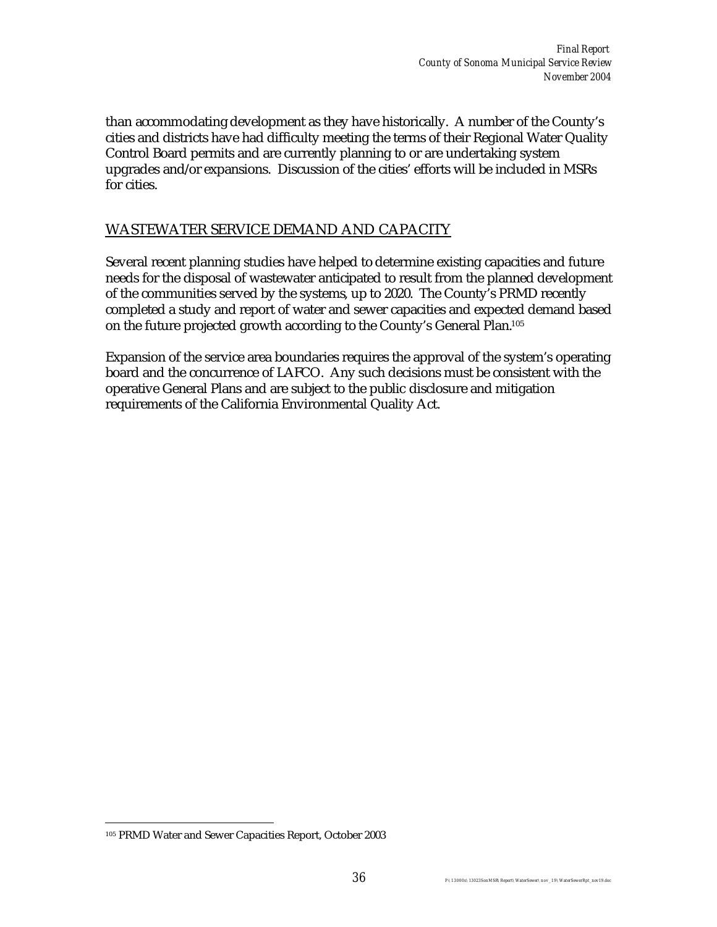than accommodating development as they have historically. A number of the County's cities and districts have had difficulty meeting the terms of their Regional Water Quality Control Board permits and are currently planning to or are undertaking system upgrades and/or expansions. Discussion of the cities' efforts will be included in MSRs for cities.

#### WASTEWATER SERVICE DEMAND AND CAPACITY

Several recent planning studies have helped to determine existing capacities and future needs for the disposal of wastewater anticipated to result from the planned development of the communities served by the systems, up to 2020. The County's PRMD recently completed a study and report of water and sewer capacities and expected demand based on the future projected growth according to the County's General Plan.<sup>105</sup>

Expansion of the service area boundaries requires the approval of the system's operating board and the concurrence of LAFCO. Any such decisions must be consistent with the operative General Plans and are subject to the public disclosure and mitigation requirements of the California Environmental Quality Act.

 $\overline{a}$ 

<sup>105</sup> PRMD Water and Sewer Capacities Report, October 2003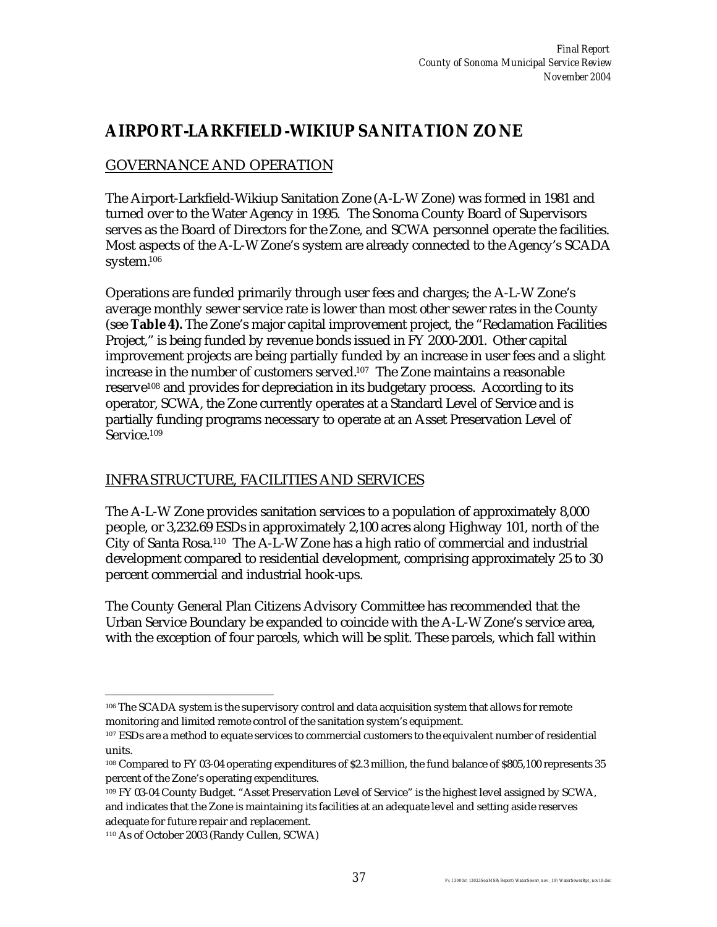## **AIRPORT-LARKFIELD-WIKIUP SANITATION ZONE**

## GOVERNANCE AND OPERATION

The Airport-Larkfield-Wikiup Sanitation Zone (A-L-W Zone) was formed in 1981 and turned over to the Water Agency in 1995. The Sonoma County Board of Supervisors serves as the Board of Directors for the Zone, and SCWA personnel operate the facilities. Most aspects of the A-L-W Zone's system are already connected to the Agency's SCADA system.<sup>106</sup>

Operations are funded primarily through user fees and charges; the A-L-W Zone's average monthly sewer service rate is lower than most other sewer rates in the County (see **Table 4).** The Zone's major capital improvement project, the "Reclamation Facilities Project," is being funded by revenue bonds issued in FY 2000-2001. Other capital improvement projects are being partially funded by an increase in user fees and a slight increase in the number of customers served.107 The Zone maintains a reasonable reserve108 and provides for depreciation in its budgetary process. According to its operator, SCWA, the Zone currently operates at a Standard Level of Service and is partially funding programs necessary to operate at an Asset Preservation Level of Service.<sup>109</sup>

## INFRASTRUCTURE, FACILITIES AND SERVICES

The A-L-W Zone provides sanitation services to a population of approximately 8,000 people, or 3,232.69 ESDs in approximately 2,100 acres along Highway 101, north of the City of Santa Rosa.110 The A-L-W Zone has a high ratio of commercial and industrial development compared to residential development, comprising approximately 25 to 30 percent commercial and industrial hook-ups.

The County General Plan Citizens Advisory Committee has recommended that the Urban Service Boundary be expanded to coincide with the A-L-W Zone's service area, with the exception of four parcels, which will be split. These parcels, which fall within

 $\overline{a}$ <sup>106</sup> The SCADA system is the supervisory control and data acquisition system that allows for remote monitoring and limited remote control of the sanitation system's equipment.

<sup>107</sup> ESDs are a method to equate services to commercial customers to the equivalent number of residential units.

<sup>108</sup> Compared to FY 03-04 operating expenditures of \$2.3 million, the fund balance of \$805,100 represents 35 percent of the Zone's operating expenditures.

<sup>109</sup> FY 03-04 County Budget. "Asset Preservation Level of Service" is the highest level assigned by SCWA, and indicates that the Zone is maintaining its facilities at an adequate level and setting aside reserves adequate for future repair and replacement.

<sup>110</sup> As of October 2003 (Randy Cullen, SCWA)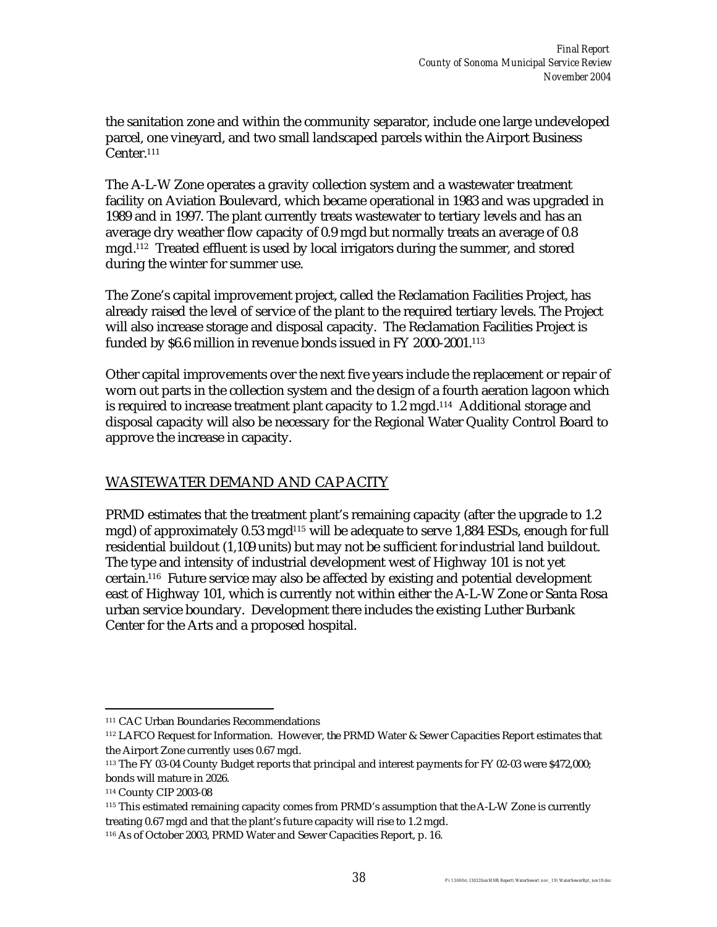the sanitation zone and within the community separator, include one large undeveloped parcel, one vineyard, and two small landscaped parcels within the Airport Business Center.<sup>111</sup>

The A-L-W Zone operates a gravity collection system and a wastewater treatment facility on Aviation Boulevard, which became operational in 1983 and was upgraded in 1989 and in 1997. The plant currently treats wastewater to tertiary levels and has an average dry weather flow capacity of 0.9 mgd but normally treats an average of 0.8 mgd.<sup>112</sup> Treated effluent is used by local irrigators during the summer, and stored during the winter for summer use.

The Zone's capital improvement project, called the Reclamation Facilities Project, has already raised the level of service of the plant to the required tertiary levels. The Project will also increase storage and disposal capacity. The Reclamation Facilities Project is funded by \$6.6 million in revenue bonds issued in FY 2000-2001.<sup>113</sup>

Other capital improvements over the next five years include the replacement or repair of worn out parts in the collection system and the design of a fourth aeration lagoon which is required to increase treatment plant capacity to 1.2 mgd.<sup>114</sup> Additional storage and disposal capacity will also be necessary for the Regional Water Quality Control Board to approve the increase in capacity.

### WASTEWATER DEMAND AND CAP ACITY

PRMD estimates that the treatment plant's remaining capacity (after the upgrade to 1.2 mgd) of approximately 0.53 mgd<sup>115</sup> will be adequate to serve 1,884 ESDs, enough for full residential buildout (1,109 units) but may not be sufficient for industrial land buildout. The type and intensity of industrial development west of Highway 101 is not yet certain.116 Future service may also be affected by existing and potential development east of Highway 101, which is currently not within either the A-L-W Zone or Santa Rosa urban service boundary. Development there includes the existing Luther Burbank Center for the Arts and a proposed hospital.

 $\overline{a}$ <sup>111</sup> CAC Urban Boundaries Recommendations

<sup>112</sup> LAFCO Request for Information. However, the PRMD Water & Sewer Capacities Report estimates that the Airport Zone currently uses 0.67 mgd.

<sup>113</sup> The FY 03-04 County Budget reports that principal and interest payments for FY 02-03 were \$472,000; bonds will mature in 2026.

<sup>114</sup> County CIP 2003-08

<sup>115</sup> This estimated remaining capacity comes from PRMD's assumption that the A-L-W Zone is currently treating 0.67 mgd and that the plant's future capacity will rise to 1.2 mgd.

<sup>116</sup> As of October 2003, PRMD Water and Sewer Capacities Report, p. 16.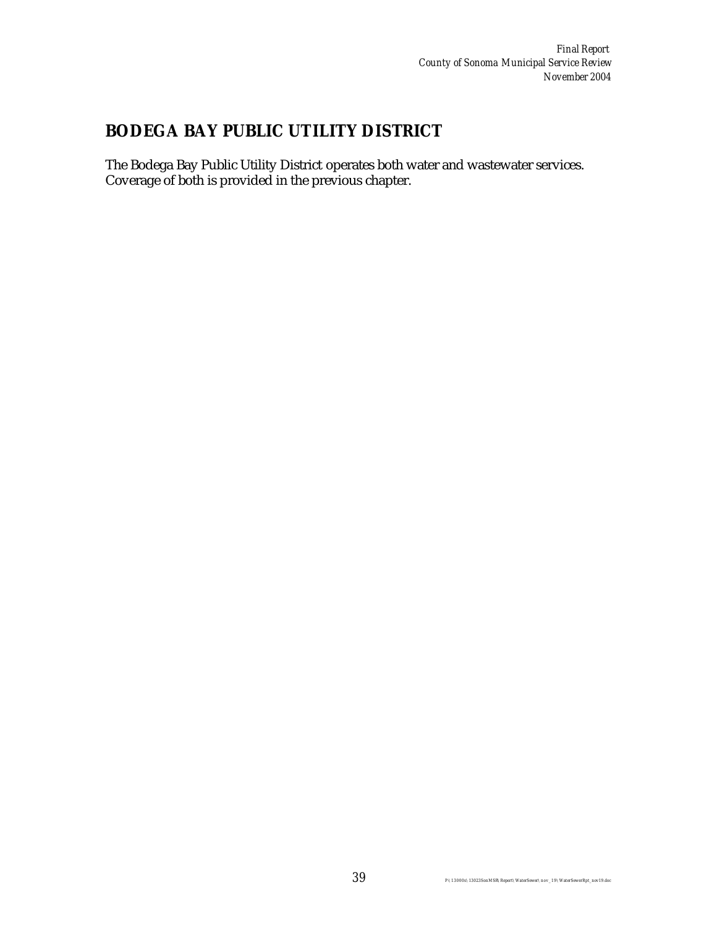# **BODEGA BAY PUBLIC UTILITY DISTRICT**

The Bodega Bay Public Utility District operates both water and wastewater services. Coverage of both is provided in the previous chapter.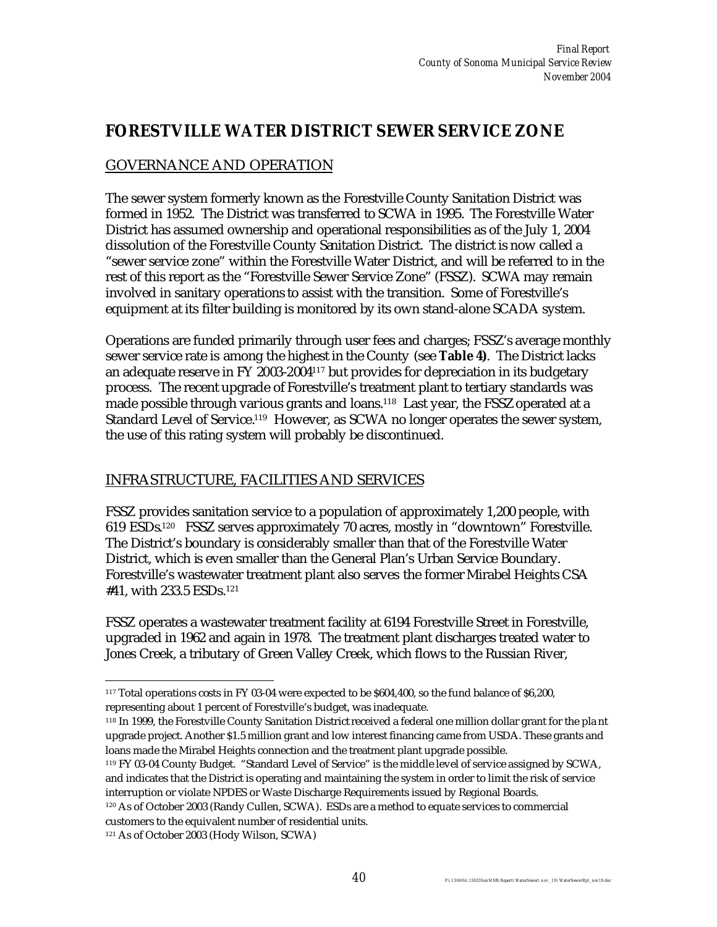## **FORESTVILLE WATER DISTRICT SEWER SERVICE ZONE**

## GOVERNANCE AND OPERATION

The sewer system formerly known as the Forestville County Sanitation District was formed in 1952. The District was transferred to SCWA in 1995. The Forestville Water District has assumed ownership and operational responsibilities as of the July 1, 2004 dissolution of the Forestville County Sanitation District. The district is now called a "sewer service zone" within the Forestville Water District, and will be referred to in the rest of this report as the "Forestville Sewer Service Zone" (FSSZ). SCWA may remain involved in sanitary operations to assist with the transition. Some of Forestville's equipment at its filter building is monitored by its own stand-alone SCADA system.

Operations are funded primarily through user fees and charges; FSSZ's average monthly sewer service rate is among the highest in the County (see **Table 4)**. The District lacks an adequate reserve in FY 2003-2004117 but provides for depreciation in its budgetary process. The recent upgrade of Forestville's treatment plant to tertiary standards was made possible through various grants and loans.<sup>118</sup> Last year, the FSSZoperated at a Standard Level of Service.<sup>119</sup> However, as SCWA no longer operates the sewer system, the use of this rating system will probably be discontinued.

### INFRASTRUCTURE, FACILITIES AND SERVICES

FSSZ provides sanitation service to a population of approximately 1,200 people, with 619 ESDs. 120 FSSZ serves approximately 70 acres, mostly in "downtown" Forestville. The District's boundary is considerably smaller than that of the Forestville Water District, which is even smaller than the General Plan's Urban Service Boundary. Forestville's wastewater treatment plant also serves the former Mirabel Heights CSA #41, with 233.5 ESDs.<sup>121</sup>

FSSZ operates a wastewater treatment facility at 6194 Forestville Street in Forestville, upgraded in 1962 and again in 1978. The treatment plant discharges treated water to Jones Creek, a tributary of Green Valley Creek, which flows to the Russian River,

 $\overline{a}$ <sup>117</sup> Total operations costs in FY 03-04 were expected to be \$604,400, so the fund balance of \$6,200, representing about 1 percent of Forestville's budget, was inadequate.

<sup>118</sup> In 1999, the Forestville County Sanitation District received a federal one million dollar grant for the pla nt upgrade project. Another \$1.5 million grant and low interest financing came from USDA. These grants and loans made the Mirabel Heights connection and the treatment plant upgrade possible.

<sup>119</sup> FY 03-04 County Budget. "Standard Level of Service" is the middle level of service assigned by SCWA, and indicates that the District is operating and maintaining the system in order to limit the risk of service interruption or violate NPDES or Waste Discharge Requirements issued by Regional Boards.

<sup>120</sup> As of October 2003 (Randy Cullen, SCWA). ESDs are a method to equate services to commercial customers to the equivalent number of residential units.

<sup>121</sup> As of October 2003 (Hody Wilson, SCWA)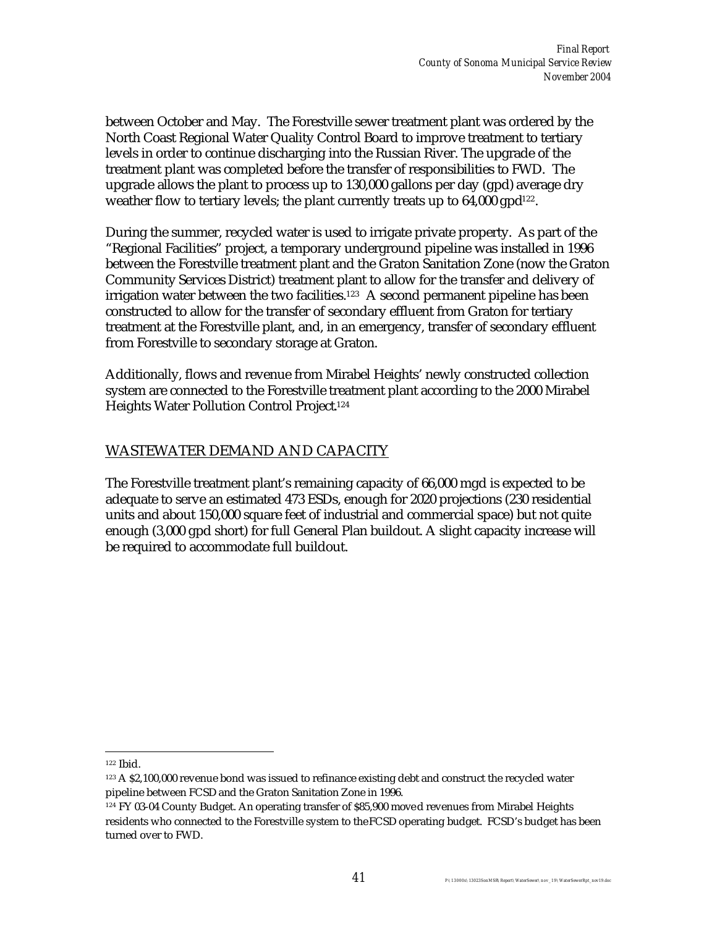between October and May. The Forestville sewer treatment plant was ordered by the North Coast Regional Water Quality Control Board to improve treatment to tertiary levels in order to continue discharging into the Russian River. The upgrade of the treatment plant was completed before the transfer of responsibilities to FWD. The upgrade allows the plant to process up to 130,000 gallons per day (gpd) average dry weather flow to tertiary levels; the plant currently treats up to 64,000 gpd<sup>122</sup>.

During the summer, recycled water is used to irrigate private property. As part of the "Regional Facilities" project, a temporary underground pipeline was installed in 1996 between the Forestville treatment plant and the Graton Sanitation Zone (now the Graton Community Services District) treatment plant to allow for the transfer and delivery of irrigation water between the two facilities.<sup>123</sup> A second permanent pipeline has been constructed to allow for the transfer of secondary effluent from Graton for tertiary treatment at the Forestville plant, and, in an emergency, transfer of secondary effluent from Forestville to secondary storage at Graton.

Additionally, flows and revenue from Mirabel Heights' newly constructed collection system are connected to the Forestville treatment plant according to the 2000 Mirabel Heights Water Pollution Control Project. 124

### WASTEWATER DEMAND AND CAPACITY

The Forestville treatment plant's remaining capacity of 66,000 mgd is expected to be adequate to serve an estimated 473 ESDs, enough for 2020 projections (230 residential units and about 150,000 square feet of industrial and commercial space) but not quite enough (3,000 gpd short) for full General Plan buildout. A slight capacity increase will be required to accommodate full buildout.

 $\overline{a}$ 

<sup>122</sup> Ibid.

<sup>&</sup>lt;sup>123</sup> A \$2,100,000 revenue bond was issued to refinance existing debt and construct the recycled water pipeline between FCSD and the Graton Sanitation Zone in 1996.

<sup>124</sup> FY 03-04 County Budget. An operating transfer of \$85,900 moved revenues from Mirabel Heights residents who connected to the Forestville system to the FCSD operating budget. FCSD's budget has been turned over to FWD.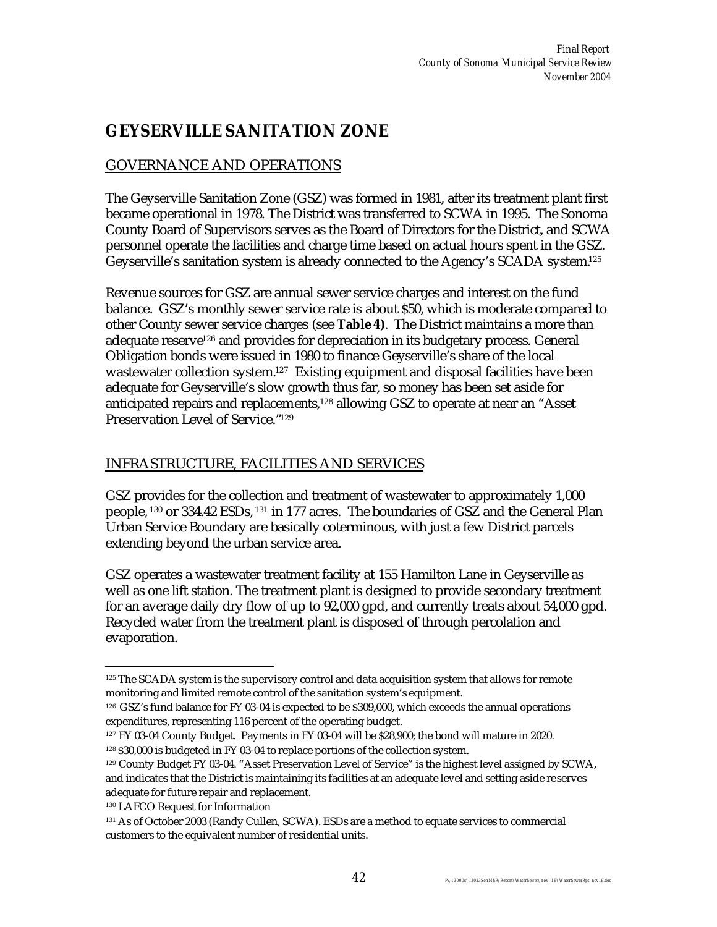# **GEYSERVILLE SANITATION ZONE**

## GOVERNANCE AND OPERATIONS

The Geyserville Sanitation Zone (GSZ) was formed in 1981, after its treatment plant first became operational in 1978. The District was transferred to SCWA in 1995. The Sonoma County Board of Supervisors serves as the Board of Directors for the District, and SCWA personnel operate the facilities and charge time based on actual hours spent in the GSZ. Geyserville's sanitation system is already connected to the Agency's SCADA system.<sup>125</sup>

Revenue sources for GSZ are annual sewer service charges and interest on the fund balance. GSZ's monthly sewer service rate is about \$50, which is moderate compared to other County sewer service charges (see **Table 4)**. The District maintains a more than adequate reserve<sup>126</sup> and provides for depreciation in its budgetary process. General Obligation bonds were issued in 1980 to finance Geyserville's share of the local wastewater collection system.<sup>127</sup> Existing equipment and disposal facilities have been adequate for Geyserville's slow growth thus far, so money has been set aside for anticipated repairs and replacements,<sup>128</sup> allowing GSZ to operate at near an "Asset Preservation Level of Service."<sup>129</sup>

#### INFRASTRUCTURE, FACILITIES AND SERVICES

GSZ provides for the collection and treatment of wastewater to approximately 1,000 people, <sup>130</sup> or 334.42 ESDs, <sup>131</sup> in 177 acres. The boundaries of GSZ and the General Plan Urban Service Boundary are basically coterminous, with just a few District parcels extending beyond the urban service area.

GSZ operates a wastewater treatment facility at 155 Hamilton Lane in Geyserville as well as one lift station. The treatment plant is designed to provide secondary treatment for an average daily dry flow of up to 92,000 gpd, and currently treats about 54,000 gpd. Recycled water from the treatment plant is disposed of through percolation and evaporation.

 $\overline{a}$ <sup>125</sup> The SCADA system is the supervisory control and data acquisition system that allows for remote monitoring and limited remote control of the sanitation system's equipment.

<sup>126</sup> GSZ's fund balance for FY 03-04 is expected to be \$309,000, which exceeds the annual operations expenditures, representing 116 percent of the operating budget.

<sup>127</sup> FY 03-04 County Budget. Payments in FY 03-04 will be \$28,900; the bond will mature in 2020. <sup>128</sup> \$30,000 is budgeted in FY 03-04 to replace portions of the collection system.

<sup>129</sup> County Budget FY 03-04. "Asset Preservation Level of Service" is the highest level assigned by SCWA, and indicates that the District is maintaining its facilities at an adequate level and setting aside reserves adequate for future repair and replacement.

<sup>130</sup> LAFCO Request for Information

<sup>131</sup> As of October 2003 (Randy Cullen, SCWA). ESDs are a method to equate services to commercial customers to the equivalent number of residential units.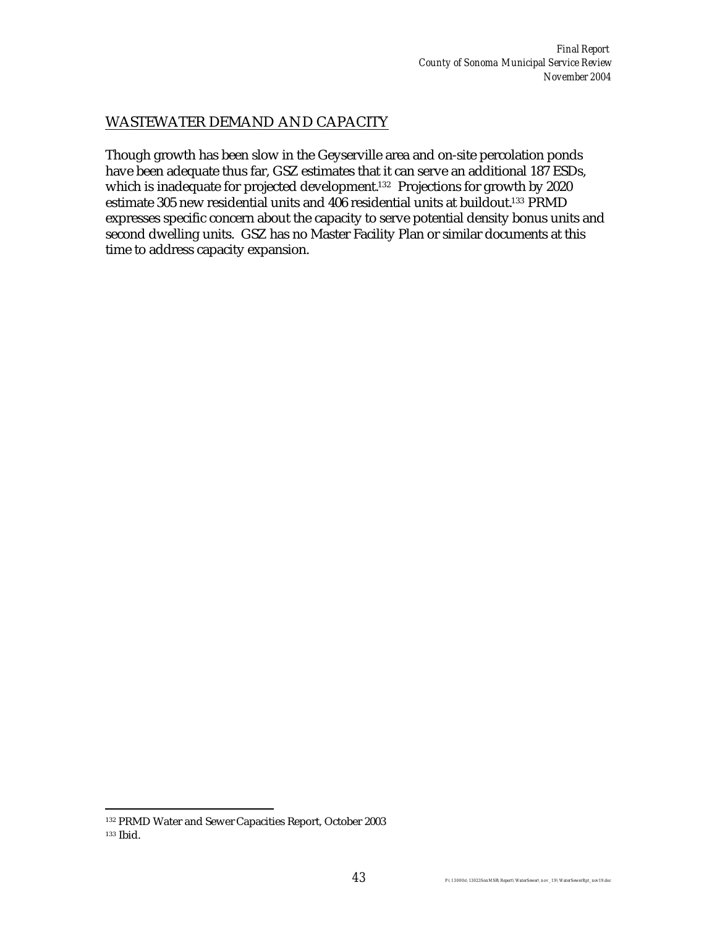### WASTEWATER DEMAND AND CAPACITY

Though growth has been slow in the Geyserville area and on-site percolation ponds have been adequate thus far, GSZ estimates that it can serve an additional 187 ESDs, which is inadequate for projected development.<sup>132</sup> Projections for growth by 2020 estimate 305 new residential units and 406 residential units at buildout.<sup>133</sup> PRMD expresses specific concern about the capacity to serve potential density bonus units and second dwelling units. GSZ has no Master Facility Plan or similar documents at this time to address capacity expansion.

 $\overline{a}$ <sup>132</sup> PRMD Water and Sewer Capacities Report, October 2003 <sup>133</sup> Ibid.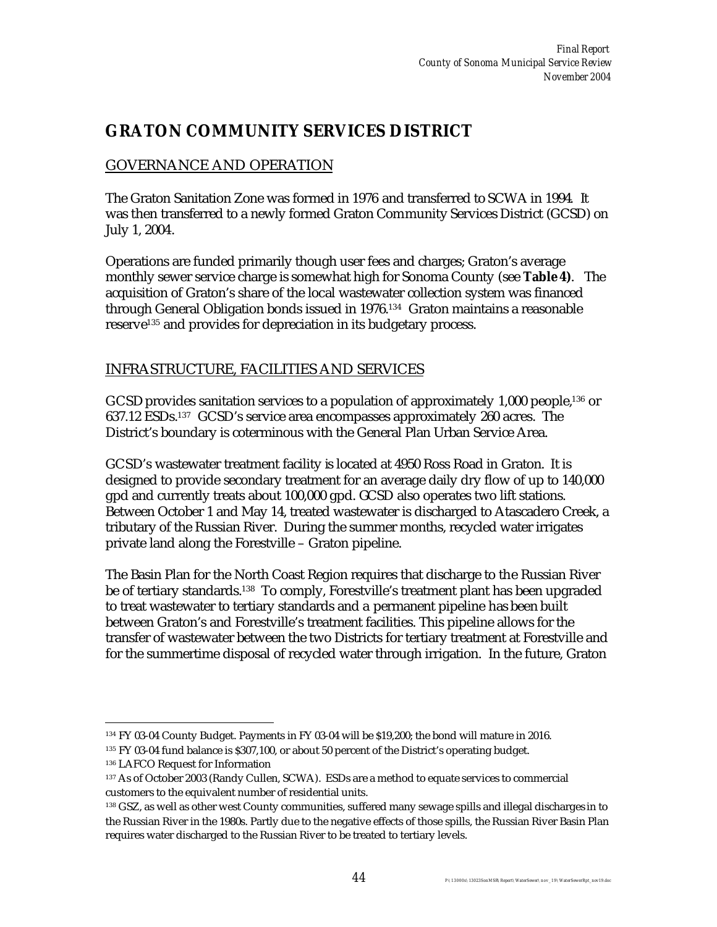## **GRATON COMMUNITY SERVICES DISTRICT**

## GOVERNANCE AND OPERATION

The Graton Sanitation Zone was formed in 1976 and transferred to SCWA in 1994. It was then transferred to a newly formed Graton Community Services District (GCSD) on July 1, 2004.

Operations are funded primarily though user fees and charges; Graton's average monthly sewer service charge is somewhat high for Sonoma County (see **Table 4)**. The acquisition of Graton's share of the local wastewater collection system was financed through General Obligation bonds issued in 1976.<sup>134</sup> Graton maintains a reasonable reserve135 and provides for depreciation in its budgetary process.

### INFRASTRUCTURE, FACILITIES AND SERVICES

GCSD provides sanitation services to a population of approximately 1,000 people,<sup>136</sup> or 637.12 ESDs.137 GCSD's service area encompasses approximately 260 acres. The District's boundary is coterminous with the General Plan Urban Service Area.

GCSD's wastewater treatment facility is located at 4950 Ross Road in Graton. It is designed to provide secondary treatment for an average daily dry flow of up to 140,000 gpd and currently treats about 100,000 gpd. GCSD also operates two lift stations. Between October 1 and May 14, treated wastewater is discharged to Atascadero Creek, a tributary of the Russian River. During the summer months, recycled water irrigates private land along the Forestville – Graton pipeline.

The Basin Plan for the North Coast Region requires that discharge to the Russian River be of tertiary standards.138 To comply, Forestville's treatment plant has been upgraded to treat wastewater to tertiary standards and a permanent pipeline has been built between Graton's and Forestville's treatment facilities. This pipeline allows for the transfer of wastewater between the two Districts for tertiary treatment at Forestville and for the summertime disposal of recycled water through irrigation. In the future, Graton

 $\overline{a}$ <sup>134</sup> FY 03-04 County Budget. Payments in FY 03-04 will be \$19,200; the bond will mature in 2016.

<sup>&</sup>lt;sup>135</sup> FY 03-04 fund balance is \$307,100, or about 50 percent of the District's operating budget.

<sup>136</sup> LAFCO Request for Information

<sup>137</sup> As of October 2003 (Randy Cullen, SCWA). ESDs are a method to equate services to commercial customers to the equivalent number of residential units.

<sup>138</sup> GSZ, as well as other west County communities, suffered many sewage spills and illegal discharges in to the Russian River in the 1980s. Partly due to the negative effects of those spills, the Russian River Basin Plan requires water discharged to the Russian River to be treated to tertiary levels.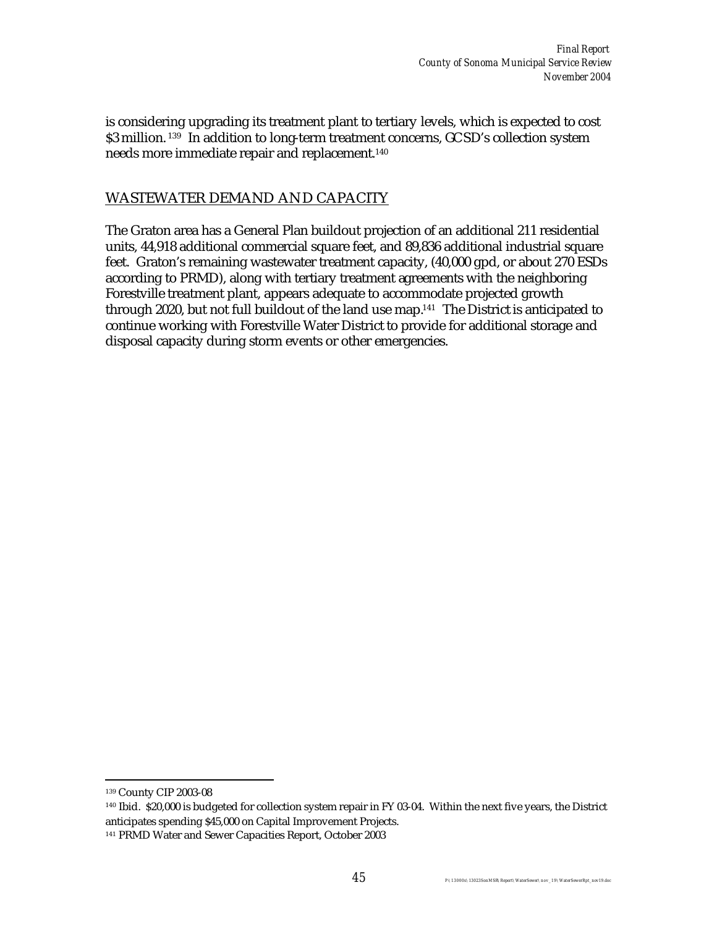is considering upgrading its treatment plant to tertiary levels, which is expected to cost \$3 million.<sup>139</sup> In addition to long-term treatment concerns, GCSD's collection system needs more immediate repair and replacement.<sup>140</sup>

### WASTEWATER DEMAND AND CAPACITY

The Graton area has a General Plan buildout projection of an additional 211 residential units, 44,918 additional commercial square feet, and 89,836 additional industrial square feet. Graton's remaining wastewater treatment capacity, (40,000 gpd, or about 270 ESDs according to PRMD), along with tertiary treatment agreements with the neighboring Forestville treatment plant, appears adequate to accommodate projected growth through 2020, but not full buildout of the land use map.<sup>141</sup> The District is anticipated to continue working with Forestville Water District to provide for additional storage and disposal capacity during storm events or other emergencies.

 $\overline{a}$ 

<sup>140</sup> Ibid. \$20,000 is budgeted for collection system repair in FY 03-04. Within the next five years, the District anticipates spending \$45,000 on Capital Improvement Projects.

<sup>139</sup> County CIP 2003-08

<sup>141</sup> PRMD Water and Sewer Capacities Report, October 2003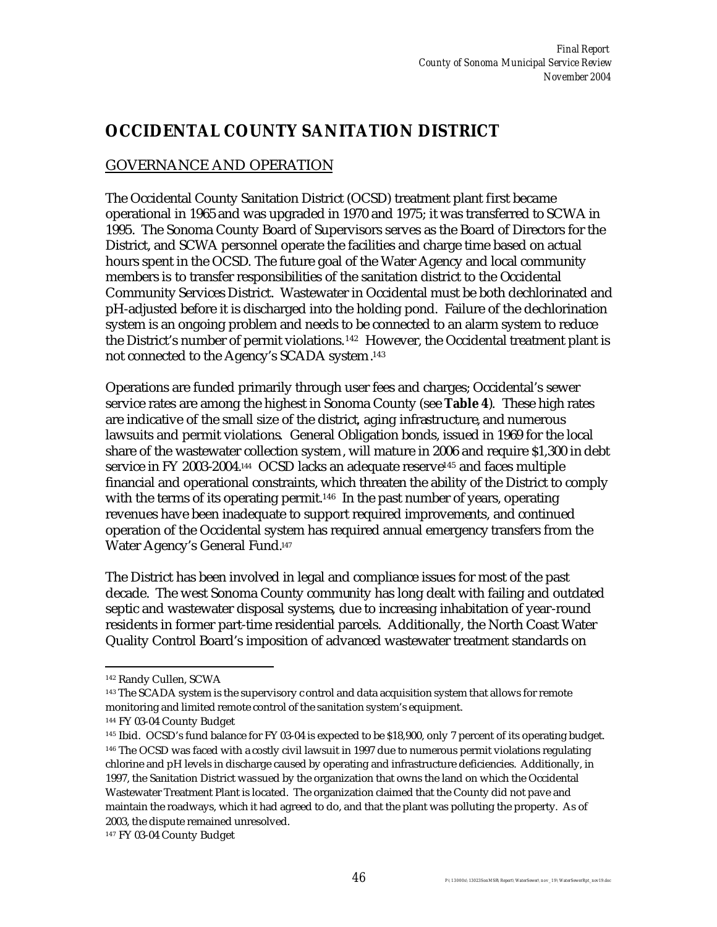## **OCCIDENTAL COUNTY SANITATION DISTRICT**

### GOVERNANCE AND OPERATION

The Occidental County Sanitation District (OCSD) treatment plant first became operational in 1965 and was upgraded in 1970 and 1975; it was transferred to SCWA in 1995. The Sonoma County Board of Supervisors serves as the Board of Directors for the District, and SCWA personnel operate the facilities and charge time based on actual hours spent in the OCSD. The future goal of the Water Agency and local community members is to transfer responsibilities of the sanitation district to the Occidental Community Services District. Wastewater in Occidental must be both dechlorinated and pH-adjusted before it is discharged into the holding pond. Failure of the dechlorination system is an ongoing problem and needs to be connected to an alarm system to reduce the District's number of permit violations.142 However, the Occidental treatment plant is not connected to the Agency's SCADA system. 143

Operations are funded primarily through user fees and charges; Occidental's sewer service rates are among the highest in Sonoma County (see **Table 4**). These high rates are indicative of the small size of the district, aging infrastructure, and numerous lawsuits and permit violations. General Obligation bonds, issued in 1969 for the local share of the wastewater collection system, will mature in 2006 and require \$1,300 in debt service in FY 2003-2004.<sup>144</sup> OCSD lacks an adequate reserve<sup>145</sup> and faces multiple financial and operational constraints, which threaten the ability of the District to comply with the terms of its operating permit.<sup>146</sup> In the past number of years, operating revenues have been inadequate to support required improvements, and continued operation of the Occidental system has required annual emergency transfers from the Water Agency's General Fund.<sup>147</sup>

The District has been involved in legal and compliance issues for most of the past decade. The west Sonoma County community has long dealt with failing and outdated septic and wastewater disposal systems, due to increasing inhabitation of year-round residents in former part-time residential parcels. Additionally, the North Coast Water Quality Control Board's imposition of advanced wastewater treatment standards on

 $\overline{a}$ 

<sup>142</sup> Randy Cullen, SCWA

<sup>143</sup> The SCADA system is the supervisory c ontrol and data acquisition system that allows for remote monitoring and limited remote control of the sanitation system's equipment.

<sup>144</sup> FY 03-04 County Budget

<sup>145</sup> Ibid. OCSD's fund balance for FY 03-04 is expected to be \$18,900, only 7 percent of its operating budget. <sup>146</sup> The OCSD was faced with a costly civil lawsuit in 1997 due to numerous permit violations regulating chlorine and pH levels in discharge caused by operating and infrastructure deficiencies. Additionally, in 1997, the Sanitation District was sued by the organization that owns the land on which the Occidental Wastewater Treatment Plant is located. The organization claimed that the County did not pave and maintain the roadways, which it had agreed to do, and that the plant was polluting the property. As of 2003, the dispute remained unresolved.

<sup>147</sup> FY 03-04 County Budget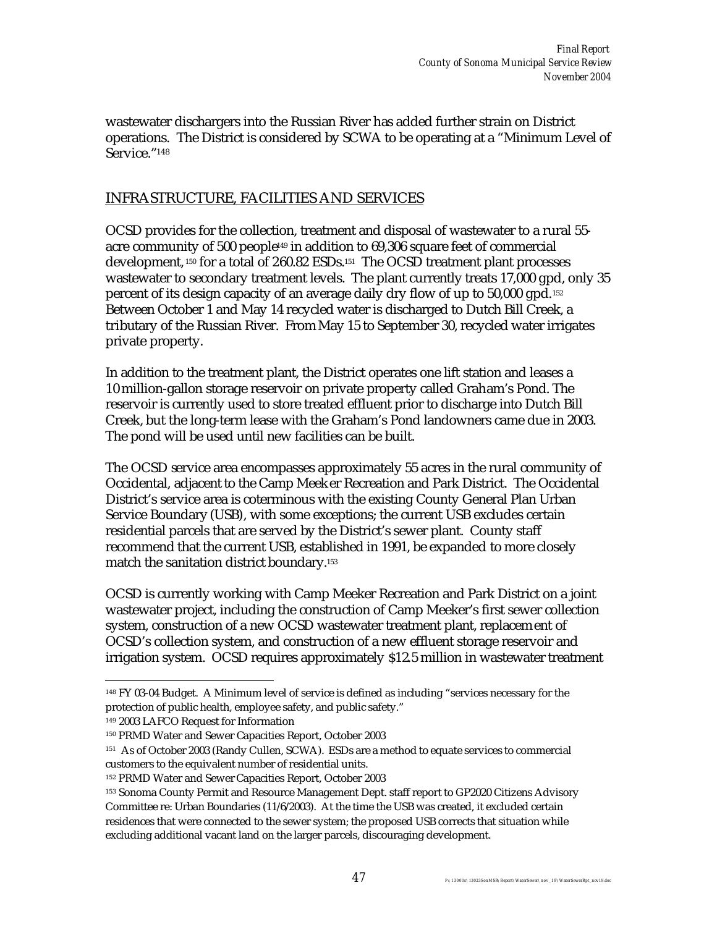wastewater dischargers into the Russian River has added further strain on District operations. The District is considered by SCWA to be operating at a "Minimum Level of Service."<sup>148</sup>

#### INFRASTRUCTURE, FACILITIES AND SERVICES

OCSD provides for the collection, treatment and disposal of wastewater to a rural 55 acre community of 500 people149 in addition to 69,306 square feet of commercial development, <sup>150</sup> for a total of 260.82 ESDs.151 The OCSD treatment plant processes wastewater to secondary treatment levels. The plant currently treats 17,000 gpd, only 35 percent of its design capacity of an average daily dry flow of up to 50,000 gpd.<sup>152</sup> Between October 1 and May 14 recycled water is discharged to Dutch Bill Creek, a tributary of the Russian River. From May 15 to September 30, recycled water irrigates private property.

In addition to the treatment plant, the District operates one lift station and leases a 10 million-gallon storage reservoir on private property called Graham's Pond. The reservoir is currently used to store treated effluent prior to discharge into Dutch Bill Creek, but the long-term lease with the Graham's Pond landowners came due in 2003. The pond will be used until new facilities can be built.

The OCSD service area encompasses approximately 55 acres in the rural community of Occidental, adjacent to the Camp Meeker Recreation and Park District. The Occidental District's service area is coterminous with the existing County General Plan Urban Service Boundary (USB), with some exceptions; the current USB excludes certain residential parcels that are served by the District's sewer plant. County staff recommend that the current USB, established in 1991, be expanded to more closely match the sanitation district boundary.<sup>153</sup>

OCSD is currently working with Camp Meeker Recreation and Park District on a joint wastewater project, including the construction of Camp Meeker's first sewer collection system, construction of a new OCSD wastewater treatment plant, replacement of OCSD's collection system, and construction of a new effluent storage reservoir and irrigation system. OCSD requires approximately \$12.5 million in wastewater treatment

 $\overline{a}$ <sup>148</sup> FY 03-04 Budget. A Minimum level of service is defined as including "services necessary for the protection of public health, employee safety, and public safety."

<sup>149</sup> 2003 LAFCO Request for Information

<sup>150</sup> PRMD Water and Sewer Capacities Report, October 2003

<sup>151</sup> As of October 2003 (Randy Cullen, SCWA). ESDs are a method to equate services to commercial customers to the equivalent number of residential units.

<sup>152</sup> PRMD Water and Sewer Capacities Report, October 2003

<sup>153</sup> Sonoma County Permit and Resource Management Dept. staff report to GP2020 Citizens Advisory Committee re: Urban Boundaries (11/6/2003). At the time the USB was created, it excluded certain residences that were connected to the sewer system; the proposed USB corrects that situation while excluding additional vacant land on the larger parcels, discouraging development.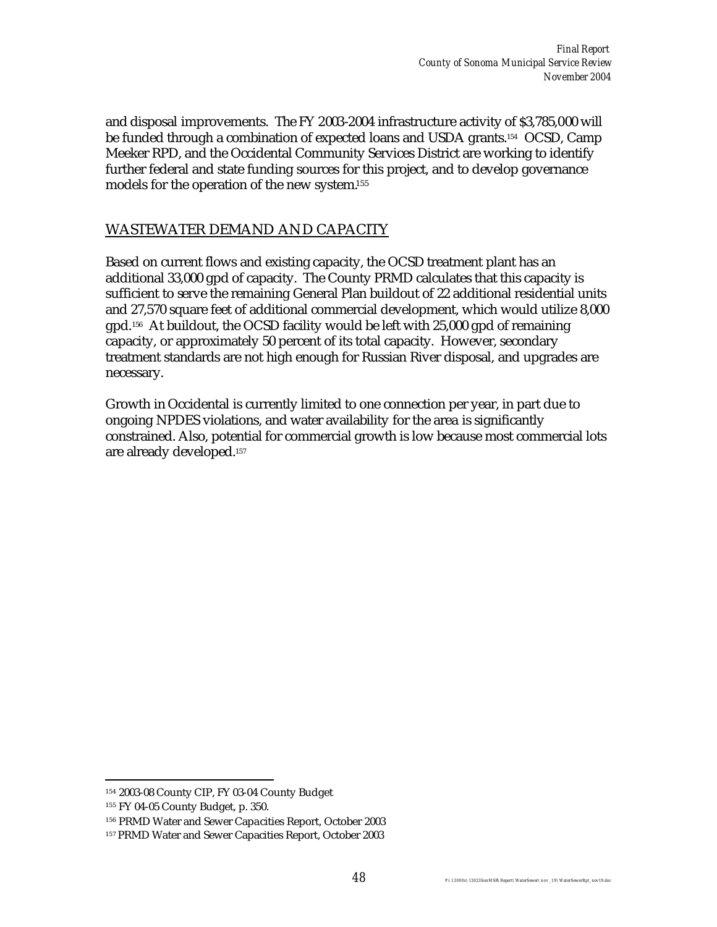and disposal improvements. The FY 2003-2004 infrastructure activity of \$3,785,000 will be funded through a combination of expected loans and USDA grants.154 OCSD, Camp Meeker RPD, and the Occidental Community Services District are working to identify further federal and state funding sources for this project, and to develop governance models for the operation of the new system.<sup>155</sup>

#### WASTEWATER DEMAND AND CAPACITY

Based on current flows and existing capacity, the OCSD treatment plant has an additional 33,000 gpd of capacity. The County PRMD calculates that this capacity is sufficient to serve the remaining General Plan buildout of 22 additional residential units and 27,570 square feet of additional commercial development, which would utilize 8,000 gpd. <sup>156</sup> At buildout, the OCSD facility would be left with 25,000 gpd of remaining capacity, or approximately 50 percent of its total capacity. However, secondary treatment standards are not high enough for Russian River disposal, and upgrades are necessary.

Growth in Occidental is currently limited to one connection per year, in part due to ongoing NPDES violations, and water availability for the area is significantly constrained. Also, potential for commercial growth is low because most commercial lots are already developed.<sup>157</sup>

 $\overline{a}$ <sup>154</sup> 2003-08 County CIP, FY 03-04 County Budget

<sup>155</sup> FY 04-05 County Budget, p. 350.

<sup>156</sup> PRMD Water and Sewer Capacities Report, October 2003

<sup>157</sup> PRMD Water and Sewer Capacities Report, October 2003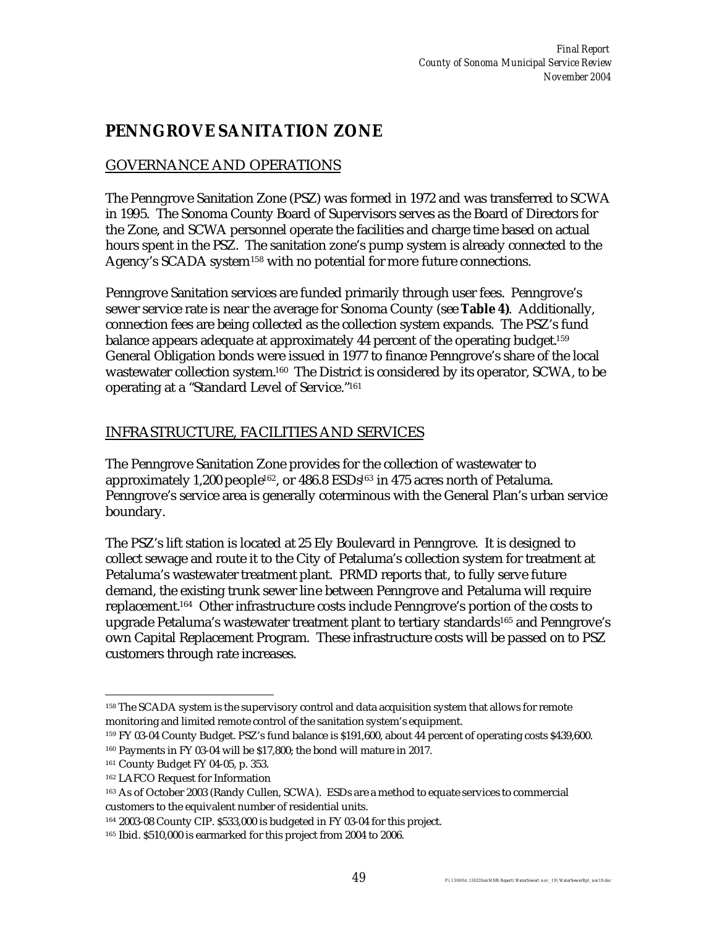# **PENNGROVE SANITATION ZONE**

## GOVERNANCE AND OPERATIONS

The Penngrove Sanitation Zone (PSZ) was formed in 1972 and was transferred to SCWA in 1995. The Sonoma County Board of Supervisors serves as the Board of Directors for the Zone, and SCWA personnel operate the facilities and charge time based on actual hours spent in the PSZ. The sanitation zone's pump system is already connected to the Agency's SCADA system<sup>158</sup> with no potential for more future connections.

Penngrove Sanitation services are funded primarily through user fees. Penngrove's sewer service rate is near the average for Sonoma County (see **Table 4)**. Additionally, connection fees are being collected as the collection system expands. The PSZ's fund balance appears adequate at approximately 44 percent of the operating budget.<sup>159</sup> General Obligation bonds were issued in 1977 to finance Penngrove's share of the local wastewater collection system.160 The District is considered by its operator, SCWA, to be operating at a "Standard Level of Service."<sup>161</sup>

### INFRASTRUCTURE, FACILITIES AND SERVICES

The Penngrove Sanitation Zone provides for the collection of wastewater to approximately 1,200 people<sup>162</sup>, or 486.8 ESDs<sup>163</sup> in 475 acres north of Petaluma. Penngrove's service area is generally coterminous with the General Plan's urban service boundary.

The PSZ's lift station is located at 25 Ely Boulevard in Penngrove. It is designed to collect sewage and route it to the City of Petaluma's collection system for treatment at Petaluma's wastewater treatment plant. PRMD reports that, to fully serve future demand, the existing trunk sewer line between Penngrove and Petaluma will require replacement.164 Other infrastructure costs include Penngrove's portion of the costs to upgrade Petaluma's wastewater treatment plant to tertiary standards<sup>165</sup> and Penngrove's own Capital Replacement Program. These infrastructure costs will be passed on to PSZ customers through rate increases.

 $\overline{a}$ <sup>158</sup> The SCADA system is the supervisory control and data acquisition system that allows for remote monitoring and limited remote control of the sanitation system's equipment.

<sup>159</sup> FY 03-04 County Budget. PSZ's fund balance is \$191,600, about 44 percent of operating costs \$439,600.

<sup>160</sup> Payments in FY 03-04 will be \$17,800; the bond will mature in 2017.

<sup>161</sup> County Budget FY 04-05, p. 353.

<sup>162</sup> LAFCO Request for Information

<sup>163</sup> As of October 2003 (Randy Cullen, SCWA). ESDs are a method to equate services to commercial customers to the equivalent number of residential units.

<sup>164</sup> 2003-08 County CIP. \$533,000 is budgeted in FY 03-04 for this project.

<sup>165</sup> Ibid. \$510,000 is earmarked for this project from 2004 to 2006.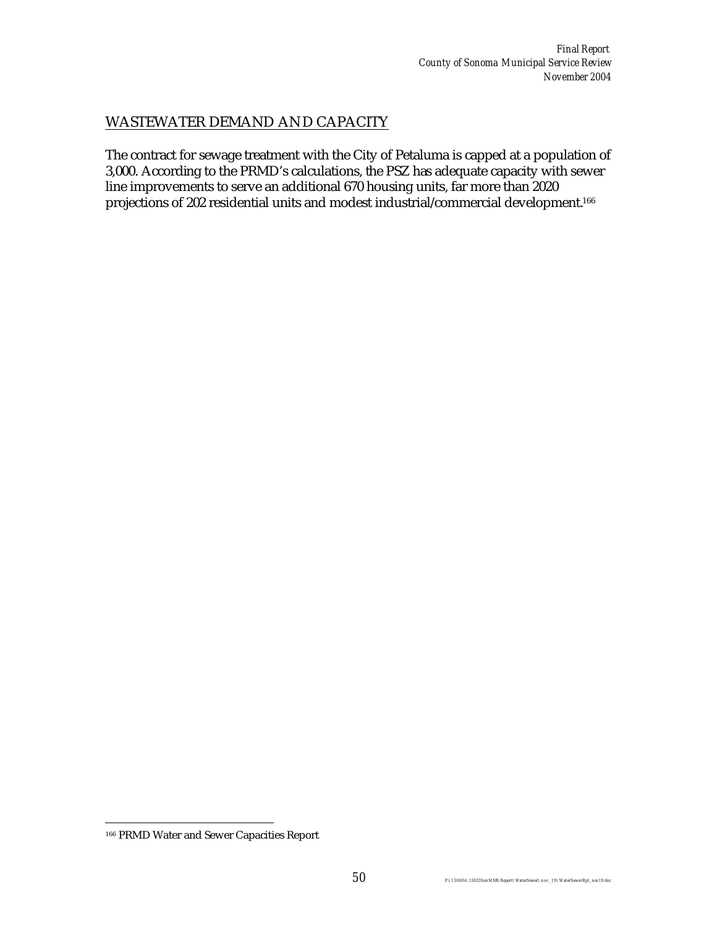### WASTEWATER DEMAND AND CAPACITY

The contract for sewage treatment with the City of Petaluma is capped at a population of 3,000. According to the PRMD's calculations, the PSZ has adequate capacity with sewer line improvements to serve an additional 670 housing units, far more than 2020 projections of 202 residential units and modest industrial/commercial development.<sup>166</sup>

 $\overline{a}$ 

<sup>166</sup> PRMD Water and Sewer Capacities Report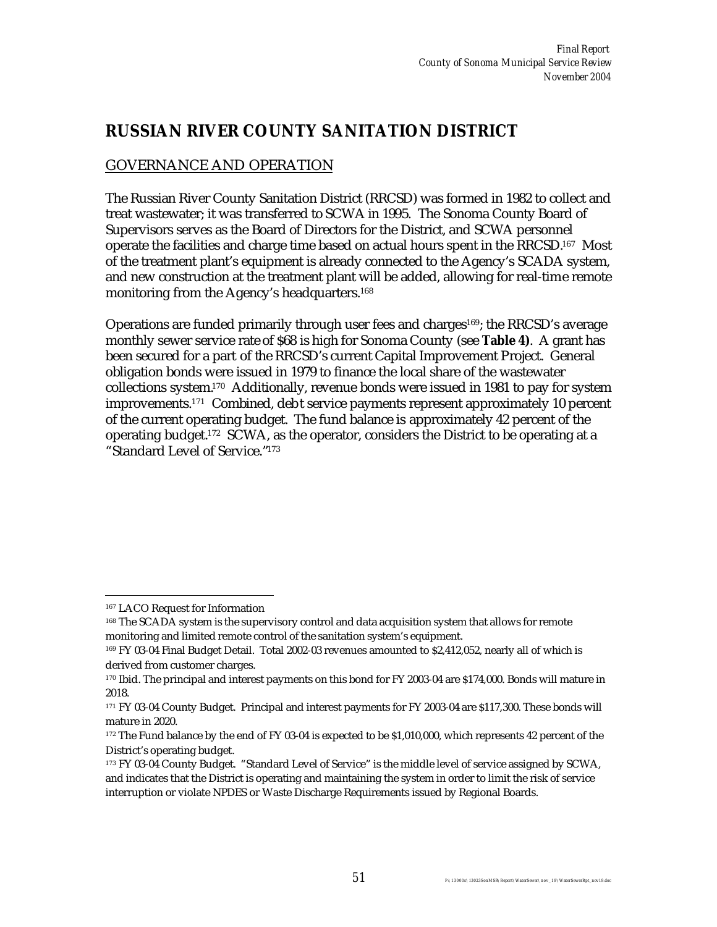## **RUSSIAN RIVER COUNTY SANITATION DISTRICT**

## GOVERNANCE AND OPERATION

The Russian River County Sanitation District (RRCSD) was formed in 1982 to collect and treat wastewater; it was transferred to SCWA in 1995. The Sonoma County Board of Supervisors serves as the Board of Directors for the District, and SCWA personnel operate the facilities and charge time based on actual hours spent in the RRCSD.167 Most of the treatment plant's equipment is already connected to the Agency's SCADA system, and new construction at the treatment plant will be added, allowing for real-time remote monitoring from the Agency's headquarters.<sup>168</sup>

Operations are funded primarily through user fees and charges<sup>169</sup>; the RRCSD's average monthly sewer service rate of \$68 is high for Sonoma County (see **Table 4)**. A grant has been secured for a part of the RRCSD's current Capital Improvement Project. General obligation bonds were issued in 1979 to finance the local share of the wastewater collections system.170 Additionally, revenue bonds were issued in 1981 to pay for system improvements.171 Combined, debt service payments represent approximately 10 percent of the current operating budget. The fund balance is approximately 42 percent of the operating budget. <sup>172</sup> SCWA, as the operator, considers the District to be operating at a "Standard Level of Service."<sup>173</sup>

 $\overline{a}$ 

<sup>167</sup> LACO Request for Information

<sup>168</sup> The SCADA system is the supervisory control and data acquisition system that allows for remote monitoring and limited remote control of the sanitation system's equipment.

<sup>169</sup> FY 03-04 Final Budget Detail. Total 2002-03 revenues amounted to \$2,412,052, nearly all of which is derived from customer charges.

<sup>170</sup> Ibid. The principal and interest payments on this bond for FY 2003-04 are \$174,000. Bonds will mature in 2018.

<sup>171</sup> FY 03-04 County Budget. Principal and interest payments for FY 2003-04 are \$117,300. These bonds will mature in 2020.

<sup>172</sup> The Fund balance by the end of FY 03-04 is expected to be \$1,010,000, which represents 42 percent of the District's operating budget.

<sup>173</sup> FY 03-04 County Budget. "Standard Level of Service" is the middle level of service assigned by SCWA, and indicates that the District is operating and maintaining the system in order to limit the risk of service interruption or violate NPDES or Waste Discharge Requirements issued by Regional Boards.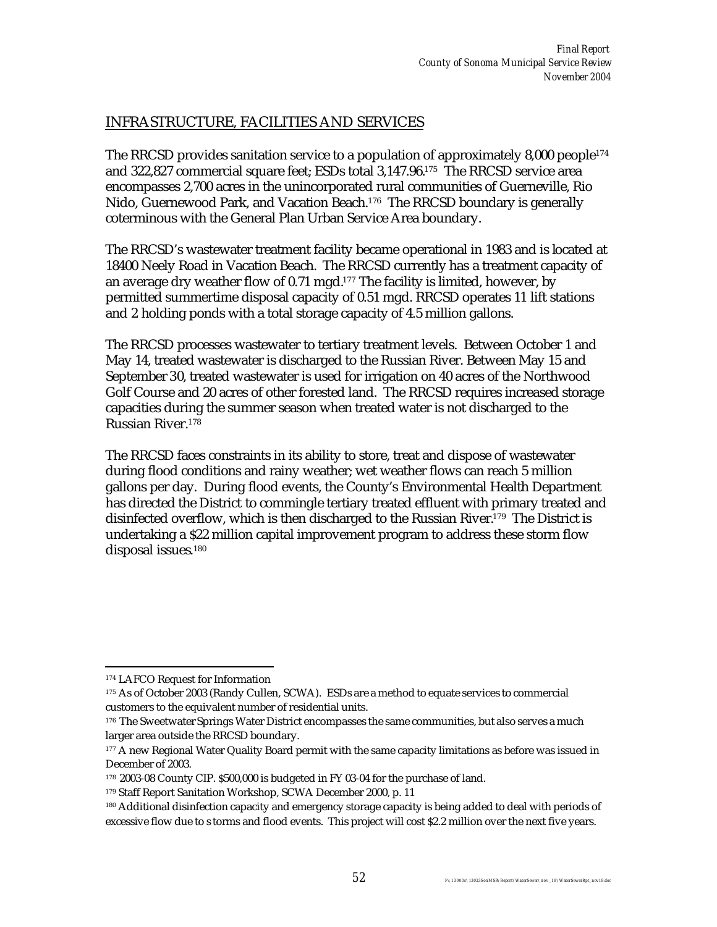### INFRASTRUCTURE, FACILITIES AND SERVICES

The RRCSD provides sanitation service to a population of approximately 8,000 people<sup>174</sup> and 322,827 commercial square feet; ESDs total 3,147.96.175 The RRCSD service area encompasses 2,700 acres in the unincorporated rural communities of Guerneville, Rio Nido, Guernewood Park, and Vacation Beach.176 The RRCSD boundary is generally coterminous with the General Plan Urban Service Area boundary.

The RRCSD's wastewater treatment facility became operational in 1983 and is located at 18400 Neely Road in Vacation Beach. The RRCSD currently has a treatment capacity of an average dry weather flow of 0.71 mgd. $177$  The facility is limited, however, by permitted summertime disposal capacity of 0.51 mgd. RRCSD operates 11 lift stations and 2 holding ponds with a total storage capacity of 4.5 million gallons.

The RRCSD processes wastewater to tertiary treatment levels. Between October 1 and May 14, treated wastewater is discharged to the Russian River. Between May 15 and September 30, treated wastewater is used for irrigation on 40 acres of the Northwood Golf Course and 20 acres of other forested land. The RRCSD requires increased storage capacities during the summer season when treated water is not discharged to the Russian River.<sup>178</sup>

The RRCSD faces constraints in its ability to store, treat and dispose of wastewater during flood conditions and rainy weather; wet weather flows can reach 5 million gallons per day. During flood events, the County's Environmental Health Department has directed the District to commingle tertiary treated effluent with primary treated and disinfected overflow, which is then discharged to the Russian River.179 The District is undertaking a \$22 million capital improvement program to address these storm flow disposal issues. 180

 $\overline{a}$ <sup>174</sup> LAFCO Request for Information

<sup>175</sup> As of October 2003 (Randy Cullen, SCWA). ESDs are a method to equate services to commercial customers to the equivalent number of residential units.

<sup>&</sup>lt;sup>176</sup> The Sweetwater Springs Water District encompasses the same communities, but also serves a much larger area outside the RRCSD boundary.

<sup>177</sup> A new Regional Water Quality Board permit with the same capacity limitations as before was issued in December of 2003.

<sup>178</sup> 2003-08 County CIP. \$500,000 is budgeted in FY 03-04 for the purchase of land.

<sup>179</sup> Staff Report Sanitation Workshop, SCWA December 2000, p. 11

<sup>180</sup> Additional disinfection capacity and emergency storage capacity is being added to deal with periods of excessive flow due to s torms and flood events. This project will cost \$2.2 million over the next five years.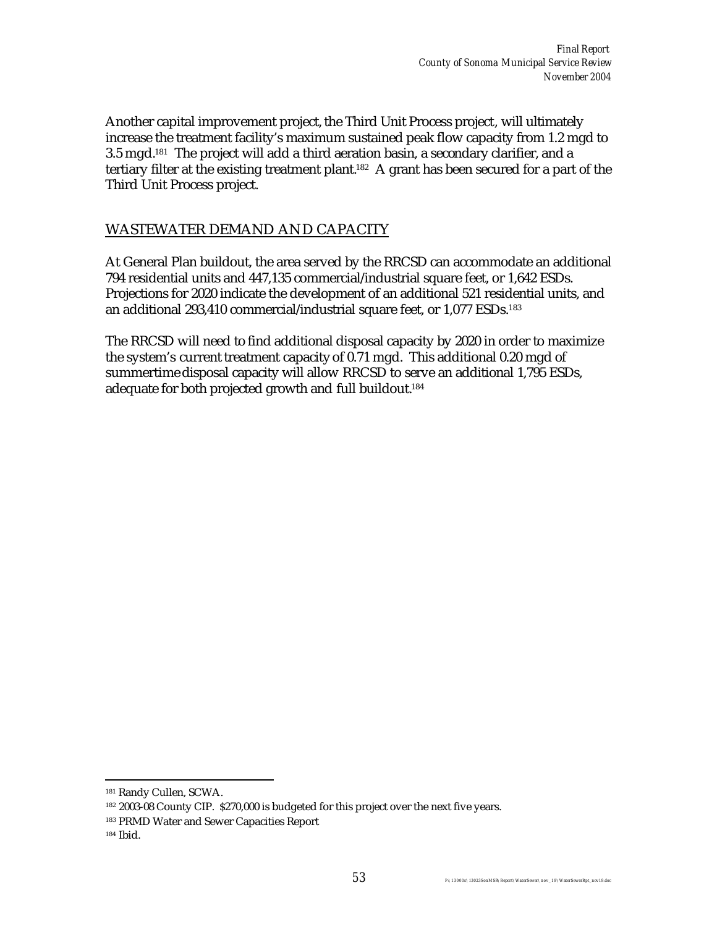Another capital improvement project, the Third Unit Process project, will ultimately increase the treatment facility's maximum sustained peak flow capacity from 1.2 mgd to 3.5 mgd.181 The project will add a third aeration basin, a secondary clarifier, and a tertiary filter at the existing treatment plant.182 A grant has been secured for a part of the Third Unit Process project.

#### WASTEWATER DEMAND AND CAPACITY

At General Plan buildout, the area served by the RRCSD can accommodate an additional 794 residential units and 447,135 commercial/industrial square feet, or 1,642 ESDs. Projections for 2020 indicate the development of an additional 521 residential units, and an additional 293,410 commercial/industrial square feet, or 1,077 ESDs.<sup>183</sup>

The RRCSD will need to find additional disposal capacity by 2020 in order to maximize the system's current treatment capacity of 0.71 mgd. This additional 0.20 mgd of summertime disposal capacity will allow RRCSD to serve an additional 1,795 ESDs, adequate for both projected growth and full buildout.<sup>184</sup>

 $\overline{a}$ <sup>181</sup> Randy Cullen, SCWA.

<sup>182</sup> 2003-08 County CIP. \$270,000 is budgeted for this project over the next five years.

<sup>183</sup> PRMD Water and Sewer Capacities Report

<sup>184</sup> Ibid.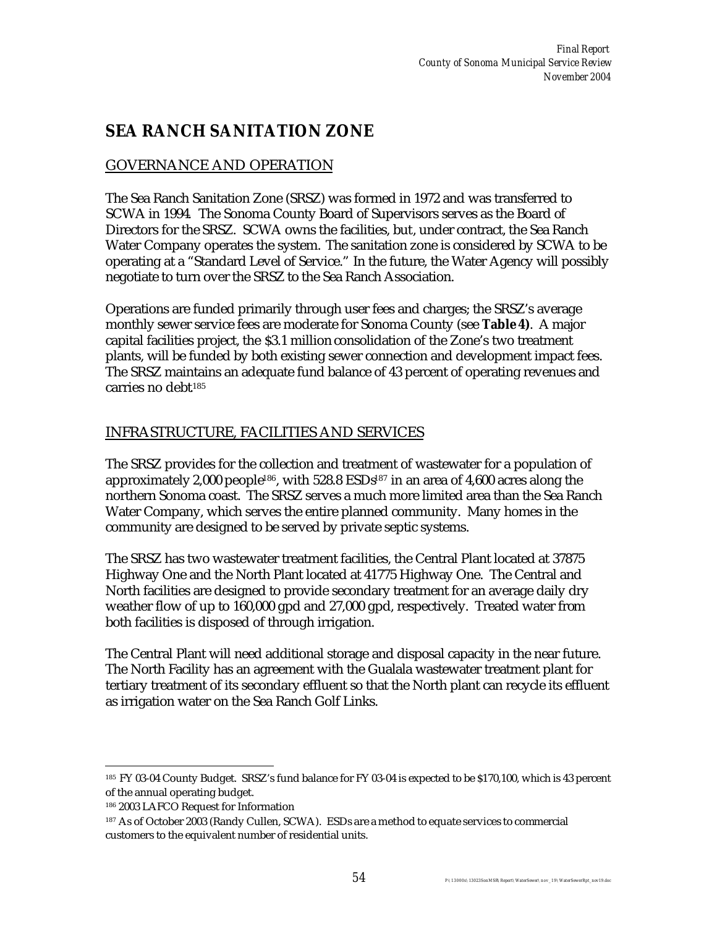# **SEA RANCH SANITATION ZONE**

## GOVERNANCE AND OPERATION

The Sea Ranch Sanitation Zone (SRSZ) was formed in 1972 and was transferred to SCWA in 1994. The Sonoma County Board of Supervisors serves as the Board of Directors for the SRSZ. SCWA owns the facilities, but, under contract, the Sea Ranch Water Company operates the system. The sanitation zone is considered by SCWA to be operating at a "Standard Level of Service." In the future, the Water Agency will possibly negotiate to turn over the SRSZ to the Sea Ranch Association.

Operations are funded primarily through user fees and charges; the SRSZ's average monthly sewer service fees are moderate for Sonoma County (see **Table 4)**. A major capital facilities project, the \$3.1 million consolidation of the Zone's two treatment plants, will be funded by both existing sewer connection and development impact fees. The SRSZ maintains an adequate fund balance of 43 percent of operating revenues and carries no debt<sup>185</sup>

#### INFRASTRUCTURE, FACILITIES AND SERVICES

The SRSZ provides for the collection and treatment of wastewater for a population of approximately 2,000 people<sup>186</sup>, with 528.8 ESDs<sup>187</sup> in an area of 4,600 acres along the northern Sonoma coast. The SRSZ serves a much more limited area than the Sea Ranch Water Company, which serves the entire planned community. Many homes in the community are designed to be served by private septic systems.

The SRSZ has two wastewater treatment facilities, the Central Plant located at 37875 Highway One and the North Plant located at 41775 Highway One. The Central and North facilities are designed to provide secondary treatment for an average daily dry weather flow of up to 160,000 gpd and 27,000 gpd, respectively. Treated water from both facilities is disposed of through irrigation.

The Central Plant will need additional storage and disposal capacity in the near future. The North Facility has an agreement with the Gualala wastewater treatment plant for tertiary treatment of its secondary effluent so that the North plant can recycle its effluent as irrigation water on the Sea Ranch Golf Links.

 $\overline{a}$ 

<sup>185</sup> FY 03-04 County Budget. SRSZ's fund balance for FY 03-04 is expected to be \$170,100, which is 43 percent of the annual operating budget.

<sup>186</sup> 2003 LAFCO Request for Information

<sup>187</sup> As of October 2003 (Randy Cullen, SCWA). ESDs are a method to equate services to commercial customers to the equivalent number of residential units.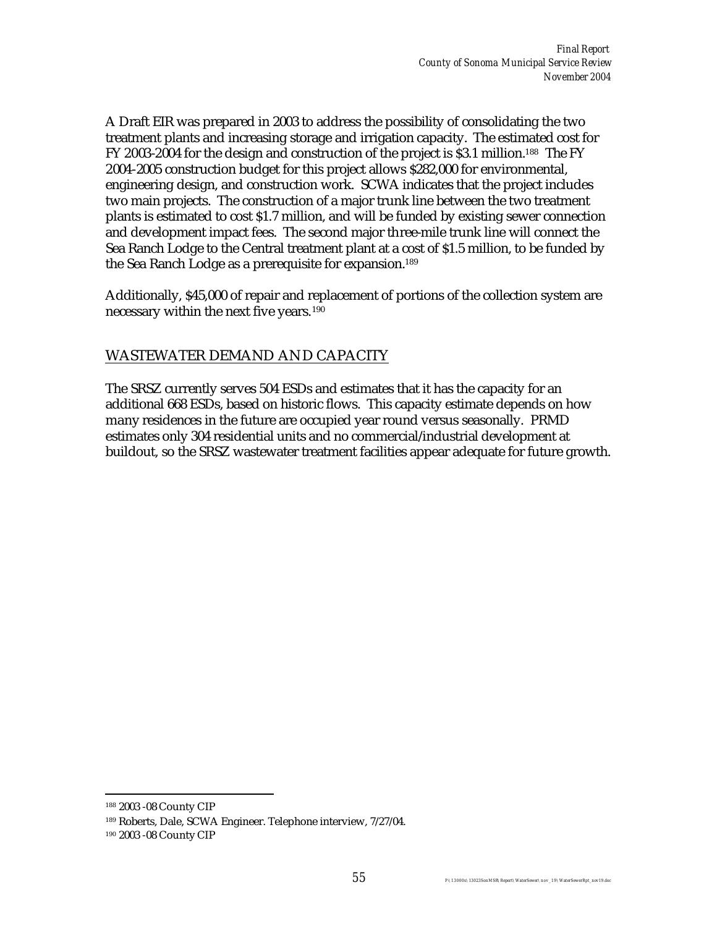A Draft EIR was prepared in 2003 to address the possibility of consolidating the two treatment plants and increasing storage and irrigation capacity. The estimated cost for FY 2003-2004 for the design and construction of the project is \$3.1 million.<sup>188</sup> The FY 2004-2005 construction budget for this project allows \$282,000 for environmental, engineering design, and construction work. SCWA indicates that the project includes two main projects. The construction of a major trunk line between the two treatment plants is estimated to cost \$1.7 million, and will be funded by existing sewer connection and development impact fees. The second major three-mile trunk line will connect the Sea Ranch Lodge to the Central treatment plant at a cost of \$1.5 million, to be funded by the Sea Ranch Lodge as a prerequisite for expansion.<sup>189</sup>

Additionally, \$45,000 of repair and replacement of portions of the collection system are necessary within the next five years.<sup>190</sup>

#### WASTEWATER DEMAND AND CAPACITY

The SRSZ currently serves 504 ESDs and estimates that it has the capacity for an additional 668 ESDs, based on historic flows. This capacity estimate depends on how many residences in the future are occupied year round versus seasonally. PRMD estimates only 304 residential units and no commercial/industrial development at buildout, so the SRSZ wastewater treatment facilities appear adequate for future growth.

 $\overline{a}$ <sup>188</sup> 2003 -08 County CIP

<sup>189</sup> Roberts, Dale, SCWA Engineer. Telephone interview, 7/27/04.

<sup>190</sup> 2003 -08 County CIP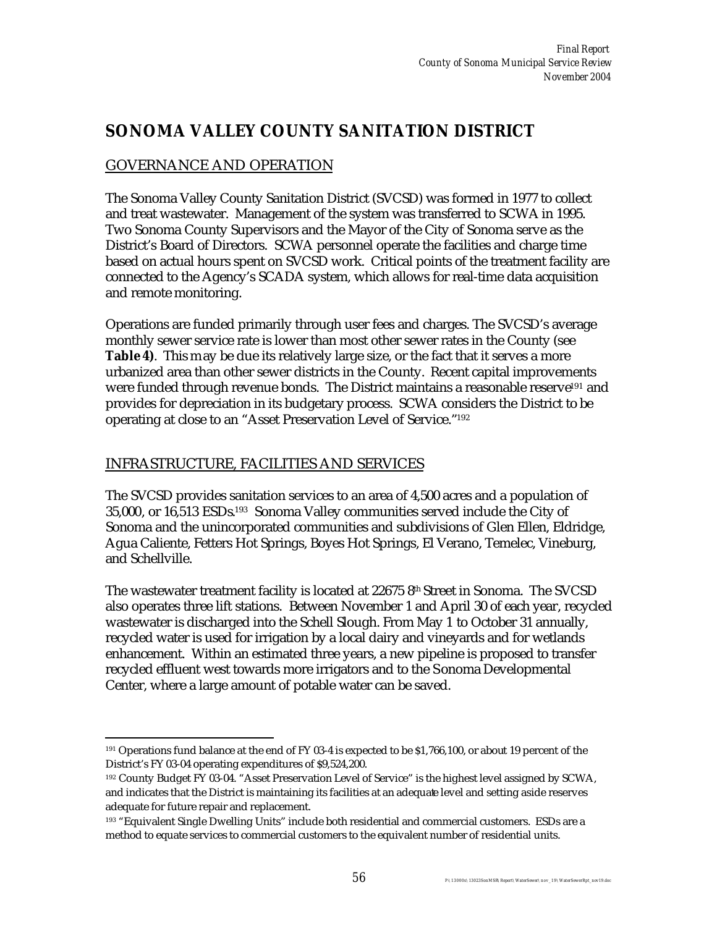## **SONOMA VALLEY COUNTY SANITATION DISTRICT**

### GOVERNANCE AND OPERATION

The Sonoma Valley County Sanitation District (SVCSD) was formed in 1977 to collect and treat wastewater. Management of the system was transferred to SCWA in 1995. Two Sonoma County Supervisors and the Mayor of the City of Sonoma serve as the District's Board of Directors. SCWA personnel operate the facilities and charge time based on actual hours spent on SVCSD work. Critical points of the treatment facility are connected to the Agency's SCADA system, which allows for real-time data acquisition and remote monitoring.

Operations are funded primarily through user fees and charges. The SVCSD's average monthly sewer service rate is lower than most other sewer rates in the County (see **Table 4)**. This may be due its relatively large size, or the fact that it serves a more urbanized area than other sewer districts in the County. Recent capital improvements were funded through revenue bonds. The District maintains a reasonable reserve<sup>191</sup> and provides for depreciation in its budgetary process. SCWA considers the District to be operating at close to an "Asset Preservation Level of Service."<sup>192</sup>

#### INFRASTRUCTURE, FACILITIES AND SERVICES

The SVCSD provides sanitation services to an area of 4,500 acres and a population of 35,000, or 16,513 ESDs. <sup>193</sup> Sonoma Valley communities served include the City of Sonoma and the unincorporated communities and subdivisions of Glen Ellen, Eldridge, Agua Caliente, Fetters Hot Springs, Boyes Hot Springs, El Verano, Temelec, Vineburg, and Schellville.

The wastewater treatment facility is located at  $226758^{\text{th}}$  Street in Sonoma. The SVCSD also operates three lift stations. Between November 1 and April 30 of each year, recycled wastewater is discharged into the Schell Slough. From May 1 to October 31 annually, recycled water is used for irrigation by a local dairy and vineyards and for wetlands enhancement. Within an estimated three years, a new pipeline is proposed to transfer recycled effluent west towards more irrigators and to the Sonoma Developmental Center, where a large amount of potable water can be saved.

 $\overline{a}$ <sup>191</sup> Operations fund balance at the end of FY 03-4 is expected to be \$1,766,100, or about 19 percent of the District's FY 03-04 operating expenditures of \$9,524,200.

<sup>192</sup> County Budget FY 03-04. "Asset Preservation Level of Service" is the highest level assigned by SCWA, and indicates that the District is maintaining its facilities at an adequate level and setting aside reserves adequate for future repair and replacement.

<sup>193</sup> "Equivalent Single Dwelling Units" include both residential and commercial customers. ESDs are a method to equate services to commercial customers to the equivalent number of residential units.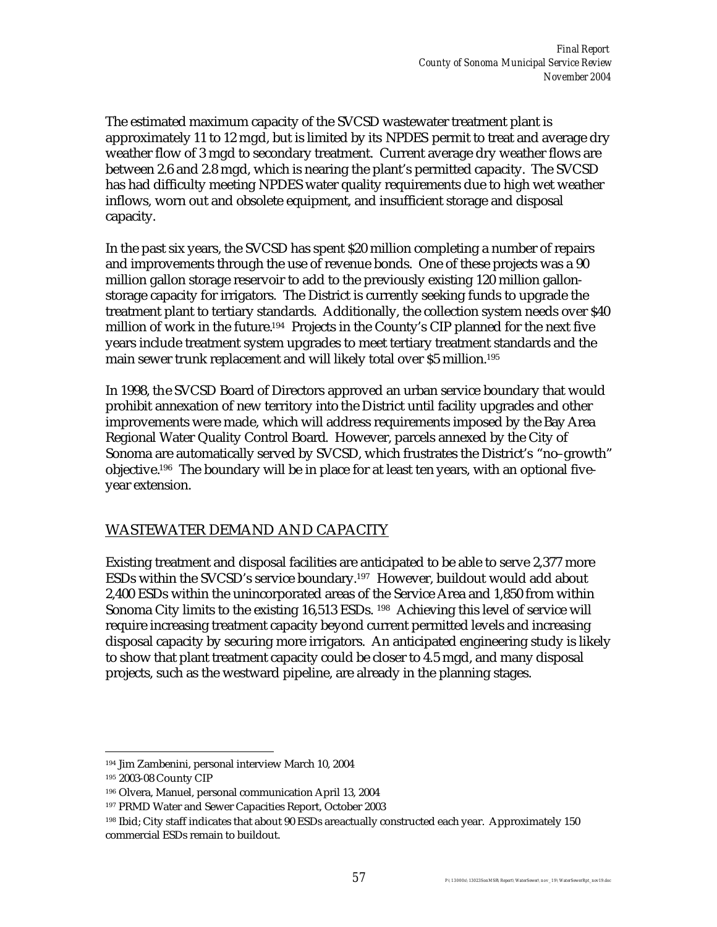The estimated maximum capacity of the SVCSD wastewater treatment plant is approximately 11 to 12 mgd, but is limited by its NPDES permit to treat and average dry weather flow of 3 mgd to secondary treatment. Current average dry weather flows are between 2.6 and 2.8 mgd, which is nearing the plant's permitted capacity. The SVCSD has had difficulty meeting NPDES water quality requirements due to high wet weather inflows, worn out and obsolete equipment, and insufficient storage and disposal capacity.

In the past six years, the SVCSD has spent \$20 million completing a number of repairs and improvements through the use of revenue bonds. One of these projects was a 90 million gallon storage reservoir to add to the previously existing 120 million gallonstorage capacity for irrigators. The District is currently seeking funds to upgrade the treatment plant to tertiary standards. Additionally, the collection system needs over \$40 million of work in the future.<sup>194</sup> Projects in the County's CIP planned for the next five years include treatment system upgrades to meet tertiary treatment standards and the main sewer trunk replacement and will likely total over \$5 million.<sup>195</sup>

In 1998, the SVCSD Board of Directors approved an urban service boundary that would prohibit annexation of new territory into the District until facility upgrades and other improvements were made, which will address requirements imposed by the Bay Area Regional Water Quality Control Board. However, parcels annexed by the City of Sonoma are automatically served by SVCSD, which frustrates the District's "no–growth" objective.196 The boundary will be in place for at least ten years, with an optional fiveyear extension.

### WASTEWATER DEMAND AND CAPACITY

Existing treatment and disposal facilities are anticipated to be able to serve 2,377 more ESDs within the SVCSD's service boundary.197 However, buildout would add about 2,400 ESDs within the unincorporated areas of the Service Area and 1,850 from within Sonoma City limits to the existing 16,513 ESDs. <sup>198</sup> Achieving this level of service will require increasing treatment capacity beyond current permitted levels and increasing disposal capacity by securing more irrigators. An anticipated engineering study is likely to show that plant treatment capacity could be closer to 4.5 mgd, and many disposal projects, such as the westward pipeline, are already in the planning stages.

 $\overline{a}$ <sup>194</sup> Jim Zambenini, personal interview March 10, 2004

<sup>195</sup> 2003-08 County CIP

<sup>196</sup> Olvera, Manuel, personal communication April 13, 2004

<sup>197</sup> PRMD Water and Sewer Capacities Report, October 2003

<sup>198</sup> Ibid; City staff indicates that about 90 ESDs are actually constructed each year. Approximately 150 commercial ESDs remain to buildout.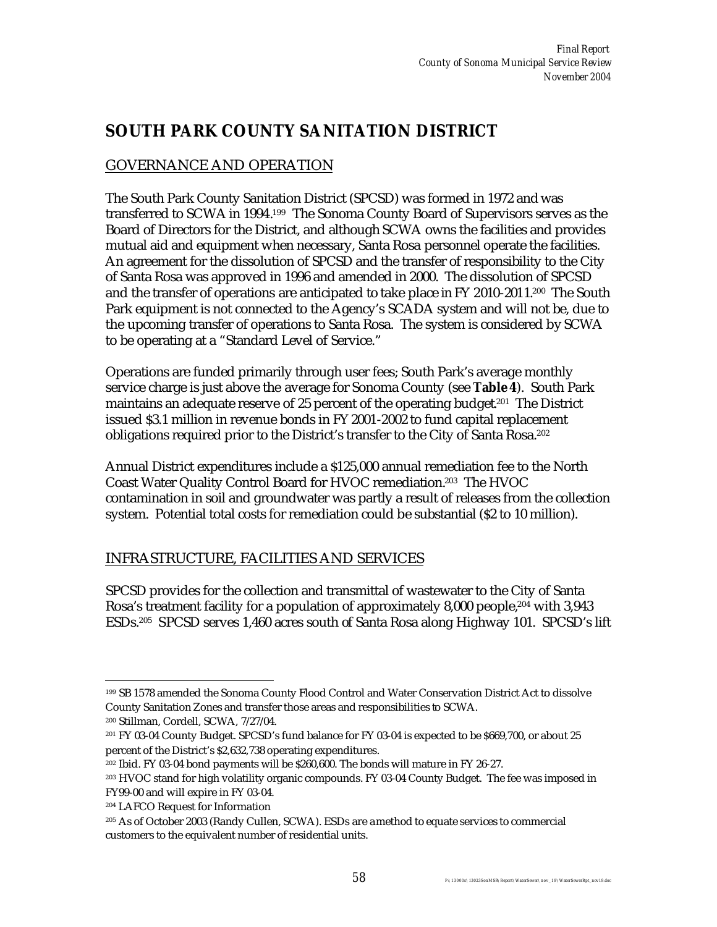## **SOUTH PARK COUNTY SANITATION DISTRICT**

## GOVERNANCE AND OPERATION

The South Park County Sanitation District (SPCSD) was formed in 1972 and was transferred to SCWA in 1994.<sup>199</sup> The Sonoma County Board of Supervisors serves as the Board of Directors for the District, and although SCWA owns the facilities and provides mutual aid and equipment when necessary, Santa Rosa personnel operate the facilities. An agreement for the dissolution of SPCSD and the transfer of responsibility to the City of Santa Rosa was approved in 1996 and amended in 2000. The dissolution of SPCSD and the transfer of operations are anticipated to take place in FY 2010-2011. <sup>200</sup> The South Park equipment is not connected to the Agency's SCADA system and will not be, due to the upcoming transfer of operations to Santa Rosa. The system is considered by SCWA to be operating at a "Standard Level of Service."

Operations are funded primarily through user fees; South Park's average monthly service charge is just above the average for Sonoma County (see **Table 4**). South Park maintains an adequate reserve of 25 percent of the operating budget<sup>201</sup> The District issued \$3.1 million in revenue bonds in FY 2001-2002 to fund capital replacement obligations required prior to the District's transfer to the City of Santa Rosa.<sup>202</sup>

Annual District expenditures include a \$125,000 annual remediation fee to the North Coast Water Quality Control Board for HVOC remediation.203 The HVOC contamination in soil and groundwater was partly a result of releases from the collection system. Potential total costs for remediation could be substantial (\$2 to 10 million).

### INFRASTRUCTURE, FACILITIES AND SERVICES

SPCSD provides for the collection and transmittal of wastewater to the City of Santa Rosa's treatment facility for a population of approximately 8,000 people, <sup>204</sup> with 3,943 ESDs.205 SPCSD serves 1,460 acres south of Santa Rosa along Highway 101. SPCSD's lift

 $\overline{a}$ <sup>199</sup> SB 1578 amended the Sonoma County Flood Control and Water Conservation District Act to dissolve County Sanitation Zones and transfer those areas and responsibilities to SCWA.

<sup>200</sup> Stillman, Cordell, SCWA, 7/27/04.

<sup>201</sup> FY 03-04 County Budget. SPCSD's fund balance for FY 03-04 is expected to be \$669,700, or about 25 percent of the District's \$2,632,738 operating expenditures.

<sup>202</sup> Ibid. FY 03-04 bond payments will be \$260,600. The bonds will mature in FY 26-27.

<sup>203</sup> HVOC stand for high volatility organic compounds. FY 03-04 County Budget. The fee was imposed in FY99-00 and will expire in FY 03-04.

<sup>204</sup> LAFCO Request for Information

<sup>205</sup> As of October 2003 (Randy Cullen, SCWA). ESDs are a method to equate services to commercial customers to the equivalent number of residential units.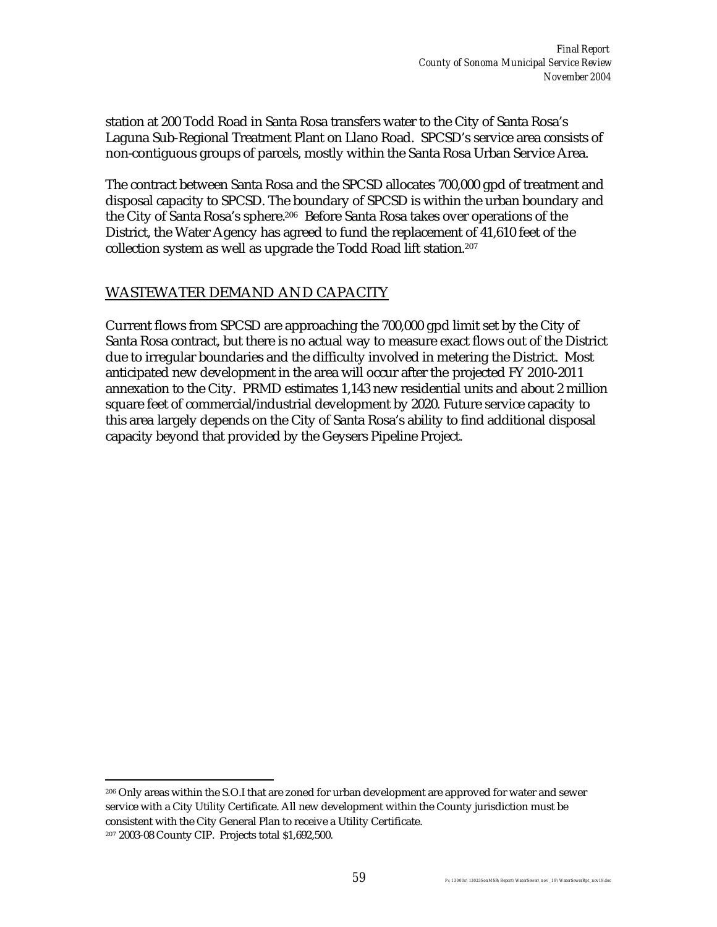station at 200 Todd Road in Santa Rosa transfers water to the City of Santa Rosa's Laguna Sub-Regional Treatment Plant on Llano Road. SPCSD's service area consists of non-contiguous groups of parcels, mostly within the Santa Rosa Urban Service Area.

The contract between Santa Rosa and the SPCSD allocates 700,000 gpd of treatment and disposal capacity to SPCSD. The boundary of SPCSD is within the urban boundary and the City of Santa Rosa's sphere. <sup>206</sup> Before Santa Rosa takes over operations of the District, the Water Agency has agreed to fund the replacement of 41,610 feet of the collection system as well as upgrade the Todd Road lift station.<sup>207</sup>

### WASTEWATER DEMAND AND CAPACITY

Current flows from SPCSD are approaching the 700,000 gpd limit set by the City of Santa Rosa contract, but there is no actual way to measure exact flows out of the District due to irregular boundaries and the difficulty involved in metering the District. Most anticipated new development in the area will occur after the projected FY 2010-2011 annexation to the City. PRMD estimates 1,143 new residential units and about 2 million square feet of commercial/industrial development by 2020. Future service capacity to this area largely depends on the City of Santa Rosa's ability to find additional disposal capacity beyond that provided by the Geysers Pipeline Project.

 $\overline{a}$ <sup>206</sup> Only areas within the S.O.I that are zoned for urban development are approved for water and sewer service with a City Utility Certificate. All new development within the County jurisdiction must be consistent with the City General Plan to receive a Utility Certificate. 207 2003-08 County CIP. Projects total \$1,692,500.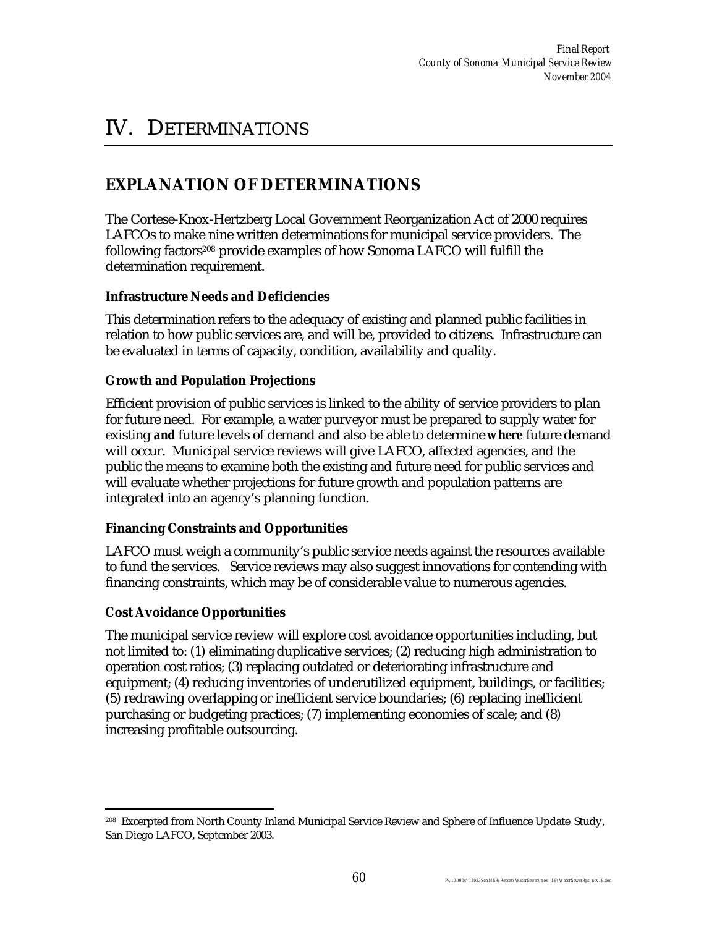# IV. DETERMINATIONS

# **EXPLANATION OF DETERMINATIONS**

The Cortese-Knox-Hertzberg Local Government Reorganization Act of 2000 requires LAFCOs to make nine written determinations for municipal service providers. The following factors<sup>208</sup> provide examples of how Sonoma LAFCO will fulfill the determination requirement.

#### **Infrastructure Needs and Deficiencies**

This determination refers to the adequacy of existing and planned public facilities in relation to how public services are, and will be, provided to citizens. Infrastructure can be evaluated in terms of capacity, condition, availability and quality.

#### **Growth and Population Projections**

Efficient provision of public services is linked to the ability of service providers to plan for future need. For example, a water purveyor must be prepared to supply water for existing *and* future levels of demand and also be able to determine *where* future demand will occur. Municipal service reviews will give LAFCO, affected agencies, and the public the means to examine both the existing and future need for public services and will evaluate whether projections for future growth and population patterns are integrated into an agency's planning function.

#### **Financing Constraints and Opportunities**

LAFCO must weigh a community's public service needs against the resources available to fund the services. Service reviews may also suggest innovations for contending with financing constraints, which may be of considerable value to numerous agencies.

#### **Cost Avoidance Opportunities**

The municipal service review will explore cost avoidance opportunities including, but not limited to: (1) eliminating duplicative services; (2) reducing high administration to operation cost ratios; (3) replacing outdated or deteriorating infrastructure and equipment; (4) reducing inventories of underutilized equipment, buildings, or facilities; (5) redrawing overlapping or inefficient service boundaries; (6) replacing inefficient purchasing or budgeting practices; (7) implementing economies of scale; and (8) increasing profitable outsourcing.

 $\overline{a}$ <sup>208</sup> Excerpted from North County Inland Municipal Service Review and Sphere of Influence Update Study, San Diego LAFCO, September 2003.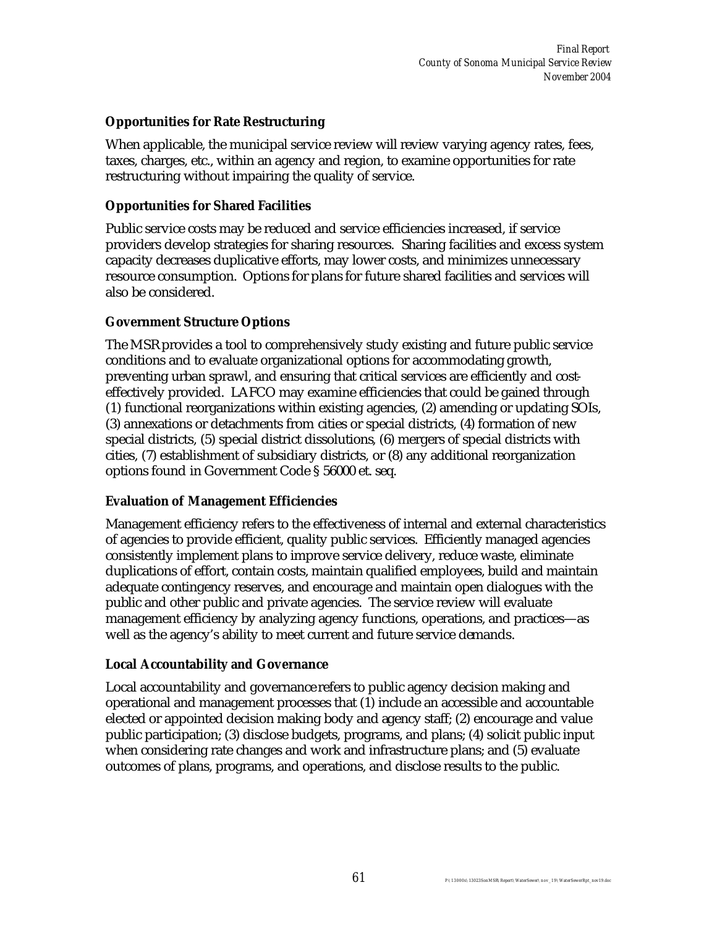#### **Opportunities for Rate Restructuring**

When applicable, the municipal service review will review varying agency rates, fees, taxes, charges, etc., within an agency and region, to examine opportunities for rate restructuring without impairing the quality of service.

#### **Opportunities for Shared Facilities**

Public service costs may be reduced and service efficiencies increased, if service providers develop strategies for sharing resources. Sharing facilities and excess system capacity decreases duplicative efforts, may lower costs, and minimizes unnecessary resource consumption. Options for plans for future shared facilities and services will also be considered.

#### **Government Structure Options**

The MSR provides a tool to comprehensively study existing and future public service conditions and to evaluate organizational options for accommodating growth, preventing urban sprawl, and ensuring that critical services are efficiently and costeffectively provided. LAFCO may examine efficiencies that could be gained through (1) functional reorganizations within existing agencies, (2) amending or updating SOIs, (3) annexations or detachments from cities or special districts, (4) formation of new special districts, (5) special district dissolutions, (6) mergers of special districts with cities, (7) establishment of subsidiary districts, or (8) any additional reorganization options found in Government Code § 56000 et. seq.

#### **Evaluation of Management Efficiencies**

Management efficiency refers to the effectiveness of internal and external characteristics of agencies to provide efficient, quality public services. Efficiently managed agencies consistently implement plans to improve service delivery, reduce waste, eliminate duplications of effort, contain costs, maintain qualified employees, build and maintain adequate contingency reserves, and encourage and maintain open dialogues with the public and other public and private agencies. The service review will evaluate management efficiency by analyzing agency functions, operations, and practices—as well as the agency's ability to meet current and future service demands.

#### **Local Accountability and Governance**

Local accountability and governance refers to public agency decision making and operational and management processes that (1) include an accessible and accountable elected or appointed decision making body and agency staff; (2) encourage and value public participation; (3) disclose budgets, programs, and plans; (4) solicit public input when considering rate changes and work and infrastructure plans; and (5) evaluate outcomes of plans, programs, and operations, and disclose results to the public.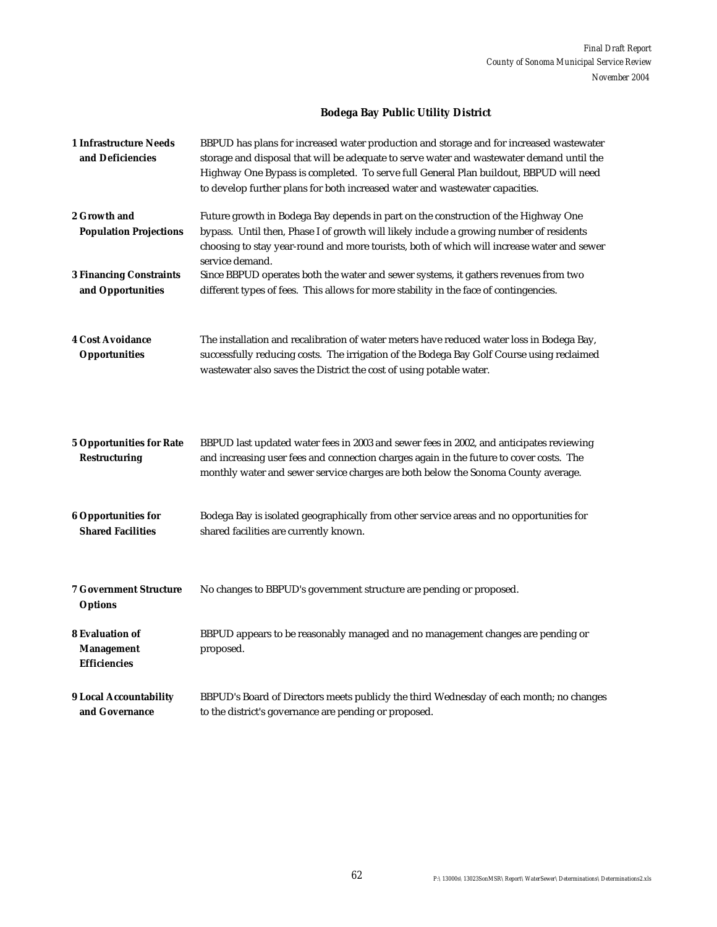### **Bodega Bay Public Utility District**

| <b>1 Infrastructure Needs</b><br>and Deficiencies                  | BBPUD has plans for increased water production and storage and for increased wastewater<br>storage and disposal that will be adequate to serve water and wastewater demand until the<br>Highway One Bypass is completed. To serve full General Plan buildout, BBPUD will need<br>to develop further plans for both increased water and wastewater capacities. |
|--------------------------------------------------------------------|---------------------------------------------------------------------------------------------------------------------------------------------------------------------------------------------------------------------------------------------------------------------------------------------------------------------------------------------------------------|
| 2 Growth and<br><b>Population Projections</b>                      | Future growth in Bodega Bay depends in part on the construction of the Highway One<br>bypass. Until then, Phase I of growth will likely include a growing number of residents<br>choosing to stay year-round and more tourists, both of which will increase water and sewer<br>service demand.                                                                |
| <b>3 Financing Constraints</b><br>and Opportunities                | Since BBPUD operates both the water and sewer systems, it gathers revenues from two<br>different types of fees. This allows for more stability in the face of contingencies.                                                                                                                                                                                  |
| <b>4 Cost Avoidance</b><br><b>Opportunities</b>                    | The installation and recalibration of water meters have reduced water loss in Bodega Bay,<br>successfully reducing costs. The irrigation of the Bodega Bay Golf Course using reclaimed<br>wastewater also saves the District the cost of using potable water.                                                                                                 |
| <b>5 Opportunities for Rate</b><br><b>Restructuring</b>            | BBPUD last updated water fees in 2003 and sewer fees in 2002, and anticipates reviewing<br>and increasing user fees and connection charges again in the future to cover costs. The<br>monthly water and sewer service charges are both below the Sonoma County average.                                                                                       |
| <b>6 Opportunities for</b><br><b>Shared Facilities</b>             | Bodega Bay is isolated geographically from other service areas and no opportunities for<br>shared facilities are currently known.                                                                                                                                                                                                                             |
| <b>7 Government Structure</b><br><b>Options</b>                    | No changes to BBPUD's government structure are pending or proposed.                                                                                                                                                                                                                                                                                           |
| <b>8 Evaluation of</b><br><b>Management</b><br><b>Efficiencies</b> | BBPUD appears to be reasonably managed and no management changes are pending or<br>proposed.                                                                                                                                                                                                                                                                  |
| <b>9 Local Accountability</b><br>and Governance                    | BBPUD's Board of Directors meets publicly the third Wednesday of each month; no changes<br>to the district's governance are pending or proposed.                                                                                                                                                                                                              |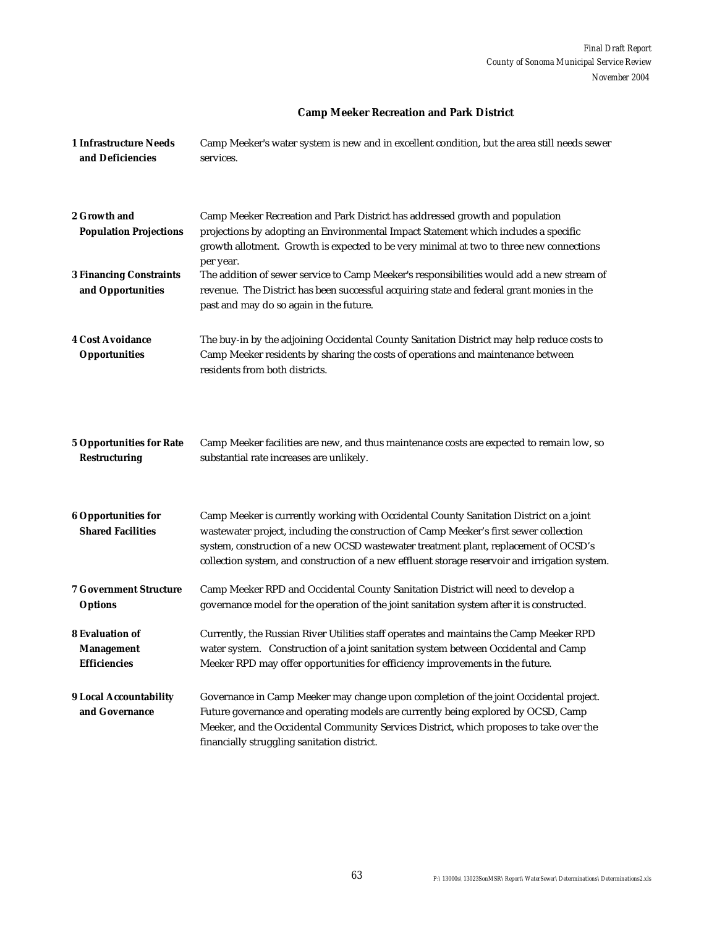#### **Camp Meeker Recreation and Park District**

| 1 Infrastructure Needs<br>and Deficiencies                         | Camp Meeker's water system is new and in excellent condition, but the area still needs sewer<br>services.                                                                                                                                                                                                                                                                  |
|--------------------------------------------------------------------|----------------------------------------------------------------------------------------------------------------------------------------------------------------------------------------------------------------------------------------------------------------------------------------------------------------------------------------------------------------------------|
| 2 Growth and<br><b>Population Projections</b>                      | Camp Meeker Recreation and Park District has addressed growth and population<br>projections by adopting an Environmental Impact Statement which includes a specific<br>growth allotment. Growth is expected to be very minimal at two to three new connections                                                                                                             |
| <b>3 Financing Constraints</b><br>and Opportunities                | per year.<br>The addition of sewer service to Camp Meeker's responsibilities would add a new stream of<br>revenue. The District has been successful acquiring state and federal grant monies in the<br>past and may do so again in the future.                                                                                                                             |
| <b>4 Cost Avoidance</b><br><b>Opportunities</b>                    | The buy-in by the adjoining Occidental County Sanitation District may help reduce costs to<br>Camp Meeker residents by sharing the costs of operations and maintenance between<br>residents from both districts.                                                                                                                                                           |
| <b>5 Opportunities for Rate</b><br><b>Restructuring</b>            | Camp Meeker facilities are new, and thus maintenance costs are expected to remain low, so<br>substantial rate increases are unlikely.                                                                                                                                                                                                                                      |
| <b>6 Opportunities for</b><br><b>Shared Facilities</b>             | Camp Meeker is currently working with Occidental County Sanitation District on a joint<br>wastewater project, including the construction of Camp Meeker's first sewer collection<br>system, construction of a new OCSD wastewater treatment plant, replacement of OCSD's<br>collection system, and construction of a new effluent storage reservoir and irrigation system. |
| <b>7 Government Structure</b><br><b>Options</b>                    | Camp Meeker RPD and Occidental County Sanitation District will need to develop a<br>governance model for the operation of the joint sanitation system after it is constructed.                                                                                                                                                                                             |
| <b>8 Evaluation of</b><br><b>Management</b><br><b>Efficiencies</b> | Currently, the Russian River Utilities staff operates and maintains the Camp Meeker RPD<br>water system. Construction of a joint sanitation system between Occidental and Camp<br>Meeker RPD may offer opportunities for efficiency improvements in the future.                                                                                                            |
| <b>9 Local Accountability</b><br>and Governance                    | Governance in Camp Meeker may change upon completion of the joint Occidental project.<br>Future governance and operating models are currently being explored by OCSD, Camp<br>Meeker, and the Occidental Community Services District, which proposes to take over the<br>financially struggling sanitation district.                                                       |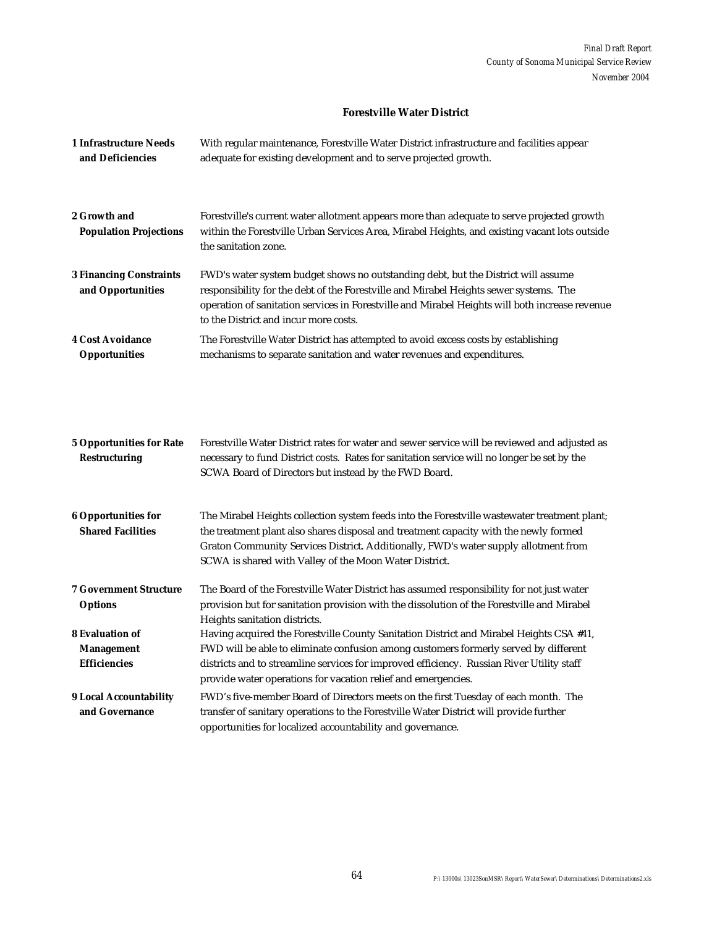#### **Forestville Water District**

| <b>1 Infrastructure Needs</b><br>and Deficiencies       | With regular maintenance, Forestville Water District infrastructure and facilities appear<br>adequate for existing development and to serve projected growth.                                                                                                                                                                          |
|---------------------------------------------------------|----------------------------------------------------------------------------------------------------------------------------------------------------------------------------------------------------------------------------------------------------------------------------------------------------------------------------------------|
| 2 Growth and<br><b>Population Projections</b>           | Forestville's current water allotment appears more than adequate to serve projected growth<br>within the Forestville Urban Services Area, Mirabel Heights, and existing vacant lots outside<br>the sanitation zone.                                                                                                                    |
| <b>3 Financing Constraints</b><br>and Opportunities     | FWD's water system budget shows no outstanding debt, but the District will assume<br>responsibility for the debt of the Forestville and Mirabel Heights sewer systems. The<br>operation of sanitation services in Forestville and Mirabel Heights will both increase revenue<br>to the District and incur more costs.                  |
| <b>4 Cost Avoidance</b><br><b>Opportunities</b>         | The Forestville Water District has attempted to avoid excess costs by establishing<br>mechanisms to separate sanitation and water revenues and expenditures.                                                                                                                                                                           |
| <b>5 Opportunities for Rate</b><br><b>Restructuring</b> | Forestville Water District rates for water and sewer service will be reviewed and adjusted as<br>necessary to fund District costs. Rates for sanitation service will no longer be set by the<br>SCWA Board of Directors but instead by the FWD Board.                                                                                  |
| <b>6 Opportunities for</b><br><b>Shared Facilities</b>  | The Mirabel Heights collection system feeds into the Forestville wastewater treatment plant;<br>the treatment plant also shares disposal and treatment capacity with the newly formed<br>Graton Community Services District. Additionally, FWD's water supply allotment from<br>SCWA is shared with Valley of the Moon Water District. |
| <b>7 Government Structure</b><br><b>Options</b>         | The Board of the Forestville Water District has assumed responsibility for not just water<br>provision but for sanitation provision with the dissolution of the Forestville and Mirabel                                                                                                                                                |

**Management Efficiencies 9 Local Accountability and Governance** FWD will be able to eliminate confusion among customers formerly served by different districts and to streamline services for improved efficiency. Russian River Utility staff provide water operations for vacation relief and emergencies. FWD's five-member Board of Directors meets on the first Tuesday of each month. The transfer of sanitary operations to the Forestville Water District will provide further opportunities for localized accountability and governance.

Having acquired the Forestville County Sanitation District and Mirabel Heights CSA #41,

Heights sanitation districts.

**8 Evaluation of**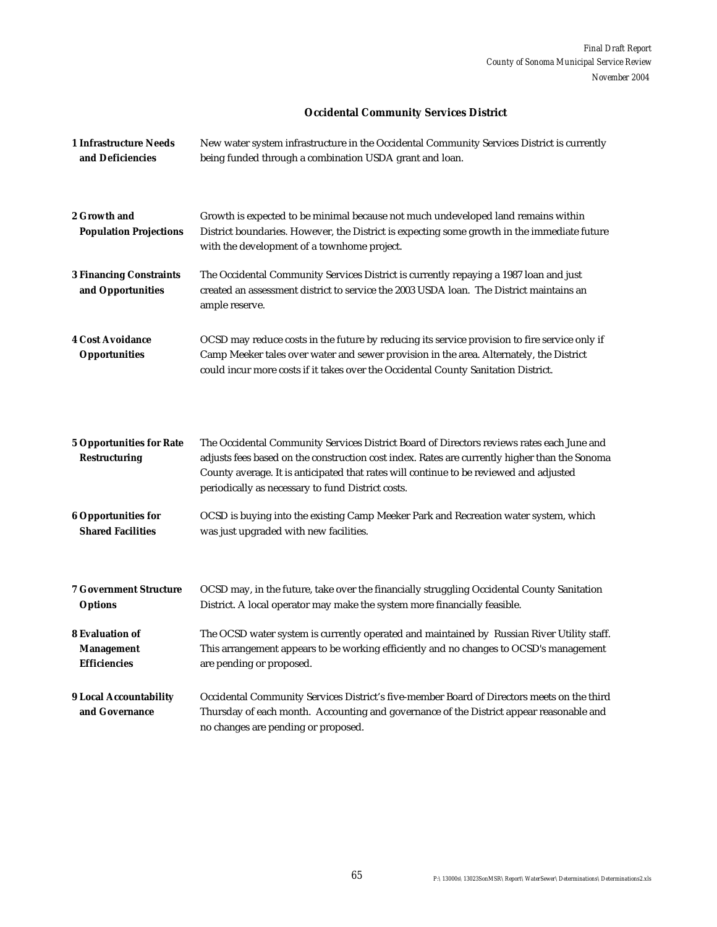#### **Occidental Community Services District**

| <b>1 Infrastructure Needs</b><br>and Deficiencies                  | New water system infrastructure in the Occidental Community Services District is currently<br>being funded through a combination USDA grant and loan.                                                                                                                                                                                     |
|--------------------------------------------------------------------|-------------------------------------------------------------------------------------------------------------------------------------------------------------------------------------------------------------------------------------------------------------------------------------------------------------------------------------------|
| 2 Growth and<br><b>Population Projections</b>                      | Growth is expected to be minimal because not much undeveloped land remains within<br>District boundaries. However, the District is expecting some growth in the immediate future<br>with the development of a townhome project.                                                                                                           |
| <b>3 Financing Constraints</b><br>and Opportunities                | The Occidental Community Services District is currently repaying a 1987 loan and just<br>created an assessment district to service the 2003 USDA loan. The District maintains an<br>ample reserve.                                                                                                                                        |
| <b>4 Cost Avoidance</b><br><b>Opportunities</b>                    | OCSD may reduce costs in the future by reducing its service provision to fire service only if<br>Camp Meeker tales over water and sewer provision in the area. Alternately, the District<br>could incur more costs if it takes over the Occidental County Sanitation District.                                                            |
| <b>5 Opportunities for Rate</b><br><b>Restructuring</b>            | The Occidental Community Services District Board of Directors reviews rates each June and<br>adjusts fees based on the construction cost index. Rates are currently higher than the Sonoma<br>County average. It is anticipated that rates will continue to be reviewed and adjusted<br>periodically as necessary to fund District costs. |
| <b>6 Opportunities for</b><br><b>Shared Facilities</b>             | OCSD is buying into the existing Camp Meeker Park and Recreation water system, which<br>was just upgraded with new facilities.                                                                                                                                                                                                            |
| <b>7 Government Structure</b><br><b>Options</b>                    | OCSD may, in the future, take over the financially struggling Occidental County Sanitation<br>District. A local operator may make the system more financially feasible.                                                                                                                                                                   |
| <b>8 Evaluation of</b><br><b>Management</b><br><b>Efficiencies</b> | The OCSD water system is currently operated and maintained by Russian River Utility staff.<br>This arrangement appears to be working efficiently and no changes to OCSD's management<br>are pending or proposed.                                                                                                                          |
| <b>9 Local Accountability</b><br>and Governance                    | Occidental Community Services District's five-member Board of Directors meets on the third<br>Thursday of each month. Accounting and governance of the District appear reasonable and<br>no changes are pending or proposed.                                                                                                              |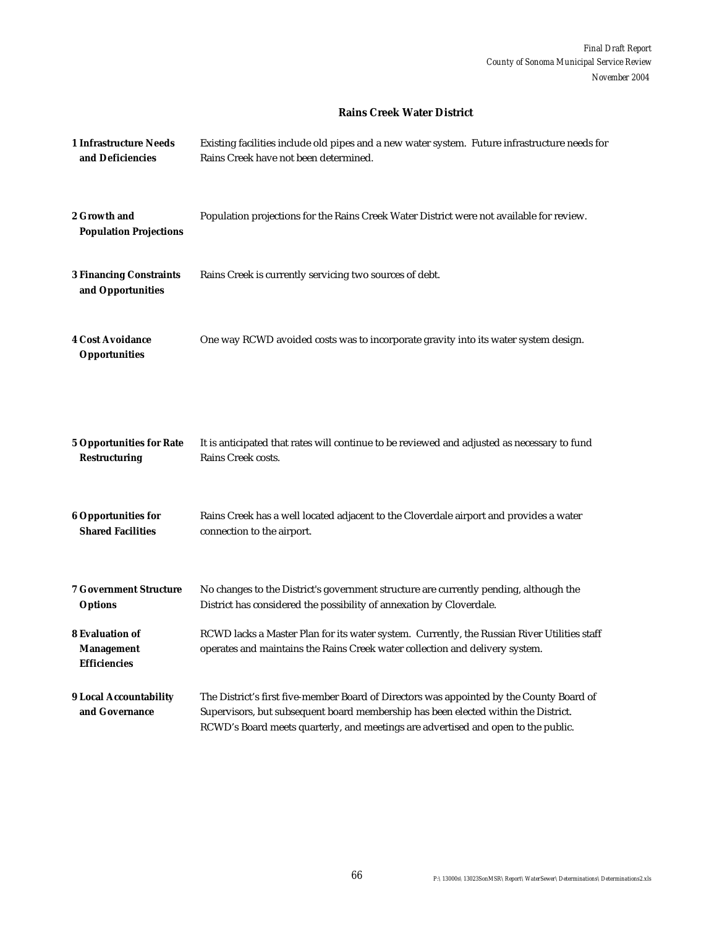#### **Rains Creek Water District**

| <b>1 Infrastructure Needs</b><br>and Deficiencies                  | Existing facilities include old pipes and a new water system. Future infrastructure needs for<br>Rains Creek have not been determined.                                                                                                                              |
|--------------------------------------------------------------------|---------------------------------------------------------------------------------------------------------------------------------------------------------------------------------------------------------------------------------------------------------------------|
| 2 Growth and<br><b>Population Projections</b>                      | Population projections for the Rains Creek Water District were not available for review.                                                                                                                                                                            |
| <b>3 Financing Constraints</b><br>and Opportunities                | Rains Creek is currently servicing two sources of debt.                                                                                                                                                                                                             |
| <b>4 Cost Avoidance</b><br><b>Opportunities</b>                    | One way RCWD avoided costs was to incorporate gravity into its water system design.                                                                                                                                                                                 |
| <b>5 Opportunities for Rate</b><br><b>Restructuring</b>            | It is anticipated that rates will continue to be reviewed and adjusted as necessary to fund<br>Rains Creek costs.                                                                                                                                                   |
| <b>6 Opportunities for</b><br><b>Shared Facilities</b>             | Rains Creek has a well located adjacent to the Cloverdale airport and provides a water<br>connection to the airport.                                                                                                                                                |
| <b>7 Government Structure</b><br><b>Options</b>                    | No changes to the District's government structure are currently pending, although the<br>District has considered the possibility of annexation by Cloverdale.                                                                                                       |
| <b>8 Evaluation of</b><br><b>Management</b><br><b>Efficiencies</b> | RCWD lacks a Master Plan for its water system. Currently, the Russian River Utilities staff<br>operates and maintains the Rains Creek water collection and delivery system.                                                                                         |
| 9 Local Accountability<br>and Governance                           | The District's first five-member Board of Directors was appointed by the County Board of<br>Supervisors, but subsequent board membership has been elected within the District.<br>RCWD's Board meets quarterly, and meetings are advertised and open to the public. |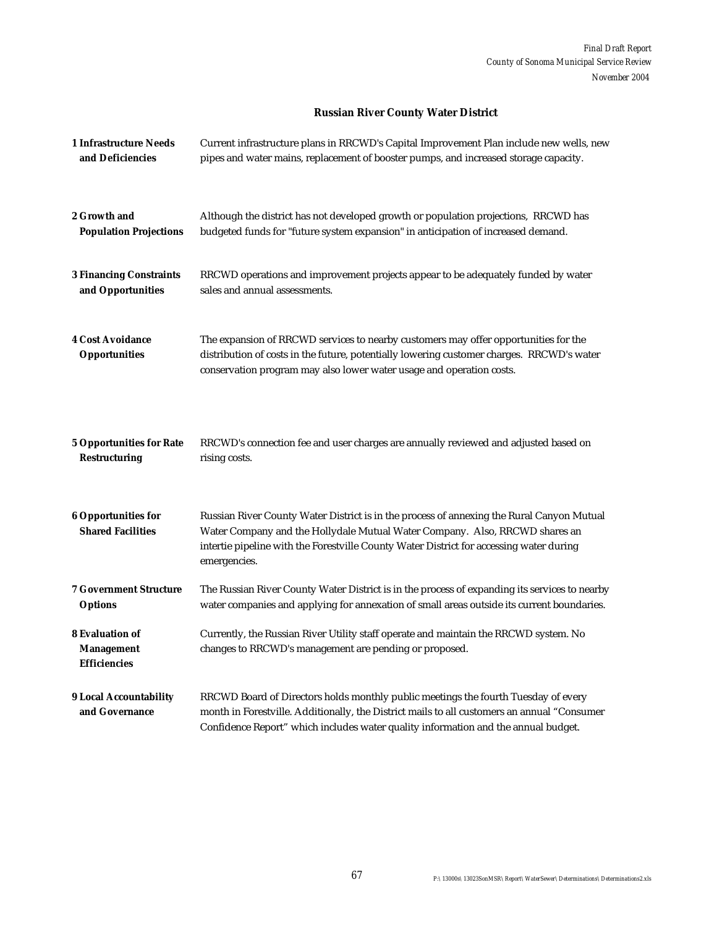#### **Russian River County Water District**

| 1 Infrastructure Needs                                             | Current infrastructure plans in RRCWD's Capital Improvement Plan include new wells, new                                                                                                                                                                                             |
|--------------------------------------------------------------------|-------------------------------------------------------------------------------------------------------------------------------------------------------------------------------------------------------------------------------------------------------------------------------------|
| and Deficiencies                                                   | pipes and water mains, replacement of booster pumps, and increased storage capacity.                                                                                                                                                                                                |
| 2 Growth and                                                       | Although the district has not developed growth or population projections, RRCWD has                                                                                                                                                                                                 |
| <b>Population Projections</b>                                      | budgeted funds for "future system expansion" in anticipation of increased demand.                                                                                                                                                                                                   |
| <b>3 Financing Constraints</b>                                     | RRCWD operations and improvement projects appear to be adequately funded by water                                                                                                                                                                                                   |
| and Opportunities                                                  | sales and annual assessments.                                                                                                                                                                                                                                                       |
| <b>4 Cost Avoidance</b><br><b>Opportunities</b>                    | The expansion of RRCWD services to nearby customers may offer opportunities for the<br>distribution of costs in the future, potentially lowering customer charges. RRCWD's water<br>conservation program may also lower water usage and operation costs.                            |
| <b>5 Opportunities for Rate</b>                                    | RRCWD's connection fee and user charges are annually reviewed and adjusted based on                                                                                                                                                                                                 |
| <b>Restructuring</b>                                               | rising costs.                                                                                                                                                                                                                                                                       |
| <b>6 Opportunities for</b><br><b>Shared Facilities</b>             | Russian River County Water District is in the process of annexing the Rural Canyon Mutual<br>Water Company and the Hollydale Mutual Water Company. Also, RRCWD shares an<br>intertie pipeline with the Forestville County Water District for accessing water during<br>emergencies. |
| <b>7 Government Structure</b>                                      | The Russian River County Water District is in the process of expanding its services to nearby                                                                                                                                                                                       |
| <b>Options</b>                                                     | water companies and applying for annexation of small areas outside its current boundaries.                                                                                                                                                                                          |
| <b>8 Evaluation of</b><br><b>Management</b><br><b>Efficiencies</b> | Currently, the Russian River Utility staff operate and maintain the RRCWD system. No<br>changes to RRCWD's management are pending or proposed.                                                                                                                                      |
| <b>9 Local Accountability</b><br>and Governance                    | RRCWD Board of Directors holds monthly public meetings the fourth Tuesday of every<br>month in Forestville. Additionally, the District mails to all customers an annual "Consumer<br>Confidence Report" which includes water quality information and the annual budget.             |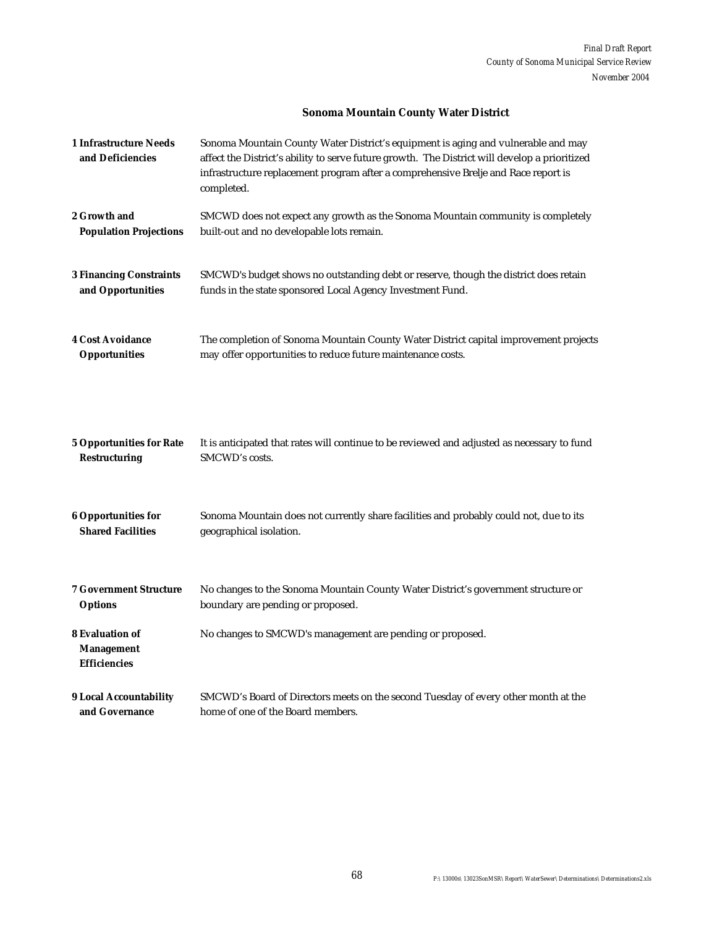#### **Sonoma Mountain County Water District**

| <b>1 Infrastructure Needs</b><br>and Deficiencies                  | Sonoma Mountain County Water District's equipment is aging and vulnerable and may<br>affect the District's ability to serve future growth. The District will develop a prioritized<br>infrastructure replacement program after a comprehensive Brelje and Race report is<br>completed. |
|--------------------------------------------------------------------|----------------------------------------------------------------------------------------------------------------------------------------------------------------------------------------------------------------------------------------------------------------------------------------|
| 2 Growth and                                                       | SMCWD does not expect any growth as the Sonoma Mountain community is completely                                                                                                                                                                                                        |
| <b>Population Projections</b>                                      | built-out and no developable lots remain.                                                                                                                                                                                                                                              |
| <b>3 Financing Constraints</b>                                     | SMCWD's budget shows no outstanding debt or reserve, though the district does retain                                                                                                                                                                                                   |
| and Opportunities                                                  | funds in the state sponsored Local Agency Investment Fund.                                                                                                                                                                                                                             |
| <b>4 Cost Avoidance</b>                                            | The completion of Sonoma Mountain County Water District capital improvement projects                                                                                                                                                                                                   |
| <b>Opportunities</b>                                               | may offer opportunities to reduce future maintenance costs.                                                                                                                                                                                                                            |
| <b>5 Opportunities for Rate</b>                                    | It is anticipated that rates will continue to be reviewed and adjusted as necessary to fund                                                                                                                                                                                            |
| <b>Restructuring</b>                                               | SMCWD's costs.                                                                                                                                                                                                                                                                         |
| <b>6 Opportunities for</b>                                         | Sonoma Mountain does not currently share facilities and probably could not, due to its                                                                                                                                                                                                 |
| <b>Shared Facilities</b>                                           | geographical isolation.                                                                                                                                                                                                                                                                |
| <b>7 Government Structure</b>                                      | No changes to the Sonoma Mountain County Water District's government structure or                                                                                                                                                                                                      |
| <b>Options</b>                                                     | boundary are pending or proposed.                                                                                                                                                                                                                                                      |
| <b>8 Evaluation of</b><br><b>Management</b><br><b>Efficiencies</b> | No changes to SMCWD's management are pending or proposed.                                                                                                                                                                                                                              |
| <b>9 Local Accountability</b>                                      | SMCWD's Board of Directors meets on the second Tuesday of every other month at the                                                                                                                                                                                                     |
| and Governance                                                     | home of one of the Board members.                                                                                                                                                                                                                                                      |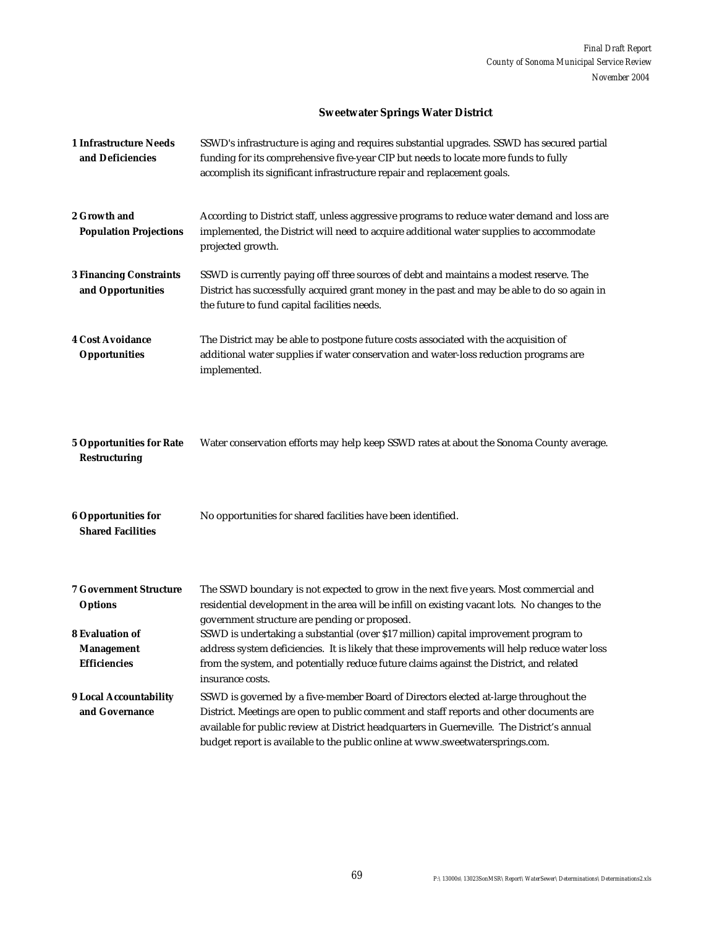# **Sweetwater Springs Water District**

| <b>1 Infrastructure Needs</b><br>and Deficiencies                  | SSWD's infrastructure is aging and requires substantial upgrades. SSWD has secured partial<br>funding for its comprehensive five-year CIP but needs to locate more funds to fully<br>accomplish its significant infrastructure repair and replacement goals.                                                                                                   |
|--------------------------------------------------------------------|----------------------------------------------------------------------------------------------------------------------------------------------------------------------------------------------------------------------------------------------------------------------------------------------------------------------------------------------------------------|
| 2 Growth and<br><b>Population Projections</b>                      | According to District staff, unless aggressive programs to reduce water demand and loss are<br>implemented, the District will need to acquire additional water supplies to accommodate<br>projected growth.                                                                                                                                                    |
| <b>3 Financing Constraints</b><br>and Opportunities                | SSWD is currently paying off three sources of debt and maintains a modest reserve. The<br>District has successfully acquired grant money in the past and may be able to do so again in<br>the future to fund capital facilities needs.                                                                                                                         |
| <b>4 Cost Avoidance</b><br><b>Opportunities</b>                    | The District may be able to postpone future costs associated with the acquisition of<br>additional water supplies if water conservation and water-loss reduction programs are<br>implemented.                                                                                                                                                                  |
| <b>5 Opportunities for Rate</b><br><b>Restructuring</b>            | Water conservation efforts may help keep SSWD rates at about the Sonoma County average.                                                                                                                                                                                                                                                                        |
| <b>6 Opportunities for</b><br><b>Shared Facilities</b>             | No opportunities for shared facilities have been identified.                                                                                                                                                                                                                                                                                                   |
| <b>7 Government Structure</b><br><b>Options</b>                    | The SSWD boundary is not expected to grow in the next five years. Most commercial and<br>residential development in the area will be infill on existing vacant lots. No changes to the<br>government structure are pending or proposed.                                                                                                                        |
| <b>8 Evaluation of</b><br><b>Management</b><br><b>Efficiencies</b> | SSWD is undertaking a substantial (over \$17 million) capital improvement program to<br>address system deficiencies. It is likely that these improvements will help reduce water loss<br>from the system, and potentially reduce future claims against the District, and related<br>insurance costs.                                                           |
| <b>9 Local Accountability</b><br>and Governance                    | SSWD is governed by a five-member Board of Directors elected at-large throughout the<br>District. Meetings are open to public comment and staff reports and other documents are<br>available for public review at District headquarters in Guerneville. The District's annual<br>budget report is available to the public online at www.sweetwatersprings.com. |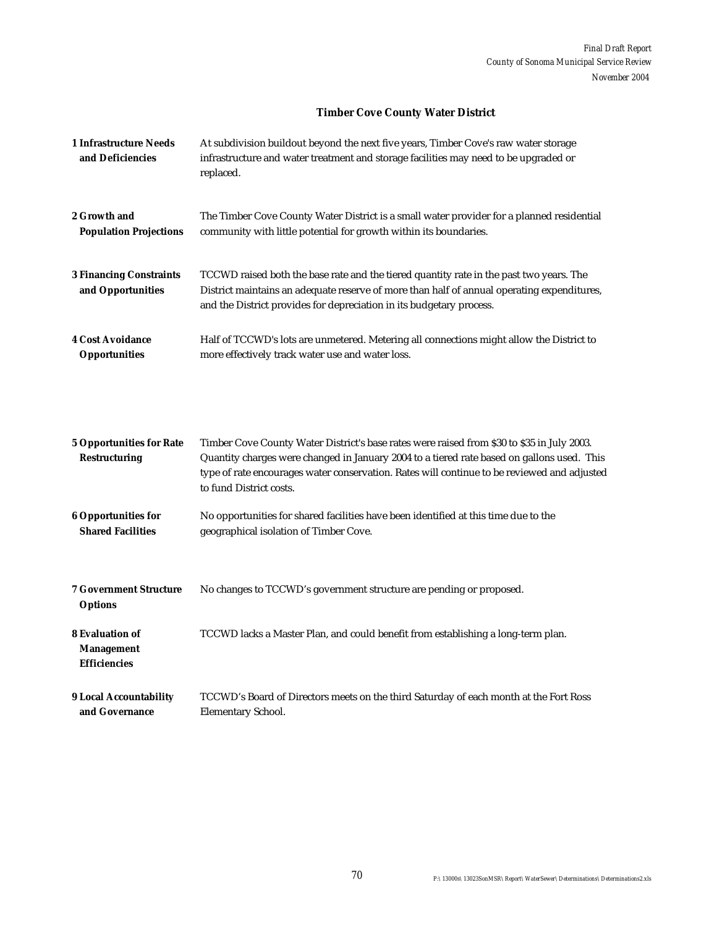#### **Timber Cove County Water District**

| 1 Infrastructure Needs<br>and Deficiencies          | At subdivision buildout beyond the next five years, Timber Cove's raw water storage<br>infrastructure and water treatment and storage facilities may need to be upgraded or<br>replaced.                                                                      |
|-----------------------------------------------------|---------------------------------------------------------------------------------------------------------------------------------------------------------------------------------------------------------------------------------------------------------------|
| 2 Growth and                                        | The Timber Cove County Water District is a small water provider for a planned residential                                                                                                                                                                     |
| <b>Population Projections</b>                       | community with little potential for growth within its boundaries.                                                                                                                                                                                             |
| <b>3 Financing Constraints</b><br>and Opportunities | TCCWD raised both the base rate and the tiered quantity rate in the past two years. The<br>District maintains an adequate reserve of more than half of annual operating expenditures,<br>and the District provides for depreciation in its budgetary process. |
| <b>4 Cost Avoidance</b>                             | Half of TCCWD's lots are unmetered. Metering all connections might allow the District to                                                                                                                                                                      |
| <b>Opportunities</b>                                | more effectively track water use and water loss.                                                                                                                                                                                                              |

| <b>5 Opportunities for Rate</b><br><b>Restructuring</b>            | Timber Cove County Water District's base rates were raised from \$30 to \$35 in July 2003.<br>Quantity charges were changed in January 2004 to a tiered rate based on gallons used. This<br>type of rate encourages water conservation. Rates will continue to be reviewed and adjusted<br>to fund District costs. |
|--------------------------------------------------------------------|--------------------------------------------------------------------------------------------------------------------------------------------------------------------------------------------------------------------------------------------------------------------------------------------------------------------|
| <b>6 Opportunities for</b><br><b>Shared Facilities</b>             | No opportunities for shared facilities have been identified at this time due to the<br>geographical isolation of Timber Cove.                                                                                                                                                                                      |
| <b>7 Government Structure</b><br><b>Options</b>                    | No changes to TCCWD's government structure are pending or proposed.                                                                                                                                                                                                                                                |
| <b>8 Evaluation of</b><br><b>Management</b><br><b>Efficiencies</b> | TCCWD lacks a Master Plan, and could benefit from establishing a long-term plan.                                                                                                                                                                                                                                   |
| <b>9 Local Accountability</b><br>and Governance                    | TCCWD's Board of Directors meets on the third Saturday of each month at the Fort Ross<br>Elementary School.                                                                                                                                                                                                        |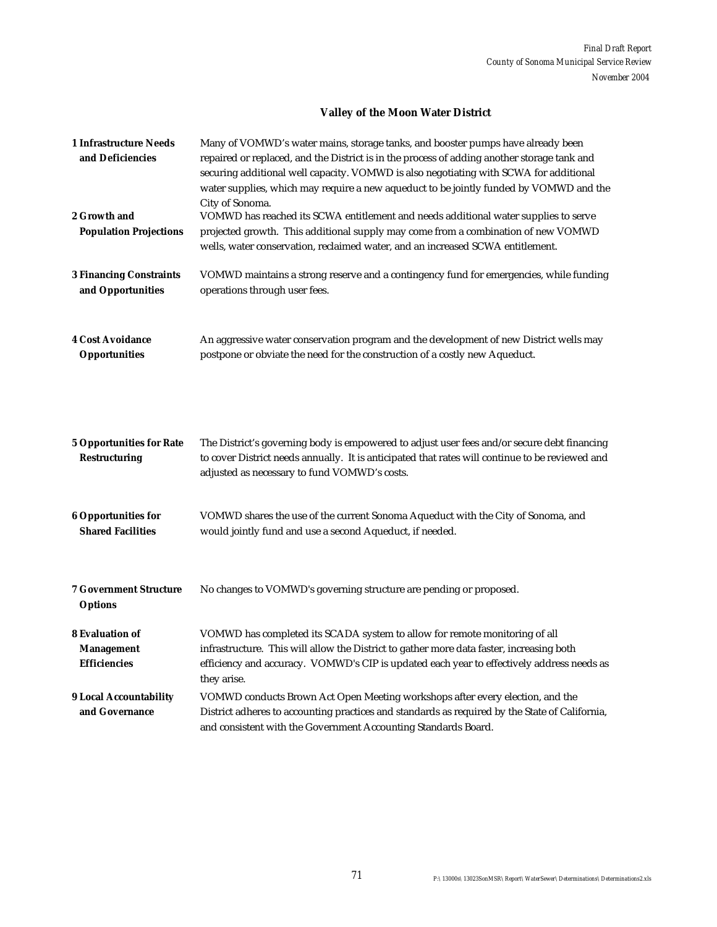# **Valley of the Moon Water District**

| <b>1 Infrastructure Needs</b><br>and Deficiencies       | Many of VOMWD's water mains, storage tanks, and booster pumps have already been<br>repaired or replaced, and the District is in the process of adding another storage tank and<br>securing additional well capacity. VOMWD is also negotiating with SCWA for additional<br>water supplies, which may require a new aqueduct to be jointly funded by VOMWD and the<br>City of Sonoma. |
|---------------------------------------------------------|--------------------------------------------------------------------------------------------------------------------------------------------------------------------------------------------------------------------------------------------------------------------------------------------------------------------------------------------------------------------------------------|
| 2 Growth and<br><b>Population Projections</b>           | VOMWD has reached its SCWA entitlement and needs additional water supplies to serve<br>projected growth. This additional supply may come from a combination of new VOMWD<br>wells, water conservation, reclaimed water, and an increased SCWA entitlement.                                                                                                                           |
| <b>3 Financing Constraints</b><br>and Opportunities     | VOMWD maintains a strong reserve and a contingency fund for emergencies, while funding<br>operations through user fees.                                                                                                                                                                                                                                                              |
| <b>4 Cost Avoidance</b><br><b>Opportunities</b>         | An aggressive water conservation program and the development of new District wells may<br>postpone or obviate the need for the construction of a costly new Aqueduct.                                                                                                                                                                                                                |
| <b>5 Opportunities for Rate</b><br><b>Restructuring</b> | The District's governing body is empowered to adjust user fees and/or secure debt financing<br>to cover District needs annually. It is anticipated that rates will continue to be reviewed and<br>adjusted as necessary to fund VOMWD's costs.                                                                                                                                       |
| <b>6 Opportunities for</b><br><b>Shared Facilities</b>  | VOMWD shares the use of the current Sonoma Aqueduct with the City of Sonoma, and<br>would jointly fund and use a second Aqueduct, if needed.                                                                                                                                                                                                                                         |
| <b>7 Government Structure</b><br><b>Options</b>         | No changes to VOMWD's governing structure are pending or proposed.                                                                                                                                                                                                                                                                                                                   |
| <b>8 Evaluation of</b>                                  | VOMWD has completed its SCADA system to allow for remote monitoring of all                                                                                                                                                                                                                                                                                                           |
| <b>Management</b><br><b>Efficiencies</b>                | infrastructure. This will allow the District to gather more data faster, increasing both<br>efficiency and accuracy. VOMWD's CIP is updated each year to effectively address needs as<br>they arise.                                                                                                                                                                                 |
| <b>9 Local Accountability</b>                           | VOMWD conducts Brown Act Open Meeting workshops after every election, and the                                                                                                                                                                                                                                                                                                        |
| and Governance                                          | District adheres to accounting practices and standards as required by the State of California,<br>and consistent with the Government Accounting Standards Board.                                                                                                                                                                                                                     |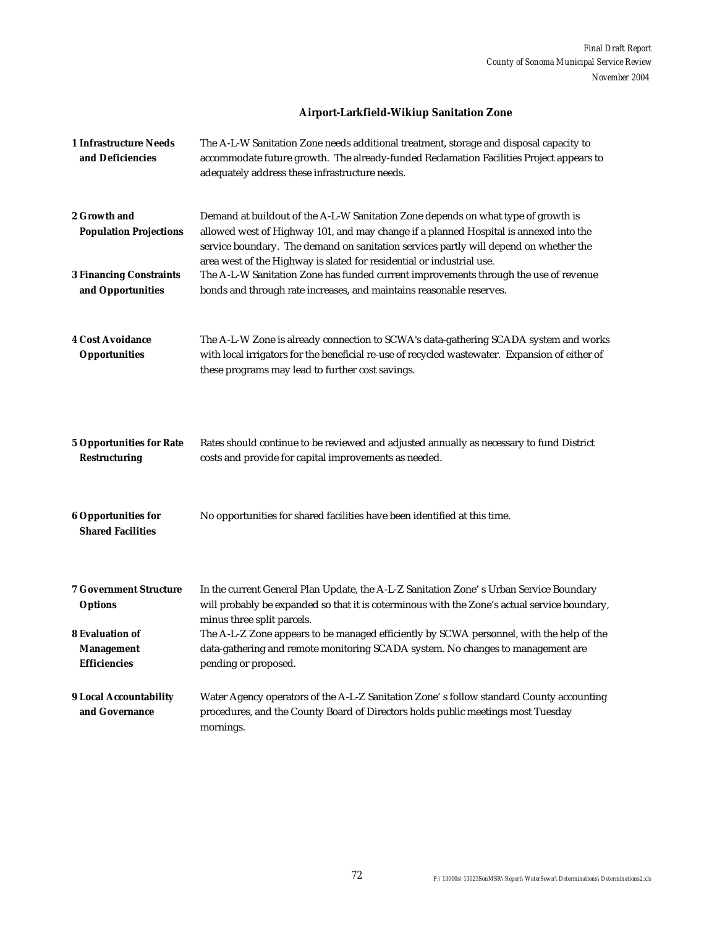# **Airport-Larkfield-Wikiup Sanitation Zone**

| <b>1 Infrastructure Needs</b><br>and Deficiencies                  | The A-L-W Sanitation Zone needs additional treatment, storage and disposal capacity to<br>accommodate future growth. The already-funded Reclamation Facilities Project appears to<br>adequately address these infrastructure needs.                                                                                                          |
|--------------------------------------------------------------------|----------------------------------------------------------------------------------------------------------------------------------------------------------------------------------------------------------------------------------------------------------------------------------------------------------------------------------------------|
| 2 Growth and<br><b>Population Projections</b>                      | Demand at buildout of the A-L-W Sanitation Zone depends on what type of growth is<br>allowed west of Highway 101, and may change if a planned Hospital is annexed into the<br>service boundary. The demand on sanitation services partly will depend on whether the<br>area west of the Highway is slated for residential or industrial use. |
| <b>3 Financing Constraints</b><br>and Opportunities                | The A-L-W Sanitation Zone has funded current improvements through the use of revenue<br>bonds and through rate increases, and maintains reasonable reserves.                                                                                                                                                                                 |
| <b>4 Cost Avoidance</b><br><b>Opportunities</b>                    | The A-L-W Zone is already connection to SCWA's data-gathering SCADA system and works<br>with local irrigators for the beneficial re-use of recycled wastewater. Expansion of either of<br>these programs may lead to further cost savings.                                                                                                   |
| <b>5 Opportunities for Rate</b><br><b>Restructuring</b>            | Rates should continue to be reviewed and adjusted annually as necessary to fund District<br>costs and provide for capital improvements as needed.                                                                                                                                                                                            |
| <b>6 Opportunities for</b><br><b>Shared Facilities</b>             | No opportunities for shared facilities have been identified at this time.                                                                                                                                                                                                                                                                    |
| <b>7 Government Structure</b><br><b>Options</b>                    | In the current General Plan Update, the A-L-Z Sanitation Zone's Urban Service Boundary<br>will probably be expanded so that it is coterminous with the Zone's actual service boundary,<br>minus three split parcels.                                                                                                                         |
| <b>8 Evaluation of</b><br><b>Management</b><br><b>Efficiencies</b> | The A-L-Z Zone appears to be managed efficiently by SCWA personnel, with the help of the<br>data-gathering and remote monitoring SCADA system. No changes to management are<br>pending or proposed.                                                                                                                                          |
| <b>9 Local Accountability</b><br>and Governance                    | Water Agency operators of the A-L-Z Sanitation Zone's follow standard County accounting<br>procedures, and the County Board of Directors holds public meetings most Tuesday<br>mornings.                                                                                                                                                     |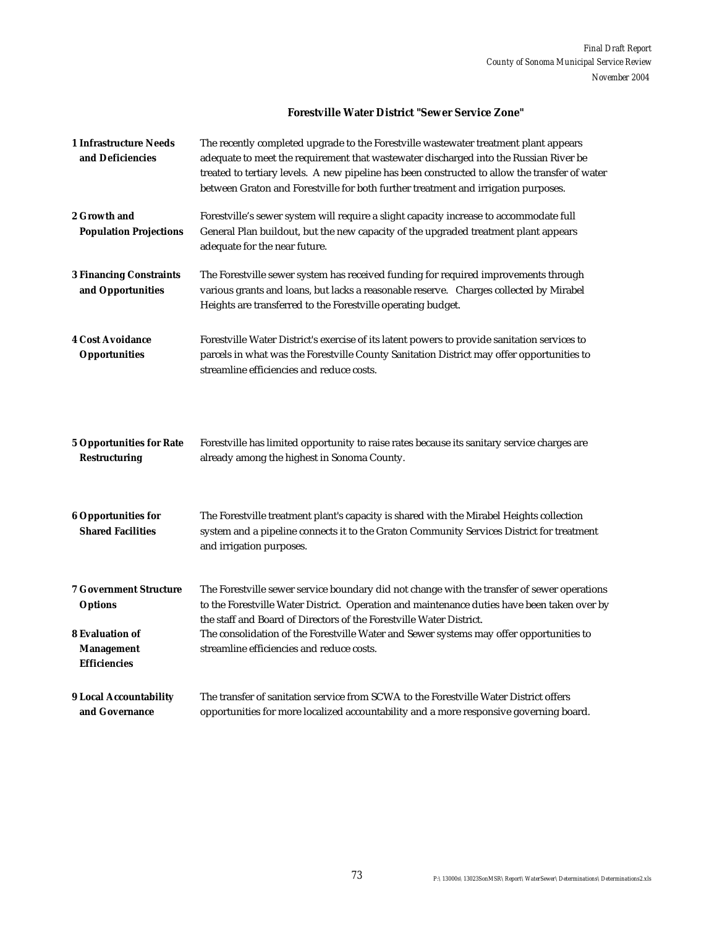#### **Forestville Water District "Sewer Service Zone"**

| <b>1 Infrastructure Needs</b><br>and Deficiencies                  | The recently completed upgrade to the Forestville wastewater treatment plant appears<br>adequate to meet the requirement that wastewater discharged into the Russian River be<br>treated to tertiary levels. A new pipeline has been constructed to allow the transfer of water<br>between Graton and Forestville for both further treatment and irrigation purposes. |
|--------------------------------------------------------------------|-----------------------------------------------------------------------------------------------------------------------------------------------------------------------------------------------------------------------------------------------------------------------------------------------------------------------------------------------------------------------|
| 2 Growth and<br><b>Population Projections</b>                      | Forestville's sewer system will require a slight capacity increase to accommodate full<br>General Plan buildout, but the new capacity of the upgraded treatment plant appears<br>adequate for the near future.                                                                                                                                                        |
| <b>3 Financing Constraints</b><br>and Opportunities                | The Forestville sewer system has received funding for required improvements through<br>various grants and loans, but lacks a reasonable reserve. Charges collected by Mirabel<br>Heights are transferred to the Forestville operating budget.                                                                                                                         |
| <b>4 Cost Avoidance</b><br>Opportunities                           | Forestville Water District's exercise of its latent powers to provide sanitation services to<br>parcels in what was the Forestville County Sanitation District may offer opportunities to<br>streamline efficiencies and reduce costs.                                                                                                                                |
| <b>5 Opportunities for Rate</b><br><b>Restructuring</b>            | Forestville has limited opportunity to raise rates because its sanitary service charges are<br>already among the highest in Sonoma County.                                                                                                                                                                                                                            |
| <b>6 Opportunities for</b><br><b>Shared Facilities</b>             | The Forestville treatment plant's capacity is shared with the Mirabel Heights collection<br>system and a pipeline connects it to the Graton Community Services District for treatment<br>and irrigation purposes.                                                                                                                                                     |
| <b>7 Government Structure</b><br><b>Options</b>                    | The Forestville sewer service boundary did not change with the transfer of sewer operations<br>to the Forestville Water District. Operation and maintenance duties have been taken over by<br>the staff and Board of Directors of the Forestville Water District.                                                                                                     |
| <b>8 Evaluation of</b><br><b>Management</b><br><b>Efficiencies</b> | The consolidation of the Forestville Water and Sewer systems may offer opportunities to<br>streamline efficiencies and reduce costs.                                                                                                                                                                                                                                  |
| <b>9 Local Accountability</b><br>and Governance                    | The transfer of sanitation service from SCWA to the Forestyille Water District offers<br>opportunities for more localized accountability and a more responsive governing board.                                                                                                                                                                                       |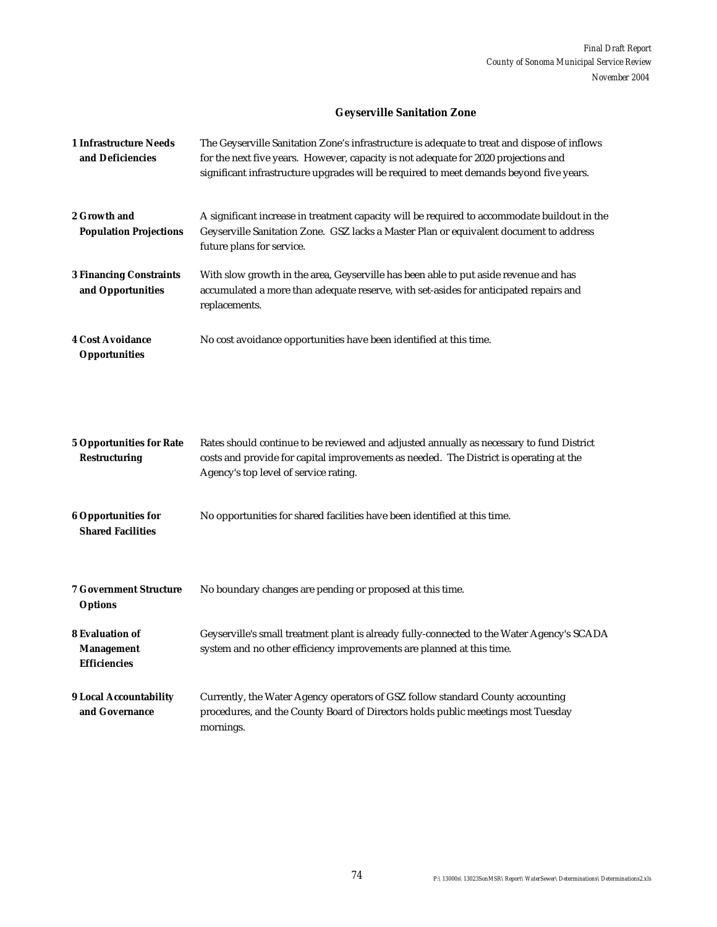# **Geyserville Sanitation Zone**

| <b>1 Infrastructure Needs</b><br>and Deficiencies                  | The Geyserville Sanitation Zone's infrastructure is adequate to treat and dispose of inflows<br>for the next five years. However, capacity is not adequate for 2020 projections and<br>significant infrastructure upgrades will be required to meet demands beyond five years. |
|--------------------------------------------------------------------|--------------------------------------------------------------------------------------------------------------------------------------------------------------------------------------------------------------------------------------------------------------------------------|
| 2 Growth and<br><b>Population Projections</b>                      | A significant increase in treatment capacity will be required to accommodate buildout in the<br>Geyserville Sanitation Zone. GSZ lacks a Master Plan or equivalent document to address<br>future plans for service.                                                            |
| <b>3 Financing Constraints</b><br>and Opportunities                | With slow growth in the area, Geyserville has been able to put aside revenue and has<br>accumulated a more than adequate reserve, with set-asides for anticipated repairs and<br>replacements.                                                                                 |
| <b>4 Cost Avoidance</b><br><b>Opportunities</b>                    | No cost avoidance opportunities have been identified at this time.                                                                                                                                                                                                             |
| <b>5 Opportunities for Rate</b><br><b>Restructuring</b>            | Rates should continue to be reviewed and adjusted annually as necessary to fund District<br>costs and provide for capital improvements as needed. The District is operating at the<br>Agency's top level of service rating.                                                    |
| <b>6 Opportunities for</b><br><b>Shared Facilities</b>             | No opportunities for shared facilities have been identified at this time.                                                                                                                                                                                                      |
| <b>7 Government Structure</b><br><b>Options</b>                    | No boundary changes are pending or proposed at this time.                                                                                                                                                                                                                      |
| <b>8 Evaluation of</b><br><b>Management</b><br><b>Efficiencies</b> | Geyserville's small treatment plant is already fully-connected to the Water Agency's SCADA<br>system and no other efficiency improvements are planned at this time.                                                                                                            |
| <b>9 Local Accountability</b><br>and Governance                    | Currently, the Water Agency operators of GSZ follow standard County accounting<br>procedures, and the County Board of Directors holds public meetings most Tuesday<br>mornings.                                                                                                |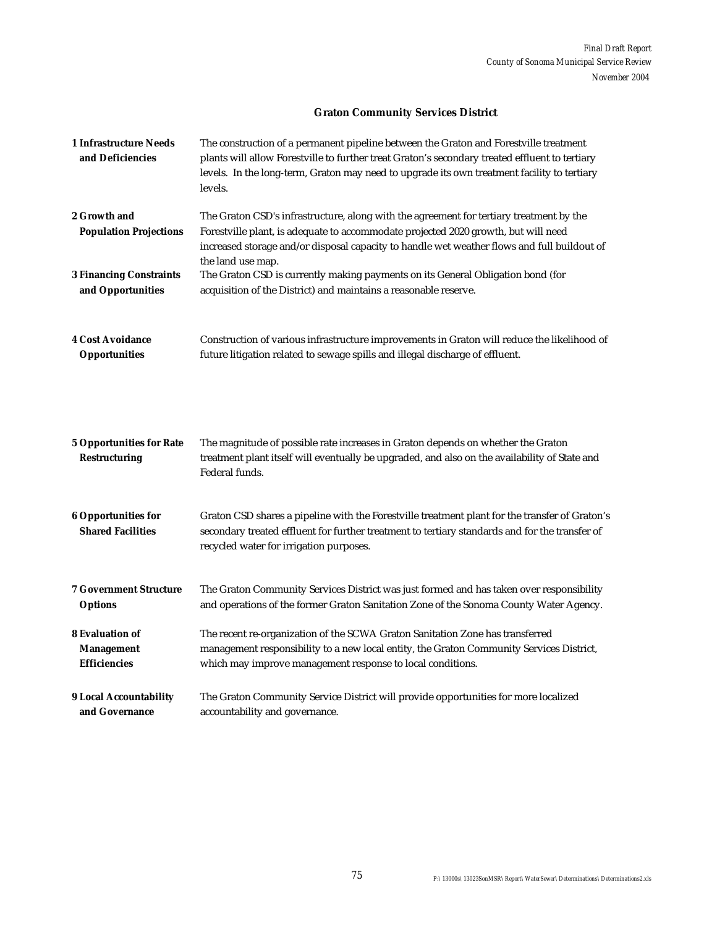# **Graton Community Services District**

| <b>1 Infrastructure Needs</b><br>and Deficiencies       | The construction of a permanent pipeline between the Graton and Forestville treatment<br>plants will allow Forestville to further treat Graton's secondary treated effluent to tertiary<br>levels. In the long-term, Graton may need to upgrade its own treatment facility to tertiary<br>levels. |
|---------------------------------------------------------|---------------------------------------------------------------------------------------------------------------------------------------------------------------------------------------------------------------------------------------------------------------------------------------------------|
| 2 Growth and<br><b>Population Projections</b>           | The Graton CSD's infrastructure, along with the agreement for tertiary treatment by the<br>Forestville plant, is adequate to accommodate projected 2020 growth, but will need<br>increased storage and/or disposal capacity to handle wet weather flows and full buildout of<br>the land use map. |
| <b>3 Financing Constraints</b>                          | The Graton CSD is currently making payments on its General Obligation bond (for                                                                                                                                                                                                                   |
| and Opportunities                                       | acquisition of the District) and maintains a reasonable reserve.                                                                                                                                                                                                                                  |
| <b>4 Cost Avoidance</b>                                 | Construction of various infrastructure improvements in Graton will reduce the likelihood of                                                                                                                                                                                                       |
| <b>Opportunities</b>                                    | future litigation related to sewage spills and illegal discharge of effluent.                                                                                                                                                                                                                     |
| <b>5 Opportunities for Rate</b><br><b>Restructuring</b> | The magnitude of possible rate increases in Graton depends on whether the Graton<br>treatment plant itself will eventually be upgraded, and also on the availability of State and<br>Federal funds.                                                                                               |
| <b>6 Opportunities for</b><br><b>Shared Facilities</b>  | Graton CSD shares a pipeline with the Forestville treatment plant for the transfer of Graton's<br>secondary treated effluent for further treatment to tertiary standards and for the transfer of<br>recycled water for irrigation purposes.                                                       |
| <b>7 Government Structure</b>                           | The Graton Community Services District was just formed and has taken over responsibility                                                                                                                                                                                                          |
| <b>Options</b>                                          | and operations of the former Graton Sanitation Zone of the Sonoma County Water Agency.                                                                                                                                                                                                            |
| <b>8 Evaluation of</b>                                  | The recent re-organization of the SCWA Graton Sanitation Zone has transferred                                                                                                                                                                                                                     |
| <b>Management</b>                                       | management responsibility to a new local entity, the Graton Community Services District,                                                                                                                                                                                                          |
| <b>Efficiencies</b>                                     | which may improve management response to local conditions.                                                                                                                                                                                                                                        |
| <b>9 Local Accountability</b>                           | The Graton Community Service District will provide opportunities for more localized                                                                                                                                                                                                               |
| and Governance                                          | accountability and governance.                                                                                                                                                                                                                                                                    |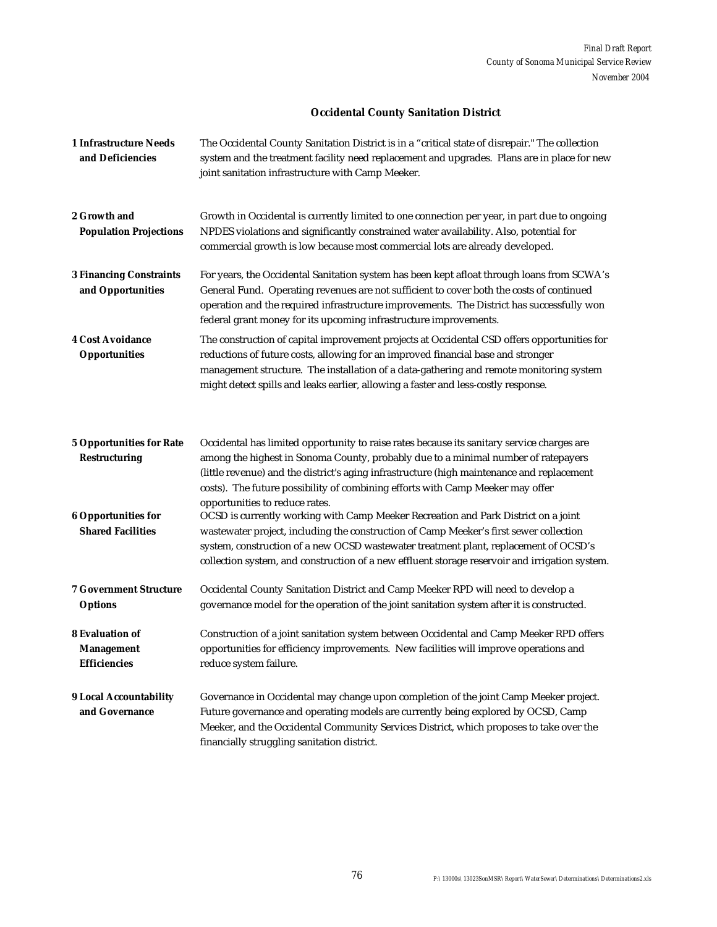# **Occidental County Sanitation District**

| <b>1 Infrastructure Needs</b><br>and Deficiencies                  | The Occidental County Sanitation District is in a "critical state of disrepair." The collection<br>system and the treatment facility need replacement and upgrades. Plans are in place for new<br>joint sanitation infrastructure with Camp Meeker.                                                                                                                                                |
|--------------------------------------------------------------------|----------------------------------------------------------------------------------------------------------------------------------------------------------------------------------------------------------------------------------------------------------------------------------------------------------------------------------------------------------------------------------------------------|
| 2 Growth and<br><b>Population Projections</b>                      | Growth in Occidental is currently limited to one connection per year, in part due to ongoing<br>NPDES violations and significantly constrained water availability. Also, potential for<br>commercial growth is low because most commercial lots are already developed.                                                                                                                             |
| <b>3 Financing Constraints</b><br>and Opportunities                | For years, the Occidental Sanitation system has been kept afloat through loans from SCWA's<br>General Fund. Operating revenues are not sufficient to cover both the costs of continued<br>operation and the required infrastructure improvements. The District has successfully won<br>federal grant money for its upcoming infrastructure improvements.                                           |
| <b>4 Cost Avoidance</b><br><b>Opportunities</b>                    | The construction of capital improvement projects at Occidental CSD offers opportunities for<br>reductions of future costs, allowing for an improved financial base and stronger<br>management structure. The installation of a data-gathering and remote monitoring system<br>might detect spills and leaks earlier, allowing a faster and less-costly response.                                   |
| <b>5 Opportunities for Rate</b><br><b>Restructuring</b>            | Occidental has limited opportunity to raise rates because its sanitary service charges are<br>among the highest in Sonoma County, probably due to a minimal number of ratepayers<br>(little revenue) and the district's aging infrastructure (high maintenance and replacement<br>costs). The future possibility of combining efforts with Camp Meeker may offer<br>opportunities to reduce rates. |
| <b>6 Opportunities for</b><br><b>Shared Facilities</b>             | OCSD is currently working with Camp Meeker Recreation and Park District on a joint<br>wastewater project, including the construction of Camp Meeker's first sewer collection<br>system, construction of a new OCSD wastewater treatment plant, replacement of OCSD's<br>collection system, and construction of a new effluent storage reservoir and irrigation system.                             |
| <b>7 Government Structure</b><br><b>Options</b>                    | Occidental County Sanitation District and Camp Meeker RPD will need to develop a<br>governance model for the operation of the joint sanitation system after it is constructed.                                                                                                                                                                                                                     |
| <b>8 Evaluation of</b><br><b>Management</b><br><b>Efficiencies</b> | Construction of a joint sanitation system between Occidental and Camp Meeker RPD offers<br>opportunities for efficiency improvements. New facilities will improve operations and<br>reduce system failure.                                                                                                                                                                                         |
| <b>9 Local Accountability</b><br>and Governance                    | Governance in Occidental may change upon completion of the joint Camp Meeker project.<br>Future governance and operating models are currently being explored by OCSD, Camp<br>Meeker, and the Occidental Community Services District, which proposes to take over the<br>financially struggling sanitation district.                                                                               |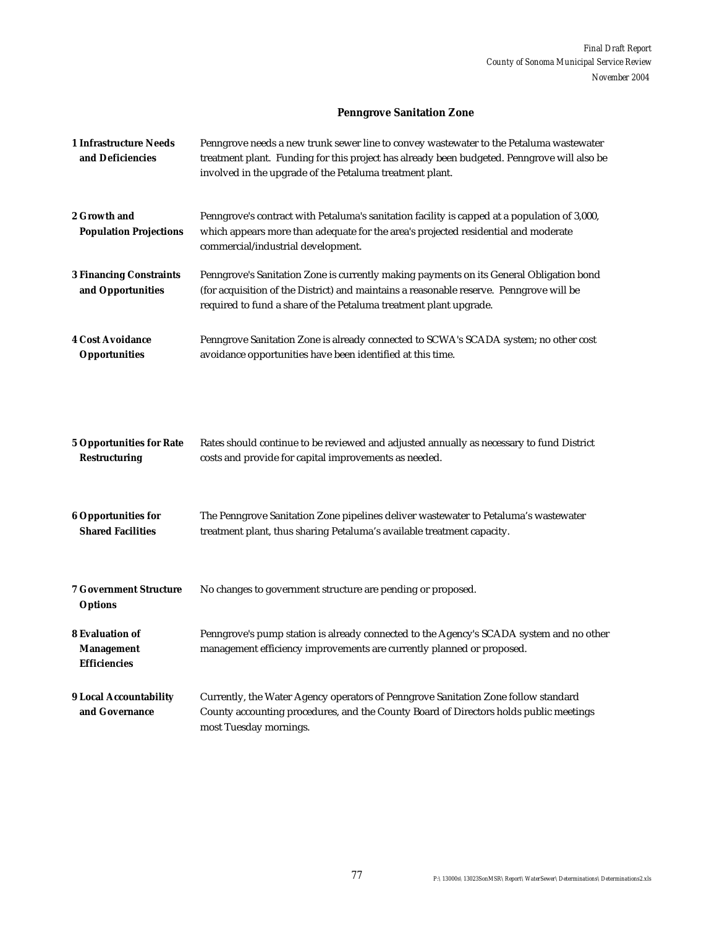# **Penngrove Sanitation Zone**

| <b>1 Infrastructure Needs</b><br>and Deficiencies                  | Penngrove needs a new trunk sewer line to convey wastewater to the Petaluma wastewater<br>treatment plant. Funding for this project has already been budgeted. Penngrove will also be<br>involved in the upgrade of the Petaluma treatment plant.       |
|--------------------------------------------------------------------|---------------------------------------------------------------------------------------------------------------------------------------------------------------------------------------------------------------------------------------------------------|
| 2 Growth and<br><b>Population Projections</b>                      | Penngrove's contract with Petaluma's sanitation facility is capped at a population of 3,000,<br>which appears more than adequate for the area's projected residential and moderate<br>commercial/industrial development.                                |
| <b>3 Financing Constraints</b><br>and Opportunities                | Penngrove's Sanitation Zone is currently making payments on its General Obligation bond<br>(for acquisition of the District) and maintains a reasonable reserve. Penngrove will be<br>required to fund a share of the Petaluma treatment plant upgrade. |
| <b>4 Cost Avoidance</b><br><b>Opportunities</b>                    | Penngrove Sanitation Zone is already connected to SCWA's SCADA system; no other cost<br>avoidance opportunities have been identified at this time.                                                                                                      |
|                                                                    |                                                                                                                                                                                                                                                         |
| <b>5 Opportunities for Rate</b><br><b>Restructuring</b>            | Rates should continue to be reviewed and adjusted annually as necessary to fund District<br>costs and provide for capital improvements as needed.                                                                                                       |
| <b>6 Opportunities for</b><br><b>Shared Facilities</b>             | The Penngrove Sanitation Zone pipelines deliver wastewater to Petaluma's wastewater<br>treatment plant, thus sharing Petaluma's available treatment capacity.                                                                                           |
| <b>7 Government Structure</b><br><b>Options</b>                    | No changes to government structure are pending or proposed.                                                                                                                                                                                             |
| <b>8 Evaluation of</b><br><b>Management</b><br><b>Efficiencies</b> | Penngrove's pump station is already connected to the Agency's SCADA system and no other<br>management efficiency improvements are currently planned or proposed.                                                                                        |
| <b>9 Local Accountability</b><br>and Governance                    | Currently, the Water Agency operators of Penngrove Sanitation Zone follow standard<br>County accounting procedures, and the County Board of Directors holds public meetings<br>most Tuesday mornings.                                                   |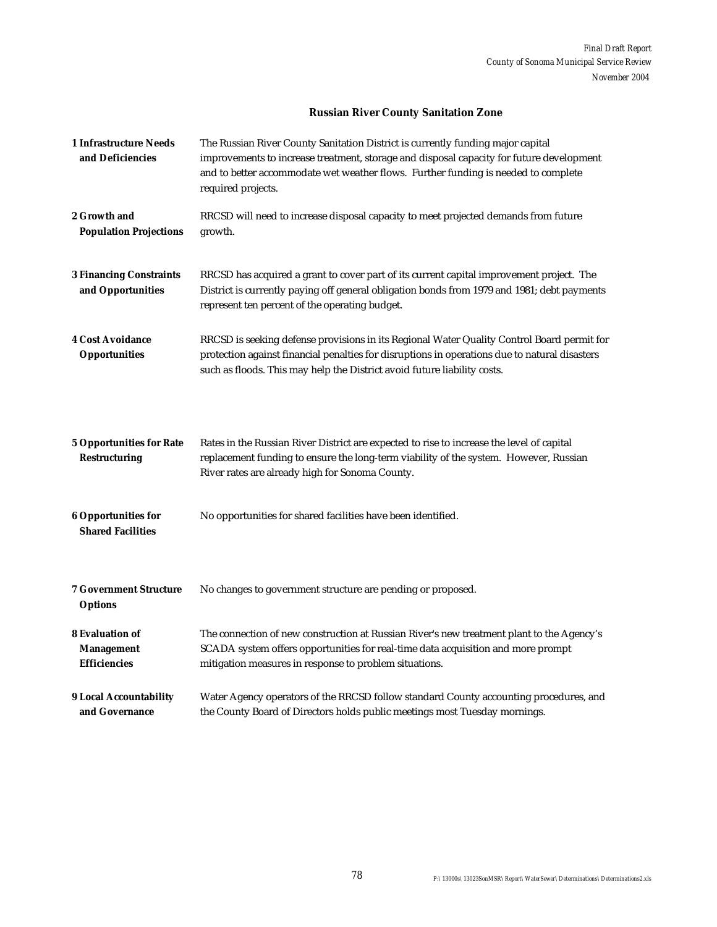# **Russian River County Sanitation Zone**

| <b>1 Infrastructure Needs</b><br>and Deficiencies                  | The Russian River County Sanitation District is currently funding major capital<br>improvements to increase treatment, storage and disposal capacity for future development<br>and to better accommodate wet weather flows. Further funding is needed to complete<br>required projects. |
|--------------------------------------------------------------------|-----------------------------------------------------------------------------------------------------------------------------------------------------------------------------------------------------------------------------------------------------------------------------------------|
| 2 Growth and<br><b>Population Projections</b>                      | RRCSD will need to increase disposal capacity to meet projected demands from future<br>growth.                                                                                                                                                                                          |
| <b>3 Financing Constraints</b><br>and Opportunities                | RRCSD has acquired a grant to cover part of its current capital improvement project. The<br>District is currently paying off general obligation bonds from 1979 and 1981; debt payments<br>represent ten percent of the operating budget.                                               |
| <b>4 Cost Avoidance</b><br><b>Opportunities</b>                    | RRCSD is seeking defense provisions in its Regional Water Quality Control Board permit for<br>protection against financial penalties for disruptions in operations due to natural disasters<br>such as floods. This may help the District avoid future liability costs.                 |
| <b>5 Opportunities for Rate</b><br><b>Restructuring</b>            | Rates in the Russian River District are expected to rise to increase the level of capital<br>replacement funding to ensure the long-term viability of the system. However, Russian<br>River rates are already high for Sonoma County.                                                   |
| <b>6 Opportunities for</b><br><b>Shared Facilities</b>             | No opportunities for shared facilities have been identified.                                                                                                                                                                                                                            |
| <b>7 Government Structure</b><br><b>Options</b>                    | No changes to government structure are pending or proposed.                                                                                                                                                                                                                             |
| <b>8 Evaluation of</b><br><b>Management</b><br><b>Efficiencies</b> | The connection of new construction at Russian River's new treatment plant to the Agency's<br>SCADA system offers opportunities for real-time data acquisition and more prompt<br>mitigation measures in response to problem situations.                                                 |
| <b>9 Local Accountability</b><br>and Governance                    | Water Agency operators of the RRCSD follow standard County accounting procedures, and<br>the County Board of Directors holds public meetings most Tuesday mornings.                                                                                                                     |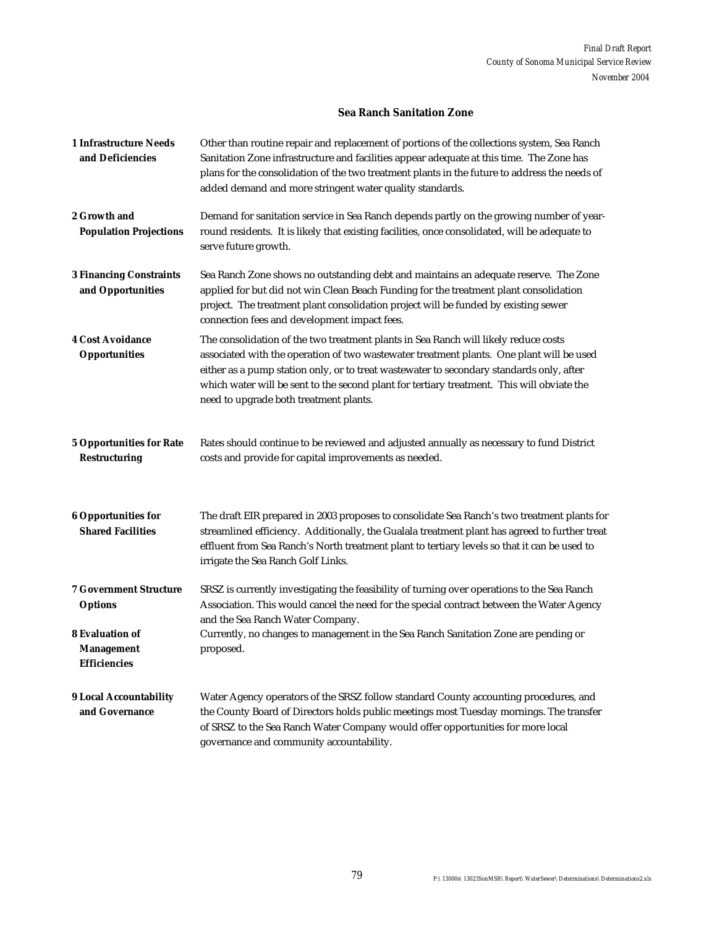#### **Sea Ranch Sanitation Zone**

| <b>1 Infrastructure Needs</b><br>and Deficiencies                  | Other than routine repair and replacement of portions of the collections system, Sea Ranch<br>Sanitation Zone infrastructure and facilities appear adequate at this time. The Zone has<br>plans for the consolidation of the two treatment plants in the future to address the needs of<br>added demand and more stringent water quality standards.                                                                 |
|--------------------------------------------------------------------|---------------------------------------------------------------------------------------------------------------------------------------------------------------------------------------------------------------------------------------------------------------------------------------------------------------------------------------------------------------------------------------------------------------------|
| 2 Growth and<br><b>Population Projections</b>                      | Demand for sanitation service in Sea Ranch depends partly on the growing number of year-<br>round residents. It is likely that existing facilities, once consolidated, will be adequate to<br>serve future growth.                                                                                                                                                                                                  |
| <b>3 Financing Constraints</b><br>and Opportunities                | Sea Ranch Zone shows no outstanding debt and maintains an adequate reserve. The Zone<br>applied for but did not win Clean Beach Funding for the treatment plant consolidation<br>project. The treatment plant consolidation project will be funded by existing sewer<br>connection fees and development impact fees.                                                                                                |
| <b>4 Cost Avoidance</b><br><b>Opportunities</b>                    | The consolidation of the two treatment plants in Sea Ranch will likely reduce costs<br>associated with the operation of two wastewater treatment plants. One plant will be used<br>either as a pump station only, or to treat wastewater to secondary standards only, after<br>which water will be sent to the second plant for tertiary treatment. This will obviate the<br>need to upgrade both treatment plants. |
| <b>5 Opportunities for Rate</b><br><b>Restructuring</b>            | Rates should continue to be reviewed and adjusted annually as necessary to fund District<br>costs and provide for capital improvements as needed.                                                                                                                                                                                                                                                                   |
| <b>6 Opportunities for</b><br><b>Shared Facilities</b>             | The draft EIR prepared in 2003 proposes to consolidate Sea Ranch's two treatment plants for<br>streamlined efficiency. Additionally, the Gualala treatment plant has agreed to further treat<br>effluent from Sea Ranch's North treatment plant to tertiary levels so that it can be used to<br>irrigate the Sea Ranch Golf Links.                                                                                  |
| <b>7 Government Structure</b><br><b>Options</b>                    | SRSZ is currently investigating the feasibility of turning over operations to the Sea Ranch<br>Association. This would cancel the need for the special contract between the Water Agency<br>and the Sea Ranch Water Company.                                                                                                                                                                                        |
| <b>8 Evaluation of</b><br><b>Management</b><br><b>Efficiencies</b> | Currently, no changes to management in the Sea Ranch Sanitation Zone are pending or<br>proposed.                                                                                                                                                                                                                                                                                                                    |
| <b>9 Local Accountability</b><br>and Governance                    | Water Agency operators of the SRSZ follow standard County accounting procedures, and<br>the County Board of Directors holds public meetings most Tuesday mornings. The transfer<br>of SRSZ to the Sea Ranch Water Company would offer opportunities for more local<br>governance and community accountability.                                                                                                      |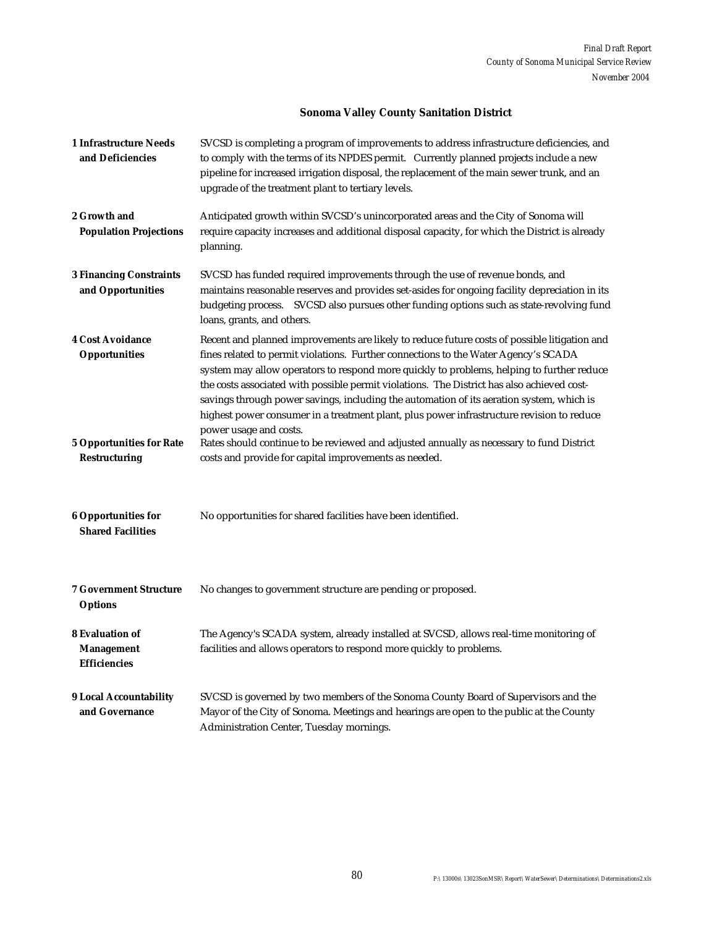# **Sonoma Valley County Sanitation District**

| <b>1 Infrastructure Needs</b><br>and Deficiencies                  | SVCSD is completing a program of improvements to address infrastructure deficiencies, and<br>to comply with the terms of its NPDES permit. Currently planned projects include a new<br>pipeline for increased irrigation disposal, the replacement of the main sewer trunk, and an<br>upgrade of the treatment plant to tertiary levels.                                                                                                                                                                                                                                                          |
|--------------------------------------------------------------------|---------------------------------------------------------------------------------------------------------------------------------------------------------------------------------------------------------------------------------------------------------------------------------------------------------------------------------------------------------------------------------------------------------------------------------------------------------------------------------------------------------------------------------------------------------------------------------------------------|
| 2 Growth and<br><b>Population Projections</b>                      | Anticipated growth within SVCSD's unincorporated areas and the City of Sonoma will<br>require capacity increases and additional disposal capacity, for which the District is already<br>planning.                                                                                                                                                                                                                                                                                                                                                                                                 |
| <b>3 Financing Constraints</b><br>and Opportunities                | SVCSD has funded required improvements through the use of revenue bonds, and<br>maintains reasonable reserves and provides set-asides for ongoing facility depreciation in its<br>budgeting process. SVCSD also pursues other funding options such as state-revolving fund<br>loans, grants, and others.                                                                                                                                                                                                                                                                                          |
| <b>4 Cost Avoidance</b><br><b>Opportunities</b>                    | Recent and planned improvements are likely to reduce future costs of possible litigation and<br>fines related to permit violations. Further connections to the Water Agency's SCADA<br>system may allow operators to respond more quickly to problems, helping to further reduce<br>the costs associated with possible permit violations. The District has also achieved cost-<br>savings through power savings, including the automation of its aeration system, which is<br>highest power consumer in a treatment plant, plus power infrastructure revision to reduce<br>power usage and costs. |
| <b>5 Opportunities for Rate</b><br><b>Restructuring</b>            | Rates should continue to be reviewed and adjusted annually as necessary to fund District<br>costs and provide for capital improvements as needed.                                                                                                                                                                                                                                                                                                                                                                                                                                                 |
| <b>6 Opportunities for</b><br><b>Shared Facilities</b>             | No opportunities for shared facilities have been identified.                                                                                                                                                                                                                                                                                                                                                                                                                                                                                                                                      |
| <b>7 Government Structure</b><br><b>Options</b>                    | No changes to government structure are pending or proposed.                                                                                                                                                                                                                                                                                                                                                                                                                                                                                                                                       |
| <b>8 Evaluation of</b><br><b>Management</b><br><b>Efficiencies</b> | The Agency's SCADA system, already installed at SVCSD, allows real-time monitoring of<br>facilities and allows operators to respond more quickly to problems.                                                                                                                                                                                                                                                                                                                                                                                                                                     |
| <b>9 Local Accountability</b><br>and Governance                    | SVCSD is governed by two members of the Sonoma County Board of Supervisors and the<br>Mayor of the City of Sonoma. Meetings and hearings are open to the public at the County<br>Administration Center, Tuesday mornings.                                                                                                                                                                                                                                                                                                                                                                         |